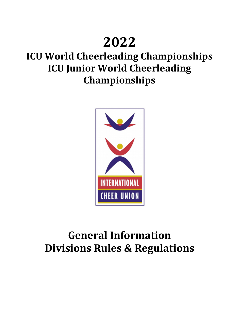# **2022**

# **ICU World Cheerleading Championships ICU Junior World Cheerleading Championships**



# **General Information Divisions Rules & Regulations**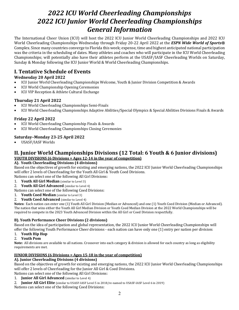## *2022 ICU World Cheerleading Championships 2022 ICU Junior World Cheerleading Championships General Information*

The International Cheer Union (ICU) will host the 2022 ICU Junior World Cheerleading Championships and 2022 ICU World Cheerleading Championships Wednesday through Friday 20-22 April 2022 at the *ESPN Wide World of Sports®* Complex. Since many countries converge to Florida this week; expense, time and highest anticipated national participation was the criteria in the scheduling of dates. Many athletes and coaches who will participate in the ICU World Cheerleading Championships; will potentially also have their athletes perform at the USASF/IASF Cheerleading Worlds on Saturday, Sunday & Monday following the ICU Junior World & World Cheerleading Championships.

## **I. Tentative Schedule of Events**

## **Wednesday 20 April 2022**

- ICU Junior World Cheerleading Championships Welcome, Youth & Junior Division Competition & Awards
- ICU World Championship Opening Ceremonies
- ICU VIP Reception & Athlete Cultural Exchange

## **Thursday 21 April 2022**

- ICU World Cheerleading Championships Semi-Finals
- ICU World Cheerleading Championships Adaptive Abilities/Special Olympics & Special Abilities Divisions Finals & Awards

## **Friday 22 April 2022**

- ICU World Cheerleading Championship Finals & Awards
- ICU World Cheerleading Championships Closing Ceremonies

## **Saturday–Monday 23-25 April 2022**

USASF/IASF Worlds

## **II.** Junior World Championships Divisions (12 Total: 6 Youth & 6 Junior divisions) **<u>YOUTH DIVISIONS (6 Divisions = Ages 12-14 in the year of competition)</u>**

## **A). Youth Cheerleading Divisions (4 divisions)**

Based on the objectives of growth for existing and emerging nations, the 2022 ICU Junior World Cheerleading Championships will offer 2 levels of Cheerleading for the Youth All Girl & Youth Coed Divisions.

Nations can select one of the following All Girl Divisions:

- 1. **Youth All Girl Median** (similar to Level 3)
- 2. **Youth All Girl Advanced** (similar to Level 4)

Nations can select one of the following Coed Divisions:

1. **Youth Coed Median** (similar to Level 3)

## 2. **Youth Coed Advanced** (similar to Level 4)

Notes: Each nation can enter one (1) Youth All Girl Division (Median or Advanced) and one (1) Youth Coed Division (Median or Advanced). The nation that wins either the Youth All Girl Median Division or Youth Coed Median Division at the 2022 World Championships will be required to compete in the 2023 Youth Advanced Division within the All Girl or Coed Division respectfully.

## **B). Youth Performance Cheer Divisions (2 divisions)**

Based on the idea of participation and global representation, the 2022 ICU Junior World Cheerleading Championships will offer the following Youth Performance Cheer divisions - each nation can have only one (1) entry per nation per division:

- 1. **Youth Hip Hop**
- 2. **Youth Pom**

Note: All divisions are available to all nations. Crossover into each category & division is allowed for each country as long as eligibility requirements are met.

## **JUNIOR DIVISIONS (6 Divisions = Ages 15-18 in the year of competition)**

## **A). Junior Cheerleading Divisions (4 divisions)**

Based on the objectives of growth for existing and emerging nations, the 2022 ICU Junior World Cheerleading Championships will offer 2 levels of Cheerleading for the Junior All Girl & Coed Divisions.

Nations can select one of the following All Girl Divisions:

1. **Junior All Girl Advanced** (similar to Level 4)

2. **Junior All Girl Elite** (similar to USASF-IASF Level 5 in 2018/re-named to USASF-IASF Level 6 in 2019)

Nations can select one of the following Coed Divisions: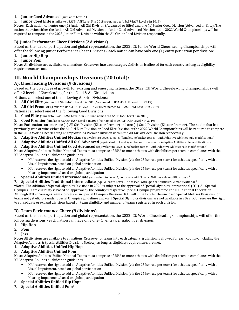### 1. **Junior Coed Advanced** (similar to Level 4)

#### 2. **Junior Coed Elite** (similar to USASF-IASF Level 5 in 2018/re-named to USASF-IASF Level 6 in 2019)

Notes: Each nation can enter one (1) Junior All Girl Division (Advanced or Elite) and one (1) Junior Coed Division (Advanced or Elite). The nation that wins either the Junior All Girl Advanced Division or Junior Coed Advanced Division at the 2022 World Championships will be required to compete in the 2023 Junior Elite Division within the All Girl or Coed Division respectfully.

## **B). Junior Performance Cheer Divisions (2 divisions)**

Based on the idea of participation and global representation, the 2022 ICU Junior World Cheerleading Championships will offer the following Junior Performance Cheer Divisions - each nation can have only one  $(1)$  entry per nation per division:

### 1. **Junior Hip Hop**

#### 2. **Junior Pom**

Note: All divisions are available to all nations. Crossover into each category & division is allowed for each country as long as eligibility requirements are met.

## **III. World Championships Divisions (20 total):**

## **A). Cheerleading Divisions (9 divisions)**

Based on the objectives of growth for existing and emerging nations, the 2022 ICU World Cheerleading Championships will offer 2 levels of Cheerleading for the Coed & All Girl divisions.

Nations can select one of the following All Girl Divisions:

- 1. **All Girl Elite** (similar to USASF-IASF Level 5 in 2018/re-named to USASF-IASF Level 6 in 2019)
- 2. **All Girl Premier** (similar to USASF-IASF Level 6 in 2018/re-named to USASF-IASF Level 7 in 2019)

Nations can select one of the following Coed Divisions:

- 1. **Coed Elite** (similar to USASF-IASF Level 5 in 2018/re-named to USASF-IASF Level 6 in 2019)
- 2. **Coed Premier** (similar to USASF-IASF Level 6 in 2018/re-named to USASF-IASF Level 7 in 2019)

Note: Each nation can enter one (1) All Girl Division (Elite or Premier) and one (1) Coed Division (Elite or Premier). The nation that has previously won or wins either the All Girl Elite Division or Coed Elite Division at the 2022 World Championships will be required to compete in the 2023 World Cheerleading Championships Premier Division within the All Girl or Coed Division respectfully.

- 3. **Adaptive Abilities Unified Median** (equivalent to Level 3, males/females, no basket tosses with Adaptive Abilities rule modifications)
- 4. **Adaptive Abilities Unified All Girl Advanced** (equivalent to Level 4, no basket tosses with Adaptive Abilities rule modifications)
- 5. **Adaptive Abilities Unified Coed Advanced** (equivalent to Level 4, no basket tosses with Adaptive Abilities rule modifications)

Note: Adaptive Abilities Unified National Teams must comprise of 25% or more athletes with disabilities per team in compliance with the ICU Adaptive Abilities qualification guidelines.

- ICU reserves the right to add an Adaptive Abilities Unified Division (via the 25%+ rule per team) for athletes specifically with a Visual Impairment, based on global participation
- ICU reserves the right to add an Adaptive Abilities Unified Division (via the 25%+ rule per team) for athletes specifically with a Hearing Impairment, based on global participation
- 6. **Special Abilities Unified Intermediate** (equivalent to Level 2, no tosses- with Special Abilities rule modifications)<sup>\*</sup>
- **7.** Special Abilities Traditional Intermediate (equivalent to Level 2, no tosses- with Special Abilities rule modifications)<sup>\*</sup>

**\*Note:** The addition of Special Olympics Divisions in 2022 is subject to the approval of Special Olympics International (SOI). All Special Olympics Team eligibility is based on approval by the country's respective Special Olympic programme and ICU National Federation. Although ICU encourages teams to register in Special Olympics Divisions, ICU will initially offer the enclosed Special Abilities Divisions for teams not yet eligible under Special Olympics guidelines and/or if Special Olympics divisions are not available in 2022. ICU reserves the right to consolidate or expand divisions based on team eligibility and number of teams registered in each division.

## **B). Team Performance Cheer (9 divisions)**

Based on the idea of participation and global representation, the 2022 ICU World Cheerleading Championships will offer the following divisions - each nation can have only one  $(1)$  entry per nation per division:

- 1. **Hip Hop**
- 2. **Pom**
- 3. **Jazz**

**Notes** All divisions are available to all nations. Crossover of teams into each category & division is allowed for each country, including the Adaptive Abilities & Special Abilities Divisions (below), as long as eligibility requirements are met.

#### 4. **Adaptive Abilities Unified Hip Hop**

#### 5. **Adaptive Abilities Unified Pom**

Note: Adaptive Abilities Unified National Teams must comprise of 25% or more athletes with disabilities per team in compliance with the ICU Adaptive Abilities qualification guidelines.

- ICU reserves the right to add an Adaptive Abilities Unified Division (via the 25%+ rule per team) for athletes specifically with a Visual Impairment, based on global participation
- ICU reserves the right to add an Adaptive Abilities Unified Division (via the 25%+ rule per team) for athletes specifically with a Hearing Impairment, based on global participation
- 6. **Special Abilities Unified Hip Hop**\*
- 7. **Special Abilities Unified Pom**\*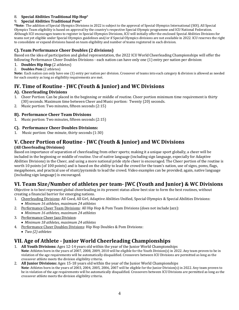### 8. **Special Abilities Traditional Hip Hop**\*

## 9. **Special Abilities Traditional Pom**\*

\*Note: The addition of Special Olympics Divisions in 2022 is subject to the approval of Special Olympics International (SOI). All Special Olympics Team eligibility is based on approval by the country's respective Special Olympic programme and ICU National Federation. Although ICU encourages teams to register in Special Olympics Divisions, ICU will initially offer the enclosed Special Abilities Divisions for teams not yet eligible under Special Olympics guidelines and/or if Special Olympics divisions are not available in 2022. ICU reserves the right to consolidate or expand divisions based on team eligibility and number of teams registered in each division.

## **C). Team Performance Cheer Doubles (2 divisions)**

Based on the idea of participation and global representation, the 2022 ICU World Cheerleading Championships will offer the following Performance Cheer Doubles Divisions - each nation can have only one (1) entry per nation per division:

- 1. **Doubles Hip Hop** (2 athletes)
- 2. **Doubles Pom** (2 athletes)

**Note:** Each nation can only have one (1) entry per nation per division. Crossover of teams into each category & division is allowed as needed for each country as long as eligibility requirements are met.

## **IV. Time of Routine - JWC (Youth & Junior) and WC Divisions**

## **A). Cheerleading Divisions**

- 1. Cheer Portion: Can be placed in the beginning or middle of routine. Cheer portion minimum time requirement is thirty (30) seconds. Maximum time between Cheer and Music portion: Twenty (20) seconds.
- 2. Music portion: Two minutes, fifteen seconds (2:15)

## **B). Performance Cheer Team Divisions**

1. Music portion: Two minutes, fifteen seconds (2:15)

## **C). Performance Cheer Doubles Divisions:**

1. Music portion: One minute, thirty seconds (1:30)

## **V. Cheer Portion of Routine - JWC (Youth & Junior) and WC Divisions**

## **(All Cheerleading Divisions)**

Based on importance of separation of cheerleading from other sports; making it a unique sport globally, a cheer will be included in the beginning or middle of routine. Use of native language (including sign language, especially for Adaptive Abilities Divisions) in the Cheer, and using a more national pride style cheer is encouraged. The Cheer portion of the routine is worth 10 points (of 100 points) and is based on the ability to lead the crowd for the team's nation, use of signs, poms, flags, megaphones, and practical use of stunt/pyramids to lead the crowd. Video examples can be provided; again, native language (including sign language) is encouraged.

## **VI. Team Size/Number of athletes per team- JWC (Youth and Junior) & WC Divisions**

Objective is to best represent global cheerleading in its present status allow best size to form the best routines, without creating a financial barrier for emerging nations.

- 1. Cheerleading Divisions: All Coed, All Girl, Adaptive Abilities Unified, Special Olympics & Special Abilities Divisions:
- *Minimum* 16 athletes, maximum 24 athletes 2. Performance Cheer Team Divisions: All Hip Hop & Pom Team Divisions (does not include Jazz):
- *Minimum* 16 athletes, maximum 24 athletes
- 3. Performance Cheer Jazz Division:
	- *Minimum 18 athletes, maximum 24 athletes*
- 4. Performance Cheer Doubles Divisions: Hip Hop Doubles & Pom Divisions:
	- *Two (2) athletes*

## **VII. Age of Athlete - Junior World Cheerleading Championships**

- 1. **All Youth Divisions:** Ages 12-14 years old within the year of the Junior World Championships **Note**: Athletes born in the years of 2007, 2008, 2009, 2010 will be eligible for the Youth Division(s) in 2022. Any team proven to be in violation of the age requirements will be automatically disqualified. Crossovers between ICU Divisions are permitted as long as the crossover athlete meets the division eligibility criteria.
- 2. **All Junior Divisions:** Ages 15-18 years old within the year of the Junior World Championships **Note**: Athletes born in the vears of 2003, 2004, 2005, 2006, 2007 will be eligible for the Junior Division(s) in 2022, Any team proven to be in violation of the age requirements will be automatically disqualified. Crossovers between ICU Divisions are permitted as long as the crossover athlete meets the division eligibility criteria.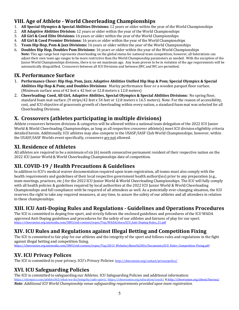## **VIII. Age of Athlete - World Cheerleading Championships**

- 1. **All Special Olympics & Special Abilities Divisions:** 12 years or older within the year of the World Championships
- 2. **All Adaptive Abilities Division:** 12 years or older within the year of the World Championships
- **3. All Girl & Coed Elite Divisions:** 16 years or older within the year of the World Championships
- 4. **All Girl & Coed Premier Divisions:** 16 years or older within the year of the World Championships
- 5. **Team Hip Hop, Pom & Jazz Divisions:** 16 years or older within the year of the World Championships
- 6. **Doubles Hip Hop, Doubles Pom Divisions:** 16 years or older within the year of the World Championships **Note:** This age range best represents cheerleading on the global status for national team competition; however, all federations can adjust their own team age ranges to be more restrictive than the World Championship parameters as needed. With the exception of the Junior World Championships divisions, there is no set maximum age. Any team proven to be in violation of the age requirements will be automatically disqualified. Crossovers between all ICU Divisions and between JWC and WC are permitted.

## **IX. Performance Surface**

- 1. Performance Cheer: Hip Hop, Pom, Jazz; Adaptive Abilities Unified Hip Hop & Pom; Special Olympics & Special **Abilities Hip Hop & Pom; and Doubles Divisions:** Marley performance floor or a wooden parquet floor surface. (Minimum surface area of 42 feet x 42 feet or 12.8 meters x 12.8 meters)
- 2. Cheerleading: Coed, All Girl, Adaptive Abilities, Special Olympics & Special Abilities Divisions: No spring floor, standard foam mat surface. (9 strips/42 feet x 54 feet or 12.8 meters x 16.5 meters). Note: For the reason of accessibility, cost, and ICU objective of grassroots growth of cheerleading within every nation, a standard foam mat was selected for all Cheerleading Divisions.

## **X. Crossovers (athletes participating in multiple divisions)**

Athlete crossovers between divisions & categories will be allowed within a national team delegation of the 2022 ICU Junior World & World Cheerleading Championships, as long as all respective crossover athlete(s) meet ICU division eligibility criteria detailed herein. Additionally, ICU athletes may also compete in the USASF/IASF Club World Championships; however, within the USASF/IASF Worlds event specifically, crossovers are not allowed.

## **XI. Residence of Athletes**

All athletes are required to be a minimum of six  $(6)$  month consecutive permanent resident of their respective nation on the 2022 ICU Junior World & World Cheerleading Championships date of competition.

## **XII. COVID-19 / Health Precautions & Guidelines**

In addition to ICU's medical waiver documentation required upon team registration, all teams must also comply with the health requirements and guidelines of their local respective government health authori(ies) prior to any preparation (e.g., team meetings, practices, etc.) for the 2022 ICU Junior World & World Cheerleading Championships. The ICU will fully comply with all health policies & guidelines required by local authorities at the 2022 ICU Junior World & World Cheerleading Championships and full compliance with be required of all attendees as well. As a potentially ever-changing situation, the ICU reserves the right to take any required measures, at any time, to assure the safety of our athletes and all attendees in relation to these championships.

## **XIII. ICU Anti-Doping Rules and Regulations - Guidelines and Operations Procedures**

The ICU is committed to doping free sport, and strictly follows the enclosed guidelines and procedures of the ICU WADA approved Anti-Doping guidelines and procedures for the safety of our athletes and fairness of play for our sport. https://cheerunion.org.ismmedia.com/ISM3/std-content/repos/Top/WADA/docs/ICU\_Anti-Doping-Rules\_21.pdf

## **XIV. ICU Rules and Regulations against Illegal Betting and Competition Fixing**

The ICU is committed to fair play for our athletes and the integrity of the sport and follows rules and regulations in the fight against illegal betting and competition fixing.

https://cheerunion.org.ismmedia.com/ISM3/std-content/repos/Top/2013\_Website/About%20Us/Documents/ICU\_Rules\_Competition-Fixing.pdf

## **XV. ICU Privacy Polices**

The ICU is committed to your privacy. ICU's Privacy Policies: http://cheerunion.org/contact/privacypolicy/

## **XVI. ICU Safeguarding Policies**

The ICU is committed to safeguarding our Athletes. ICU Safeguarding Policies and additional information: https://olympics.com/athlete365/what-we-do/integrity/safe-sport/, https://cheerunion.org/education/coach/ & http://cheerunion.org/about/bureau/ *Note: Additional ICU World Championship venue safeguarding requirements provided upon team registration.*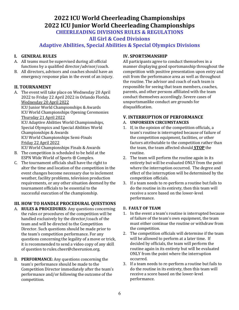## **2022 ICU World Cheerleading Championships 2022 ICU Junior World Cheerleading Championships CHEERLEADING DIVISIONS RULES & REGULATIONS**

**All Girl & Coed Divisions**

**Adaptive Abilities, Special Abilities & Special Olympics Divisions**

## **I. GENERAL RULES**

- A. All teams must be supervised during all official functions by a qualified director/advisor/coach.
- B. All directors, advisors and coaches should have an emergency response plan in the event of an injury.

## **II. TOURNAMENT**

A. The event will take place on Wednesday 20 April 2022 to Friday 22 April 2022 in Orlando Florida. Wednesday 20 April 2022

ICU Junior World Championships & Awards ICU World Championships Opening Ceremonies Thursday 21 April 2022 ICU Adaptive Abilities World Championships, Special Olympics and Special Abilities World 

Championships & Awards ICU World Championships Semi-Finals Friday 22 April 2022

ICU World Championships Finals & Awards

- B. The competition is scheduled to be held at the ESPN Wide World of Sports ® Complex.
- C. The tournament officials shall have the right to alter the time and location of the competition in the event changes become necessary due to inclement weather, facility problems, television production requirements, or any other situation deemed by the tournament officials to be essential to the successful execution of the championship.

## **III. HOW TO HANDLE PROCEDURAL QUESTIONS**

- A. **RULES & PROCEDURES:** Any questions concerning the rules or procedures of the competition will be handled exclusively by the director/coach of the team and will be directed to the Competition Director. Such questions should be made prior to the team's competition performance. For any questions concerning the legality of a move or trick, it is recommended to send a video copy of any skill of question to rules.cheer@cheerunion.org.
- **B. PERFORMANCE:** Any questions concerning the team's performance should be made to the Competition Director immediately after the team's performance and/or following the outcome of the competition.

## **IV. SPORTSMANSHIP**

All participants agree to conduct themselves in a manner displaying good sportsmanship throughout the competition with positive presentation upon entry and exit from the performance area as well as throughout the routine. The advisor and coach of each team is responsible for seeing that team members, coaches, parents, and other persons affiliated with the team conduct themselves accordingly. Severe cases of unsportsmanlike conduct are grounds for disqualification.

## **V. INTERRUPTION OF PERFORMANCE**

## A. **UNFORSEEN CIRCUMSTANCES**

- 1. If, in the opinion of the competition officials, a team's routine is interrupted because of failure of the competition equipment, facilities, or other factors attributable to the competition rather than the team, the team affected should **STOP** the routine.
- 2. The team will perform the routine again in its entirety but will be evaluated ONLY from the point where the interruption occurred. The degree and effect of the interruption will be determined by the competition officials.
- 3. If a team needs to re-perform a routine but fails to do the routine in its entirety, then this team will receive a score based on the lower-level performance.

## **B. FAULT OF TEAM**

- 1. In the event a team's routine is interrupted because of failure of the team's own equipment, the team must either continue the routine or withdraw from the competition.
- 2. The competition officials will determine if the team will be allowed to perform at a later time. If decided by officials, the team will perform the routine again in its entirety but will be evaluated ONLY from the point where the interruption occurred.
- 3. If a team needs to re-perform a routine but fails to do the routine in its entirety, then this team will receive a score based on the lower-level performance.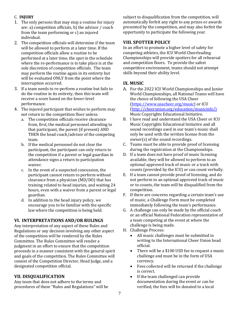## C. **INJURY**

- 1. The only persons that may stop a routine for injury are: a) competition officials, b) the advisor  $/$  coach from the team performing or  $c$ ) an injured individual.
- 2. The competition officials will determine if the team will be allowed to perform at a later time. If the competition officials allow a routine to be performed at a later time, the spot in the schedule where the re-performance is to take place is at the sole discretion of competition officials. The team may perform the routine again in its entirety but will be evaluated ONLY from the point where the interruption occurred.
- 3. If a team needs to re-perform a routine but fails to do the routine in its entirety, then this team will receive a score based on the lower-level performance.
- 4. The injured participant that wishes to perform may not return to the competition floor unless:
	- a. The competition officials receive clearance from, first, the medical personnel attending to that participant, the parent (if present) AND THEN the head coach/advisor of the competing team.
	- b. If the medical personnel do not clear the participant, the participant can only return to the competition if a parent or legal guardian in attendance signs a return to participation waiver.
	- c. In the event of a suspected concussion, the participant cannot return to perform without clearance from a physician  $(MD/DO)$  that has training related to head injuries, and waiting 24 hours, even with a waiver from a parent or legal guardian.
	- d. In addition to the head injury policy, we encourage you to be familiar with the specific law where the competition is being held.

## **VI. INTERPRETATIONS AND/OR RULINGS**

Any interpretation of any aspect of these Rules and Regulations or any decision involving any other aspect of the competition will be rendered by the Rules Committee. The Rules Committee will render a judgment in an effort to ensure that the competition proceeds in a manner consistent with the general spirit and goals of the competition. The Rules Committee will consist of the Competition Director, Head Judge, and a designated competition official.

## **VII. DISQUALIFICATION**

Any team that does not adhere to the terms and procedures of these "Rules and Regulations" will be subject to disqualification from the competition, will automatically forfeit any right to any prizes or awards presented by the competition, and may also forfeit the opportunity to participate the following year.

## **VIII. SPOTTER POLICY**

In an effort to promote a higher level of safety for competing athletes, the ICU World Cheerleading Championships will provide spotters for all rehearsal and competition floors. To provide the safest competitive environment, teams should not attempt skills beyond their ability level.

## **IX. MUSIC**

- A. For the 2022 ICU World Championships and Junior World Championships, all National Teams will have the choice of following the USA Cheer (https://www.usacheer.org/music) or ICU (http://cheerunion.org/education/musicinfo/) Music Copyrights Educational Initiative.
- B. I have read and understand the USA Cheer or ICU Music Copyrights Educational Initiative and all sound recordings used in our team's music shall only be used with the written license from the owner(s) of the sound recordings.
- C. Teams must be able to provide proof of licensing during the registration at the Championships.
- D. If a team does not have proof of music licensing available, they will be allowed to perform to an optional approved track of music or a track with counts (provided by the ICU) or can count verbally.
- E. If a team cannot provide proof of licensing, and do not perform to an optional approved track of music or to counts, the team will be disqualified from the competition.
- F. If there are concerns regarding a certain team's use of music, a Challenge Form must be completed immediately following the team's performance.
- G. A challenge can only be made by the official coach or an official National Federation representative of a team competing at the event at where the challenge is being made.
- H. Challenge Process:
	- All music challenges must be submitted in writing to the International Cheer Union head official.
	- There will be a \$100 USD fee to request a music challenge and must be in the form of USA currency.
	- Fees collected will be returned if the challenge is correct.
	- $\bullet$  If the team challenged can provide documentation during the event or can be verified, the fees will be donated to a local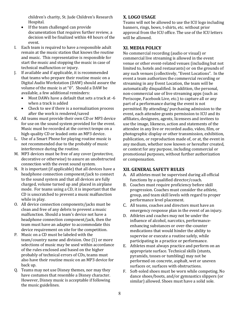children's charity, St. Jude Children's Research Hospital. 

- $\bullet$  If the team challenged can provide documentation that requires further review, a decision will be finalized within 48 hours of the event.
- I. Each team is required to have a responsible adult remain at the music station that knows the routine and music. This representative is responsible for start the music and stopping the music in case of technical malfunction or injury.
- J. If available and if applicable, it is recommended that teams who prepare their routine music on a Digital Audio Workstation (DAW) should assure the volume of the music is at "0". Should a DAW be available, a few additional reminders:
	- Most DAWs have a default that sets a track at -6 when a track is added
	- Check to see if there is a normalization process after the work is rendered/saved
- K. All teams must provide their own CD or MP3 device for use on the sound system provided for the event. Music must be recorded at the correct tempo on a high-quality CD or leaded onto an MP3 device.
- L. Use of a Smart Phone for playing routine music is not recommended due to the probably of music interference during the routine.
- M. MP3 devices must be free of any cover (protective, decorative or otherwise) to assure an unobstructed connection with the event sound system.
- N. It is important (if applicable) that all devices have a headphone connection component/jack to connect to the sound system and that all devices are fully charged, volume turned up and placed in airplane mode. For teams using a CD, it is important that the CD is unscratched to prevent a music malfunction while in play.
- O. All device connection components/jacks must be clean and free of any debris to prevent a music malfunction. Should a team's device not have a headphone connection component/jack, then the team must have an adapter to accommodate this device requirement on site for the competition.
- P. Music on a CD must be labeled with the team/country name and division. One (1) or more selections of music may be used within accordance of the rules enclosed and based on the higher probably of technical errors of CDs, teams must also have their routine music on an MP3 device for back up.
- Q. Teams may not use Disney themes, nor may they have costumes that resemble a Disney character. However, Disney music is acceptable if following the music guidelines.

## **X. LOGO USAGE**

Teams will not be allowed to use the ICU logo including banners, rings, bows, t-shirts, etc. without prior approval from the ICU office. The use of the ICU letters will be allowed.

## **XI. MEDIA POLICY**

No commercial recording (audio or visual) or commercial live streaming is allowed in the event venue or other event-related venues (including but not limited to, hotels and restaurants) or on the grounds of any such venues (collectively, "Event Locations". In the event a team authorizes the commercial recording or streaming in any Event Location, the team will be automatically disqualified. In addition, the personal, non-commercial use of live streaming apps (such as Periscope, Facebook Live, etc.) to capture all or any part of a performance during the event is not permitted. By attending/ purchasing admission to the event, each attendee grants permission to ICU and its affiliates, designees, agents, licensees and invitees to use the image, likeness, action and statements of the attendee in any live or recorded audio, video, film, or photographic display or other transmission, exhibition, publication, or reproduction made of, or at, the event in any medium, whether now known or hereafter created, or context for any purpose, including commercial or promotional purposes, without further authorization or compensation.

## **XII. GENERAL SAFETY RULES**

- A. All athletes must be supervised during all official functions by a qualified director/coach.
- B. Coaches must require proficiency before skill progression. Coaches must consider the athlete, group, and team skill levels with regard to proper performance level placement.
- C. All teams, coaches and directors must have an emergency response plan in the event of an injury.
- D. Athletes and coaches may not be under the influence of alcohol, narcotics, performanceenhancing substances or over-the-counter medications that would hinder the ability to supervise or execute a routine safely, while participating in a practice or performance.
- E. Athletes must always practice and perform on an appropriate surface. Technical skills (stunts, pyramids, tosses or tumbling) may not be performed on concrete, asphalt, wet or uneven surfaces or, surfaces with obstructions.
- F. Soft-soled shoes must be worn while competing. No dance shoes/boots, and/or gymnastics slippers (or similar) allowed. Shoes must have a solid sole.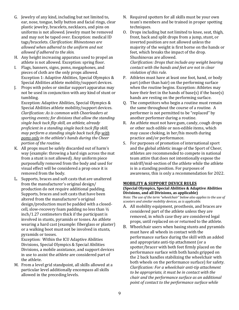- G. Jewelry of any kind, including but not limited to, ear, nose, tongue, belly button and facial rings, clear plastic jewelry, bracelets, necklaces, and pins on uniforms is not allowed. Jewelry must be removed and may not be taped over. Exception: medical ID tags/bracelets. *Clarification: Rhinestones are allowed when adhered to the uniform and not allowed if adhered to the skin.*
- H. Any height increasing apparatus used to propel an athlete is not allowed. Exception: spring floor.
- I. Flags, banners, signs, poms, megaphones, and pieces of cloth are the only props allowed. Exception 1: Adaptive Abilities, Special Olympics & Special Abilities athlete mobility/support devices.
- J. Props with poles or similar support apparatus may not be used in conjunction with any kind of stunt or tumbling.

Exception: Adaptive Abilities, Special Olympics & Special Abilities athlete mobility/support devices. *Clarification: As is common with Cheerleaders at* sporting events; for divisions that allow the standing single back tuck flip skill, an athlete, already *proficient in a standing single back tuck flip skill, may perform a standing single back tuck flip with poms* only in the athlete's hands during the Cheer *portion of the routine.*

- K. All props must be safely discarded out of harm's way (example: throwing a hard sign across the mat from a stunt is not allowed). Any uniform piece purposefully removed from the body and used for visual effect will be considered a prop once it is removed from the body.
- L. Supports, braces and soft casts that are unaltered from the manufacturer's original design/ production do not require additional padding. Supports, braces and soft casts that have been altered from the manufacturer's original design/production must be padded with a closedcell, slow-recovery foam padding no less than  $\frac{1}{2}$  $inch/1.27$  centimeters thick if the participant is involved in stunts, pyramids or tosses. An athlete wearing a hard cast (example: fiberglass or plaster) or a walking boot must not be involved in stunts, pyramids or tosses.

Exception: Within the ICU Adaptive Abilities Divisions, Special Olympics & Special Abilities Divisions, a mobile assistance, and support devices in use to assist the athlete are considered part of the athlete.

M. From a level grid standpoint, all skills allowed at a particular level additionally encompass all skills allowed in the preceding levels.

- N. Required spotters for all skills must be your own team's members and be trained in proper spotting techniques.
- O. Drops including but not limited to knee, seat, thigh, front, back and split drops from a jump, stunt, or inverted position are not allowed unless the majority of the weight is first borne on the hands or feet, which breaks the impact of the drop. Shushinovas are allowed. *Clarification: Drops that include any weight bearing contact with the hands and feet are not in clear violation of this rule.*
- P. Athletes must have at least one foot, hand, or body part (other than hair) on the performing surface when the routine begins. Exception: Athletes may have their feet in the hands of base(s) if the base(s) hands are resting on the performing surface.
- Q. The competitors who begin a routine must remain the same throughout the course of a routine. A performer is not permitted to be "replaced" by another performer during a routine.
- R. An athlete must not have gum, candy, cough drops or other such edible or non-edible items, which may cause choking, in her/his mouth during practice and/or performance.
- S. For purposes of promotion of international sport and the global athletic image of the Sport of Cheer, athletes are recommended to compete in national team attire that does not intentionally expose the midriff/mid-section of the athlete while the athlete is in a standing position. For purposes of awareness, this is only a recommendation for 2022.

#### **MOBILITY & SUPPORT DEVICE RULES**

## **(Special Olympics, Special Abilities & Adaptive Abilities Divisions, and all Divisions, as applicable)**

*Note: The use of the term "wheelchair" below also applies to the use of scooters and similar mobility devices, as is applicable.* 

- A. All mobility equipment, prosthesis, and braces are considered part of the athlete unless they are removed, in which case they are considered legal props, until replaced on or returned to the athlete.
- B. Wheelchair users when basing stunts and pyramids must have all wheels in contact with the performance surface during the skill with an added and appropriate anti-tip attachment (or a spotter/bracer with both feet firmly placed on the performance surface with both hands gripped on the 2 back handles stabilizing the wheelchair with both wheels on the performance surface) for safety. *Clarification: For a wheelchair anti-tip attachment to be appropriate, it must be in contact with the* chair and the performance surface as an additional point of contact to the performance surface while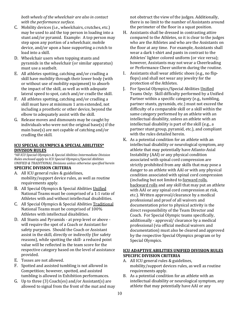both wheels of the wheelchair are also in contact with the performance surface.

- C. Mobility devices (i.e., wheelchairs, crutches, etc.) may be used to aid the top person in loading into a stunt and/or pyramid. Example:  $A$  top person may step upon any portion of a wheelchair, mobile device, and/or upon a base supporting a crutch to load into a skill.
- D. Wheelchair users when topping stunts and pyramids in the wheelchair (or similar apparatus) must use a seatbelt.
- E. All athletes spotting, catching and/or cradling a skill have mobility through their lower body (with or without use of mobility equipment) to absorb the impact of the skill, as well as with adequate lateral speed to spot, catch and/or cradle the skill.
- F. All athletes spotting, catching and/or cradling a skill must have at minimum 1 arm extended, not including a prosthetic or other device, beyond the elbow to adequately assist with the skill.
- G. Release moves and dismounts may be caught by individuals who were not the original base(s) if the main base(s) are not capable of catching and/or cradling the skill.

## **ICU SPECIAL OLYMPICS & SPECIAL ABILITIES\* DIVISION RULES**

\*All ICU Special Olympics & Special Abilities Intermediate Division *Rules* enclosed apply to ICU Special Olympics/Special Abilities *UNIFIED & TRADITIONAL Divisions unless otherwise specified herein*

## **SPECIFIC DIVISION CRITERIA**

- A. All ICU general rules & guidelines, mobility/support device rules, as well as routine requirements apply.
- B. All Special Olympics & Special Abilities Unified National Teams must be comprised of a 1:1 ratio of Athletes with and without intellectual disabilities.
- C. All Special Olympics & Special Abilities Traditional National Teams must be comprised of 100% Athletes with intellectual disabilities.
- D. All Stunts and Pyramids at prep level or above will require the spot of a Coach or Assistant for safety purposes. Should the Coach or Assistant assist in the skill, directly or indirectly (for safety reasons), while spotting the skill- a reduced point value will be reflected in the team score for the respective category based on the level of assistance provided.
- E. Tosses are not allowed.
- F. Spotted and assisted tumbling is not allowed in Competition; however, spotted, and assisted tumbling is allowed in Exhibition performances.
- G. Up to three  $(3)$  Coach $(es)$  and/or Assistant $(s)$  are allowed to signal from the front of the mat and may

not obstruct the view of the judges. Additionally, there is no limit to the number of Assistants around the perimeter of the floor in a squat position.

- H. Assistants shall be dressed in contrasting attire compared to the Athletes, so it is clear to the judges who are the Athletes and who are the Assistants on the floor at any time. For example, Assistants shall wear a dark t-shirt and pants in contrast to the Athletes' lighter colored uniform (or vice versa); however, Assistants may not wear a Cheerleading or Performance Cheer uniform during the routine.
- I. Assistants shall wear athletic shoes (e.g., no flipflops) and shall not wear any jewelry for the protection of the Athletes.
- J. For Special Olympics/Special Abilities Unified Teams Only: Skill difficulty performed by a Unified Partner within a specific category (e.g., tumbling, partner stunts, pyramids, etc.) must not exceed the difficulty of a comparable skill or a skill within the same category performed by an athlete with an intellectual disability, unless an athlete with an intellectual disability is part of the skill (e.g., a partner stunt group, pyramid, etc.), and compliant with the rules detailed herein.
- K. As a potential condition for an athlete with an intellectual disability or neurological symptom, any athlete that may potentially have Atlanto-Axial Instability (AAI) or any physical condition associated with spinal cord compression are strictly prohibited from any skills that may pose a danger to an athlete with AAI or with any physical condition associated with spinal cord compression (including but not limited to forward rolls, backward rolls and any skill that may put an athlete with AAI or any spinal cord compression at risk, etc.). Written approval/clearance by a medical professional and proof of all waivers and documentation prior to physical activity is the direct responsibility of the Team Director and Coach. For Special Olympic teams specifically, additionally - approval/ clearance by a medical professional (via official medical waivers and documentation) must also be cleared and approved by the respective Special Olympics program or by Special Olympics.

## **ICU ADAPTIVE ABILITIES UNIFIED DIVISION RULES SPECIFIC DIVISION CRITERIA**

- A. All ICU general rules & guidelines, mobility/support devices rules, as well as routine requirements apply.
- B. As a potential condition for an athlete with an intellectual disability or neurological symptom, any athlete that may potentially have AAI or any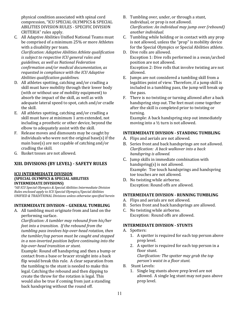physical condition associated with spinal cord compression, "ICU SPECIAL OLYMPICS & SPECIAL ABILITIES DIVISION RULES - SPECIFIC DIVISION CRITERIA" rules apply.

C. All Adaptive Abilities Unified National Teams must be comprised of a minimum 25% or more Athletes with a disability per team.

*Clarification: Adaptive Abilities Athlete qualification is subject to respective ICU general rules and guidelines, as well as National Federation*  confirmation and/or medical documentation, as *requested in compliance with the ICU Adaptive Abilities qualification guidelines.* 

- D. All athletes spotting, catching and/or cradling a skill must have mobility through their lower body (with or without use of mobility equipment) to absorb the impact of the skill, as well as with adequate lateral speed to spot, catch and/or cradle the skill.
- E. All athletes spotting, catching and/or cradling a skill must have at minimum 1 arm extended, not including a prosthetic or other device, beyond the elbow to adequately assist with the skill.
- F. Release moves and dismounts may be caught by individuals who were not the original base(s) if the main base(s) are not capable of catching and/or cradling the skill.
- G. Basket tosses are not allowed.

## **XIII. DIVISIONS (BY LEVEL) - SAFETY RULES**

#### **ICU INTERMEDIATE DIVISION (SPECIAL OLYMPICS & SPECIAL ABILITIES INTERMEDIATE DIVISIONS**

*\*All ICU Special Olympics & Special Abilities Intermediate Division Rules enclosed apply to ICU Special Olympics/Special Abilities UNIFIED & TRADITIONAL Divisions unless otherwise specified herein*

## **INTERMEDIATE DIVISION - GENERAL TUMBLING**

A. All tumbling must originate from and land on the performing surface.

*Clarification: A tumbler may rebound from his/her feet into a transition. If the rebound from the* tumbling pass involves hip-over-head rotation, then the tumbler/top person must be caught and stopped *in a non-inverted position before continuing into the hip-over-head transition or stunt.* 

Example: Round off handspring and then a bump or contact from a base or bracer straight into a back flip would break this rule. A clear separation from the tumbling to the stunt is needed to make this legal. Catching the rebound and then dipping to create the throw for the rotation is legal. This would also be true if coming from just a standing back handspring without the round off.

- B. Tumbling over, under, or through a stunt, individual, or prop is not allowed. *Clarification: An individual may jump over (rebound) another individual.*
- C. Tumbling while holding or in contact with any prop is not allowed, unless the "prop" is mobility device for the Special Olympics or Special Abilities athlete.
- D. Dive rolls are allowed. Exception 1: Dive rolls performed in a swan/arched position are not allowed. Exception 2: Dive rolls that involve twisting are not allowed.
- E. Jumps are not considered a tumbling skill from a legalities point of view. Therefore, if a jump skill is included in a tumbling pass, the jump will break up the pass.
- F. There is no twisting or turning allowed after a back handspring step out. The feet must come together after the skill is completed prior to twisting or turning.

Example: A back handspring step out immediately moving into a  $\frac{1}{2}$  turn is not allowed.

## **INTERMEDIATE DIVISION - STANDING TUMBLING**

- A. Flips and aerials are not allowed.
- B. Series front and back handsprings are not allowed. *Clarification: A back walkover into a back handspring is allowed.*
- C. Jump skills in immediate combination with handspring(s) is not allowed. Example: Toe touch handsprings and handspring toe touches are not allowed.
- D. No twisting while airborne. Exception: Round offs are allowed.

### **INTERMEDIATE DIVISION - RUNNING TUMBLING**

- A. Flips and aerials are not allowed.
- B. Series front and back handsprings are allowed.
- C. No twisting while airborne. Exception: Round offs are allowed.

#### **INTERMEDIATE DIVISION - STUNTS**

- A. Spotters:
	- 1. A spotter is required for each top person above prep level.
	- 2. A spotter is required for each top person in a floor stunt. *Clarification: The spotter may grab the top person's* waist in a floor stunt.
- B*.*  Stunt Levels:
	- 1. Single leg stunts above prep level are not allowed. A single leg stunt may not pass above prep level.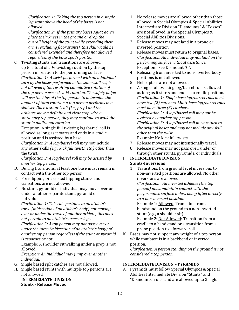*Clarification 1: Taking the top person in a single leg* stunt above the head of the bases is not *allowed.* 

*Clarification 2: If the primary bases squat down, place their knees in the ground or drop the overall height of the stunt while extending their* arms (excluding floor stunts), this skill would be *considered extended and therefore not allowed, regardless of the back spot's position.* 

C. Twisting stunts and transitions are allowed up to a total of a  $\frac{1}{2}$  twisting rotation by the top person in relation to the performing surface. *Clarification 1: A twist performed with an additional* turn by the bases performed in the same skill set, is not allowed if the resulting cumulative rotation of *the top person exceeds a*  $\frac{1}{2}$  rotation. The safety judge will use the hips of the top person to determine the *amount of total rotation a top person performs in a skill set. Once a stunt is hit (i.e., prep)* and the *athletes show a definite and clear stop with a*  stationary top person, they may continue to walk the *stunt in additional rotation.*

Exception: A single full twisting  $log/b$ arrel roll is allowed as long as it starts and ends in a cradle position and is assisted by a base.

*Clarification 2: A log/barrel roll may not include* any other skills (e.g., kick full twists, etc.) other than the twist.

*Clarification 3: A log/barrel roll may be assisted by another top person.*

- D. During transitions, at least one base must remain in contact with the other top person.
- E. Free flipping or assisted flipping stunts and transitions are not allowed.
- F. No stunt, pyramid or individual may move over or under another separate stunt, pyramid or individual

*Clarification 1: This rule pertains to an athlete's* torso (midsection of an athlete's body) not moving *over or under the torso of another athlete; this does not pertain to an athlete's arms or legs.* 

*Clarification 2: A top person may not pass over or under the torso (midsection of an athlete's body)* of another top person regardless if the stunt or pyramid *is* separate or not.

Example: A shoulder sit walking under a prep is not allowed.

*Exception: An individual may jump over another individual.* 

- G. Single based split catches are not allowed.
- H. Single based stunts with multiple top persons are not allowed.
- **I. INTERMEDIATE DIVISION Stunts - Release Moves**
- 1. No release moves are allowed other than those allowed in Special Olympics & Special Abilities Intermediate Division "Dismounts" & "Tosses" are not allowed in the Special Olympics & Special Abilities Divisions.
- 2. Release moves may not land in a prone or inverted position.
- 3. Release moves must return to original bases. *Clarification: An individual may not land on the performing surface without assistance.* Exception: See Dismount "C".
- 4. Releasing from inverted to non-inverted body positions is not allowed.
- 5. Helicopters are not allowed.
- 6. A single full twisting  $log/b$ arrel roll is allowed as long as it starts and ends in a cradle position. *Clarification 1: Single base log/barrel rolls must* have two (2) catchers. Multi-base log/barrel rolls *must have three* (3) catchers. *Clarification 2: A log/barrel roll may not be assisted by another top person. Clarification 3: A log/barrel roll must return to* the original bases and may not include any skill *other than the twist.* Example: No kick full twists.
- 7. Release moves may not intentionally travel.
- 8. Release moves may not pass over, under or through other stunts, pyramids, or individuals.

## **I. INTERMEDIATE DIVISION Stunts-Inversions**

1. Transitions from ground level inversions to non-inverted positions are allowed. No other inversions are allowed. *Clarification: All inverted athletes (the top* 

*person)* must maintain contact with the *performance surface unless being lifted directly*  to a non-inverted position.

Example 1: **Allowed**: Transition from a handstand on the ground to a non-inverted stunt (e.g., a shoulder sit).

Example 2: Not Allowed: Transition from a cradle to a handstand or a transition from a prone position to a forward roll.

K. Bases may not support any weight of a top person while that base is in a backbend or inverted position. *Clarification: A person standing on the ground is not considered a top person.* 

## **INTERMEDIATE DIVISION - PYRAMIDS**

A. Pyramids must follow Special Olympics & Special Abilities Intermediate Division "Stunts" and "Dismounts" rules and are allowed up to 2 high.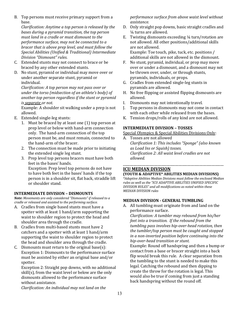B. Top persons must receive primary support from a base.

*Clarification: Anytime a top person is released by the* bases during a pyramid transition, the top person must land in a cradle or must dismount to the *performance surface, may not be connected to a bracer that is above prep level, and must follow the* Special Abilities (Unified & Traditional) Intermediate *Division "Dismount" rules*.

- C. Extended stunts may not connect to brace or be braced by any other extended stunts.
- D. No stunt, pyramid or individual may move over or under another separate stunt, pyramid or individual.

*Clarification: A top person may not pass over or under the torso (midsection of an athlete's body)* of another top person regardless if the stunt or pyramid *is separate* or *not.* 

Example: A shoulder sit walking under a prep is not allowed.

- E. Extended single-leg stunts:
	- 1. Must be braced by at least one  $(1)$  top person at prep level or below with hand-arm connection only. The hand-arm connection of the top person must be, and must remain, connected to the hand-arm of the bracer.
	- 2. The connection must be made prior to initiating the extended single leg stunt.
	- 3. Prep level top persons bracers must have both feet in the bases' hands.

Exception: Prep level top persons do not have to have both feet in the bases' hands if the top person is in a shoulder sit, flat back, straddle lift or shoulder stand.

## **INTERMEDIATE DIVISION – DISMOUNTS**

*Note: Movements are only considered "Dismounts" if released to a cradle or released and assisted to the performing surface.* 

- A. Cradles from single based stunts must have a spotter with at least 1 hand/arm supporting the waist to shoulder region to protect the head and shoulder area through the cradle.
- B. Cradles from multi-based stunts must have 2 catchers and a spotter with at least 1 hand/arm supporting the waist to shoulder region to protect the head and shoulder area through the cradle.
- C. Dismounts must return to the original base(s): Exception 1: Dismounts to the performance surface must be assisted by either an original base and/or spotter.

Exception 2: Straight pop downs, with no additional  $skill(s)$ , from the waist level or below are the only dismounts allowed to the performance surface without assistance.

*performance surface from above waist level without assistance.*

- D. Only straight pop downs, basic straight cradles and 1/<sub>4</sub> turns are allowed.
- E. Twisting dismounts exceeding  $\frac{1}{4}$  turn/rotation are not allowed. All other positions/additional skills are not allowed. Example: Toe touch, pike, tuck, etc. positions / additional skills are not allowed in the dismount.
- F. No stunt, pyramid, individual, or prop may move over or under a dismount, and a dismount may not be thrown over, under, or through stunts, pyramids, individuals, or props.
- G. Cradles from extended single-leg stunts in pyramids are allowed.
- H. No free flipping or assisted flipping dismounts are allowed.
- I. Dismounts may not intentionally travel.
- J. Top persons in dismounts may not come in contact with each other while released from the bases.
- K. Tension drops/rolls of any kind are not allowed.

## **INTERMEDIATE DIVISION - TOSSES**

Special Olympics & Special Abilities Divisions Only:

A. Tosses are not allowed *Clarification 1: This includes "Sponge" (also known as Load Ins or Squish) tosses. Clarification 2: All waist level cradles are not allowed.* 

\_\_\_\_\_\_\_\_\_\_\_\_\_\_\_\_\_\_\_\_\_\_\_\_\_\_\_\_\_\_\_\_\_\_\_\_\_\_\_\_\_\_\_\_\_\_\_\_\_\_\_\_\_\_\_\_\_\_

## **ICU MEDIAN DIVISION**

#### **(YOUTH & ADAPTIVE\* ABILITIES MEDIAN DIVISIONS)**

\*Adaptive Abilities Median Divisions must follow the enclosed Median rules as well as the "ICU ADAPTIVE ABILITIES UNIFIED SPECIFIC *DIVISION RULES" and all modifications as noted within these MEDIAN DIVISION rules*

## **MEDIAN DIVISION - GENERAL TUMBLING**

A. All tumbling must originate from and land on the performance surface.

*Clarification: A tumbler may rebound from his/her feet into a transition. If the rebound from the* tumbling pass involves hip-over-head rotation, then *the tumbler/top person must be caught and stopped in a non-inverted position before continuing into the hip-over-head transition or stunt.* 

Example: Round off handspring and then a bump or contact from a base or bracer straight into a back flip would break this rule. A clear separation from the tumbling to the stunt is needed to make this legal. Catching the rebound and then dipping to create the throw for the rotation is legal. This would also be true if coming from just a standing back handspring without the round off.

*Clarification: An individual may not land on the*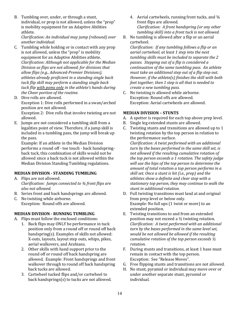B. Tumbling over, under, or through a stunt, individual, or prop is not allowed, unless the "prop" is mobility equipment for an Adaptive Abilities athlete. 

*Clarification: An individual may jump (rebound)* over *another individual.*

- C. Tumbling while holding or in contact with any prop is not allowed, unless the "prop" is mobility equipment for an Adaptive Abilities athlete. *Clarification: Although not applicable for the Median Division as flips are not allowed; for divisions that* allow flips (e.g., Advanced-Premier Divisions), *athletes already proficient in a standing single back tuck flip skill may perform a standing single back tuck* flip with poms only in the athlete's hands during *the Cheer portion of the routine.*
- D. Dive rolls are allowed. Exception 1: Dive rolls performed in a swan/arched position are not allowed. Exception 2: Dive rolls that involve twisting are not

allowed.

E. Jumps are not considered a tumbling skill from a legalities point of view. Therefore, if a jump skill is included in a tumbling pass, the jump will break up the pass.

Example: If an athlete in the Median Division performs a round off - toe touch - back handspringback tuck, this combination of skills would not be allowed since a back tuck is not allowed within the Median Division Standing Tumbling regulations.

## **MEDIAN DIVISION - STANDING TUMBLING**

- A. Flips are not allowed. *Clarification: Jumps connected to 3/4 front flips are also not allowed.*
- B. Series front and back handsprings are allowed.
- C. No twisting while airborne. Exception: Round offs are allowed.

## **MEDIAN DIVISION - RUNNING TUMBLING**

- A. Flips must follow the enclosed conditions:
	- 1. Back flips may ONLY be performance in tuck position only from a round off or round off back handspring(s). Examples of skills not allowed: X-outs, layouts, layout step outs, whips, pikes, aerial walkovers, and Arabians.
	- 2. Other skills with hand support prior to the round off or round off back handspring are allowed. Example: Front handsprings and front walkover through to round off back handspring back tucks are allowed.
	- 3. Cartwheel tucked flips and/or cartwheel to back handsprings(s) to tucks are not allowed.
- 4. Aerial cartwheels, running front tucks, and  $\frac{3}{4}$ front flips are allowed. *Clarification: A front handspring (or any other* tumbling skill) into a front tuck is not allowed.
- B. No tumbling is allowed after a flip or an aerial cartwheel.

*Clarification: If any tumbling follows a flip or an* aerial cartwheel, at least 1 step into the next tumbling skills must be included to separate the 2 *passes. Stepping out of a flip is considered a continuation of the same tumbling pass. An athlete must take an additional step out of a flip step out. However, if the athlete(s) finishes the skill with both feet together, then 1 step is all that is needed to create a new tumbling pass.* 

C. No twisting is allowed while airborne. Exception: Round offs are allowed. Exception: Aerial cartwheels are allowed.

## **MEDIAN DIVISION - STUNTS**

- A. A spotter is required for each top above prep level.
- B. Single leg extended stunts are allowed.
- C. Twisting stunts and transitions are allowed up to 1 twisting rotation by the top person in relation to the performance surface.

*Clarification: A twist performed with an additional* turn by the bases performed in the same skill set, is not allowed if the resulting cumulative rotation of *the top person exceeds a 1 rotation. The safety judge* will use the hips of the top person to determine the amount of total rotation a top person performs in a *skill set. Once a stunt is hit (i.e., prep)* and the athletes show a definite and clear stop with a stationary top person, they may continue to walk the *stunt in additional rotation.*

- D. Full twisting transitions must land at and original from prep level or below only. Example: No full ups (1 twist or more) to an extended position.
- E. Twisting transitions to and from an extended position may not exceed a  $\frac{1}{2}$  twisting rotation. *Clarification: A twist performed with an additional*  turn by the bases performed in the same level set, would be not allowed be allowed if the resulting *cumulative rotation of the top person exceeds*  $\frac{1}{2}$ *rotation.*
- F. During stunts and transitions, at least 1 base must remain in contact with the top person. Exception: See "Release Moves".
- G. Free flipping stunts and transitions are not allowed.
- H. No stunt, pyramid or individual may move over or under another separate stunt, pyramid or individual.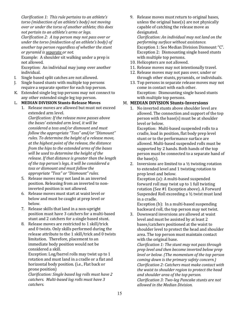*Clarification 1: This rule pertains to an athlete's torso* (midsection of an athlete's body) not moving *over or under the torso of another athlete; this does not pertain to an athlete's arms or legs.* 

*Clarification 2: A top person may not pass over or under the torso (midsection of an athlete's body)* of another top person regardless of whether the stunt *or pyramid is separate or not.*

Example: A shoulder sit walking under a prep is not allowed.

Exception: An individual may jump over another individual. 

- I. Single based split catches are not allowed.
- J. Single based stunts with multiple top persons require a separate spotter for each top person.
- K. Extended single leg top persons may not connect to any other extended single leg top person.

## L. **MEDIAN DIVISION Stunts-Release Moves**

1. Release moves are allowed but must not exceed extended arm level.

*Clarification: If the release move passes above* the bases' extended arm level, it will be *considered a toss and/or dismount and must* follow the appropriate "Toss" and/or "Dismount" *rules.* To determine the height of a release move, *at the highest point of the release, the distance from the hips to the extended arms of the bases* will be used to determine the height of the *release.* If that distance is greater than the length of the top person's legs, it will be considered a toss or dismount and must follow the *appropriate "Toss" or "Dismount" rules.*

- 5. Release moves may not land in an inverted position. Releasing from an inverted to noninverted position is not allowed.
- 6. Release moves must start at waist level or below and must be caught at prep level or below.
- 7. Release skills that land in a non-upright position must have 3 catchers for a multi-based stunt and 2 catchers for a single based stunt.
- 8. Release moves are restricted to 1 skill/trick and 0 twists. Only skills performed during the release attribute to the 1 skill/trick and 0 twists limitation. Therefore, placement to an immediate body position would not be considered a skill.

Exception: Log/barrel rolls may twist up to 1 rotation and must land in a cradle or a flat and horizontal body position. (i.e., Flat back or prone position)

*Clarification: Single based log rolls must have 2 catchers. Multi-based log rolls must have 3 catchers.* 

9. Release moves must return to original bases, unless the original base(s) are not physically capable of catching the release move as designated.

*Clarification: An individual may not land on the performing surface without assistance.* Exception 1: See Median Division Dismount "C". Exception 2: Dismounting single based stunts with multiple top persons.

- 10. Helicopters are not allowed.
- 11. Release moves may not intentionally travel.
- 12. Release moves may not pass over, under or through other stunts, pyramids, or individuals.
- 13. Top persons in separate release moves may not come in contact with each other. Exception: Dismounting single based stunts with multiple top persons.

## M. **MEDIAN DIVISION Stunts-Inversions**

1. No inverted stunts above shoulder level are allowed. The connection and support of the top person with the base(s) must be at shoulder level or below.

Exception: Multi-based suspended rolls to a cradle, load in position, flat body prep level stunt or to the performance surface are allowed. Multi-based suspended rolls must be supported by 2 hands. Both hands of the top person must be connected to a separate hand of the base $(s)$ .

2. Inversions are limited to a  $\frac{1}{2}$  twisting rotation to extended level and 1 twisting rotation to prep level and below.

Exception (a): A multi-based suspended forward roll may twist up to 1 full twisting rotation (See #1 Exception above). A Forward Suspended Roll exceeding a  $\frac{1}{2}$  twist must land in a cradle.

Exception  $(b)$ : In a multi-based suspending backward roll, the top person may not twist.

3. Downward inversions are allowed at waist level and must be assisted by at least 2 bases/catchers positioned at the waist to shoulder level to protect the head and shoulder area. The top person must maintain contact with the original base.

*Clarification 1: The stunt may not pass through prep level and then become inverted below prep level* or *below.* (The momentum of the top person *coming down is the primary safety concern.) Clarification 2: Catchers must make contact with* the waist to shoulder region to protect the head *and shoulder area of the top person. Clarification 3: Two-leg Pancake stunts are not allowed in the Median Division.*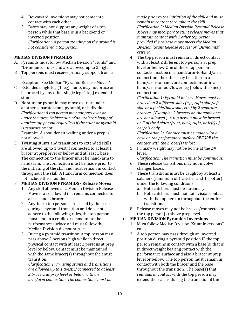- 4. Downward inversions may not come into contact with each other.
- 5. Bases may not support any weight of a top person while that base is in a backbend or inverted position. *Clarification: A person standing on the ground is not considered a top person.*

## **MEDIAN DIVISION PYRAMIDS**

- A. Pyramids must follow Median Division "Stunts" and "Dismounts" rules and are allowed up to 2 high.
- B. Top persons must receive primary support from a base.

Exception: See Median "Pyramid Release Moves"

- C. Extended single leg (1 leg) stunts may not brace or be braced by any other single  $leg(1leg)$  extended stunts.
- D. No stunt or pyramid may move over or under another separate stunt, pyramid, or individual. *Clarification: A top person may not pass over or under the torso (midsection of an athlete's body)* of another top person regardless if the stunt or pyramid *is separate or not.*

Example: A shoulder sit walking under a prep is not allowed.

E. Twisting stunts and transitions to extended skills are allowed up to 1 twist if connected to at least 1 bracer at prep level or below and at least 1 base. The connection to the bracer must be hand/arm to hand/arm. The connection must be made prior to the initiating of the skill and must remain in contact throughout the skill. A Hand/arm connection does not include the shoulder.

## F. **MEDIAN DIVISION PYRAMIDS - Release Moves**

- 1. Any skill allowed as a Median Division Release Move is also allowed if it remains connected to a base and 2 bracers.
- 2. Anytime a top person is released by the bases during a pyramid transition and does not adhere to the following rules, the top person must land in a cradle or dismount to the performance surface and must follow the Median Division dismount rules.
- 3. During a pyramid transition, a top person may pass above 2 persons high while in direct physical contact with at least 2 persons at prep level or below. Contact must be maintained with the same bracer(s) throughout the entire transition.

*Clarification 1: Twisting stunts and transitions* are allowed up to 1 twist, if connected to at least *2 bracers at prep level or below with an arm/arm connection. The connections must be* 

*made prior to the initiation of the skill and must remain in contact throughout the skill. Clarification 2: Median Division Pyramid Release Moves* may incorporate stunt release moves that *maintain contact with 1 other top person provided the release move meets the Median Division "Stunt Release Moves" or "Dismounts" criteria.* 

4. The top person must remain in direct contact with at least 2 different top persons at prep level or below. One of these top person contacts must be in a hand/arm-to-hand/arm connection; the other may be either in a hand/arm-to-hand/are connections or in a hand/arm-to-foot/lower leg (below the knee) connection. 

*Clarification 1: Pyramid Release Moves must be braced on 2 different sides (e.g., right side/left*  side or left side/back side, etc.) by 2 separate *bracers.* (*Example: 2 bracers on the same arm* are not allowed.) A top person must be braced *on 2 of the 4 sides (front, back, right, or left) of*  her/his body.

*Clarification 2: Contact must be made with a* base on the performance surface BEFORE the *contact with the bracer(s)* is *lost.* 

5. Primary weight may not be borne at the  $2^{nd}$ level.

*Clarification: The transition must be continuous.* 

- 6. These release transitions may not involve changes bases.
- 7. These transitions must be caught by at least 2 catchers (minimum of 1 catcher and 1 spotter) under the following conditions:
	- a. Both catchers must be stationary.
	- b. Both catchers must maintain visual contact with the top person throughout the entire transition.
- 8. Release moves may not be braced/connected to the top person(s) above prep level.

## G. **MEDIAN DIVISION Pyramids-Inversions**

- 1. Must follow Median Division "Stunt Inversions" rules.
- 2. A top person may pass through an inverted position during a pyramid position IF the top person remains in contact with a base(s) that is in direct weight bearing contact with the performance surface and also a bracer at prep level or below. The top person must remain in contact with both the bracer and the base throughout the transition. The base(s) that remains in contact with the top person may extend their arms during the transition if the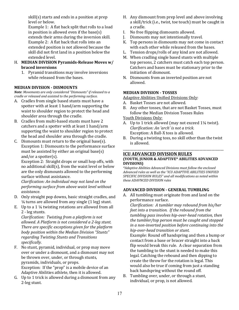$skill(s)$  starts and ends in a position at prep level or below.

Example 1: A flat back split that rolls to a load in position is allowed even if the base(s) extends their arms during the inversion skill. Example 2: A flat back that rolls into an extended position is not allowed because the skill did not first land in a position below the extended level. 

- H. **MEDIAN DIVISION Pyramids-Release Moves w/ braced inversions**
	- 1. Pyramid transitions may involve inversions while released from the bases.

## **MEDIAN DIVISION - DISMOUNTS**

*Note: Movements are only considered "Dismounts" if released to a cradle or released and assisted to the performing surface.* 

- A. Cradles from single based stunts must have a spotter with at least 1 hand/arm supporting the waist to shoulder region to protect the head and shoulder area through the cradle.
- B. Cradles from multi-based stunts must have 2 catchers and a spotter with at least 1 hand/arm supporting the waist to shoulder region to protect the head and shoulder area through the cradle.
- C. Dismounts must return to the original base(s). Exception 1: Dismounts to the performance surface must be assisted by either an original base(s) and/or a spotter(s).

Exception 2: Straight drops or small hop offs, with no additional skill(s), from the waist level or below are the only dismounts allowed to the performing surface without assistance.

*Clarification: An individual may not land on the performing surface from above waist level without assistance.*

- D. Only straight pop downs, basic straight cradles, and  $\frac{1}{4}$  turns are allowed from any single  $(1 \text{ leg})$  stunt.
- E. Up to a 1  $\frac{1}{4}$  twisting rotations are allowed from all 2 - leg stunts.

*Clarification: Twisting from a platform is not* allowed. A Platform is not considered a 2-leg stunt. *There are specific exceptions given for the platform body position within the Median Division "Stunts" regarding Twisting Stunts and Transitions specifically.* 

- F. No stunt, pyramid, individual, or prop may move over or under a dismount, and a dismount may not be thrown over, under, or through stunts, pyramids, individuals, or props. Exception: If the "prop" is a mobile device of an Adaptive Abilities athlete, then it is allowed.
- G. Up to 1 trick is allowed during a dismount from any 2-leg stunt.
- H. Any dismount from prep level and above involving a skill/trick (i.e., twist, toe touch) must be caught in a cradle.
- I. No free flipping dismounts allowed.
- J. Dismounts may not intentionally travel.
- K. Top persons in dismounts may not come in contact with each other while released from the bases.
- L. Tension drops/rolls of any kind are not allowed.
- M. When cradling single based stunts with multiple top persons, 2 catchers must catch each top person. Catchers and bases must be stationary prior to the initiation of dismount.
- N. Dismounts from an inverted position are not allowed.

## **MEDIAN DIVISION - TOSSES**

Adaptive Abilities Unified Divisions Only:

- A. Basket Tosses are not allowed.
- B. Any other tosses, that are not Basket Tosses, must follow the Median Division Tosses Rules

Youth Divisions Only:

- A. Up to 1 trick allowed (may not exceed  $1\frac{1}{4}$  twist). *Clarification: An 'arch' is not a trick.* Exception: A Ball-X toss is allowed.
- B. During a twisting toss, no skill other than the twist is allowed.

#### \_\_\_\_\_\_\_\_\_\_\_\_\_\_\_\_\_\_\_\_\_\_\_\_\_\_\_\_\_\_\_\_\_\_\_\_\_\_\_\_\_\_\_\_\_\_\_\_\_\_\_\_\_\_\_\_\_\_ **ICU ADVANCED DIVISION RULES (YOUTH, JUNIOR & ADAPTIVE\* ABILITIES ADVANCED DIVISIONS)**

\*Adaptive Abilities Advanced Divisions must follow the enclosed Advanced rules as well as the "ICU ADAPTIVE ABILITIES UNIFIED SPECIFIC DIVISION RULES" and all modifications as noted within *these ADAVNCED DIVISION rules*

## **ADVANCED DIVISION - GENERAL TUMBLING**

A. All tumbling must originate from and land on the performance surface. 

*Clarification: A tumbler may rebound from his/her feet into a transition. If the rebound from the* tumbling pass involves hip-over-head rotation, then *the tumbler/top person must be caught and stopped in a non-inverted position before continuing into the hip-over-head transition or stunt.* 

Example: Round off handspring and then a bump or contact from a base or bracer straight into a back flip would break this rule. A clear separation from the tumbling to the stunt is needed to make this legal. Catching the rebound and then dipping to create the throw for the rotation is legal. This would also be true if coming from just a standing back handspring without the round off.

B. Tumbling over, under, or through a stunt, individual, or prop, is not allowed.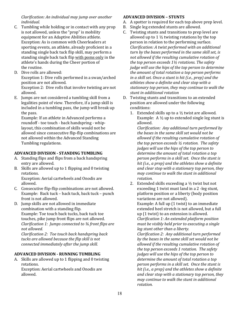*Clarification: An individual may jump over another individual.*

- C. Tumbling while holding or in contact with any prop is not allowed, unless the "prop" is mobility equipment for an Adaptive Abilities athlete. Exception: As is common with Cheerleaders at sporting events, an athlete, already proficient in a standing single back tuck flip skill, may perform a standing single back tuck flip with poms only in the athlete's hands during the Cheer portion of the routine.
- D. Dive rolls are allowed: Exception 1: Dive rolls performed in a swan/arched position are not allowed. Exception 2: Dive rolls that involve twisting are not allowed.
- E. Jumps are not considered a tumbling skill from a legalities point of view. Therefore, if a jump skill is included in a tumbling pass, the jump will break up the pass.

Example: If an athlete in Advanced performs a roundoff - toe touch - back handspring - whiplayout, this combination of skills would not be allowed since consecutive flip-flip combinations are not allowed within the Advanced Standing Tumbling regulations.

## **ADVANCED DIVISION - STANDING TUMBLING**

- A. Standing flips and flips from a back handspring entry are allowed.
- B. Skills are allowed up to 1 flipping and 0 twisting rotations. Exception: Aerial cartwheels and Onodis are
- allowed. C. Consecutive flip-flip combinations are not allowed. Example: Back tuck - back tuck, back tuck - punch front is not allowed.
- D. Jump skills are not allowed in immediate combination with a standing flip. Example: Toe touch back tucks, back tuck toe touches, pike jump front flips are not allowed. *Clarification 1: Jumps connected to 34 front flips are not allowed.*

*Clarification 2: Toe touch back handspring back* tucks are allowed because the flip skill is not *connected immediately after the jump skill.* 

## **ADVANCED DIVISION - RUNNING TUMBLING**

A. Skills are allowed up to 1 flipping and 0 twisting rotations. Exception: Aerial cartwheels and Onodis are allowed.

## **ADVANCED DIVISION – STUNTS**

- A. A spotter is required for each top above prep level.
- B. Single leg extended stunts are allowed.
- C. Twisting stunts and transitions to prep level are allowed up to 1  $\frac{1}{2}$  twisting rotations by the top person in relation to the performing surface. *Clarification: A twist performed with an additional*  turn by the bases performed in the same skill set, is *not allowed if the resulting cumulative rotation of the top person exceeds*  $1\frac{1}{2}$  rotations. The safety *judge* will use the hips of the top person to determine *the amount of total rotation a top person performs in* a skill set. Once a stunt is hit (i.e., prep) and the athletes show a definite and clear stop with a stationary top person, they may continue to walk the *stunt in additional rotation*
- D. Twisting stunts and transitions to an extended position are allowed under the following conditions:
	- 1. Extended skills up to a  $\frac{1}{2}$  twist are allowed. Example: A  $\frac{1}{2}$  up to extended single leg stunt is allowed.

*Clarification: Any additional turn performed by* the bases in the same skill set would not be allowed if the resulting cumulative rotation of *the top person exceeds*  $\frac{1}{2}$  rotation. The safety *judges* will use the hips of the top person to determine the amount of total rotation a top *person performs in a skill set. Once the stunt is* hit (i.e., a prep) and the athletes show a definite and clear stop with a stationary top person, they *may continue to walk the stunt in additional rotation.* 

2. Extended skills exceeding a  $\frac{1}{2}$  twist but not exceeding 1 twist must land in a 2 -leg stunt, platform position or a liberty (body position variations are not allowed). Example: A full up (1 twist) to an immediate extended heel stretch is not allowed, but a full up  $(1$  twist) to an extension is allowed. *Clarification 1: An extended platform position must be visibly held prior to executing a single leg* stunt other than a liberty.

*Clarification 2: Any additional turn performed*  by the bases in the same skill set would not be allowed if the resulting cumulative rotation of *the top person exceeds 1 rotation. The safety judges* will use the hips of the top person to determine the amount of total rotation a top *person performs in a skill set. Once the stunt is* hit (i.e., a prep) and the athletes show a definite and clear stop with a stationary top person, they *may continue to walk the stunt in additional rotation.*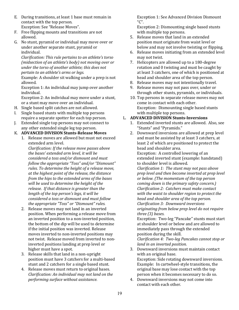- E. During transitions, at least 1 base must remain in contact with the top person. Exception: See "Release Moves".
- F. Free flipping mounts and transitions are not allowed.
- G. No stunt, pyramid or individual may move over or under another separate stunt, pyramid or individual.

*Clarification: This rule pertains to an athlete's torso (midsection of an athlete's body)* not moving over or *under the torso of another athlete; this does not pertain to an athlete's arms or legs.* 

Example: A shoulder sit walking under a prep is not allowed.

Exception 1: An individual may jump over another individual. 

Exception 2: An individual may move under a stunt, or a stunt may move over an individual.

- H. Single based split catches are not allowed.
- I. Single based stunts with multiple top persons require a separate spotter for each top person.
- J. Extended single top persons may not connect to any other extended single leg top person.
- K. **ADVANCED DIVISION Stunts-Release Moves** 
	- 1. Release moves are allowed but must not exceed extended arm level.

*Clarification: If the release move passes above* the bases' extended arm level, it will be *considered a toss and/or dismount and must*  follow the appropriate "Toss" and/or "Dismount" *rules.* To determine the height of a release move, *at the highest point of the release, the distance from the hips to the extended arms of the bases* will be used to determine the height of the *release.* If that distance is greater than the *length of the top person's legs, it will be considered a toss or dismount and must follow*  the appropriate "Toss" or "Dismount" rules.

- 2. Release moves may not land in an inverted position. When performing a release move from an inverted position to a non-inverted position, the bottom of the dip will be used to determine if the initial position was inverted. Release moves inverted to non-inverted positions may not twist. Release moved from inverted to noninverted positions landing at prep level or higher must have a spot.
- 3. Release skills that land in a non-upright position must have 3 catchers for a multi-based stunt and 2 catchers for a single based stunt.
- 4. Release moves must return to original bases. *Clarification: An individual may not land on the performing surface without assistance.*

Exception 1: See Advanced Division Dismount "C".

Exception 2: Dismounting single based stunts with multiple top persons.

- 5. Release moves that land in an extended position must originate from waist level or below and may not involve twisting or flipping.
- 6. Release moves initiating from an extended level may not twist.
- 7. Helicopters are allowed up to a 180-degree rotation and 0 twisting and must be caught by at least 3 catchers, one of which is positioned at head and shoulder area of the top person.
- 8. Release moves may not intentionally travel.
- 9. Release moves may not pass over, under or through other stunts, pyramids, or individuals.
- 10. Top persons in separate release moves may not come in contact with each other. Exception: Dismounting single based stunts with multiple top persons.

## L. **ADVANCED DIVISION Stunts-Inversions**

- 1. Extended inverted stunts are allowed. Also, see "Stunts" and "Pyramids."
- 2. Downward inversions are allowed at prep level and must be assisted by at least 3 catchers, at least 2 of which are positioned to protect the head and shoulder area.

Exception: A controlled lowering of an extended inverted stunt (example: handstand) to shoulder level is allowed.

*Clarification 1: The stunt may not pass above prep level and then become inverted at prep level*  or below. (The momentum of the top person *coming down is the primary safety concern.) Clarification 2: Catchers must make contact*  with the waist to shoulder region to protect the *head and shoulder area of the top person. Clarification 3: Downward inversions originating from below prep level do not require three (3) bases.*

Exception: Two-leg "Pancake" stunts must start at shoulder level or below and are allowed to immediately pass through the extended position during the skill.

*Clarification 4: Two-leg Pancakes cannot stop or land in an inverted position.* 

- 3. Downward inversions must maintain contact with an original base. Exception: Side rotating downward inversions. Example: In cartwheel-style transitions, the original base may lose contact with the top person when it becomes necessary to do so.
- 4. Downward inversions may not come into contact with each other.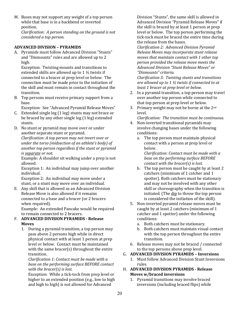M. Bases may not support any weight of a top person while that base is in a backbend or inverted position.

*Clarification: A person standing on the ground is not considered a top person.* 

## **ADVANCED DIVISION – PYRAMIDS**

A. Pyramids must follow Advanced Division "Stunts" and "Dismounts" rules and are allowed up to 2 high.

Exception: Twisting mounts and transitions to extended skills are allowed up to  $1\frac{1}{2}$  twists if connected to a bracer at prep level or below. The connection must be made prior to the initiation of the skill and must remain in contact throughout the transition. 

B. Top persons must receive primary support from a base.

Exception: See "Advanced Pyramid Release Moves"

- C. Extended single  $leg(1leg)$  stunts may not brace or be braced by any other single  $leg(1leg)$  extended stunts.
- D. No stunt or pyramid may move over or under another separate stunt or pyramid. *Clarification: A top person may not invert over or under the torso (midsection of an athlete's body)* of another top person regardless if the stunt or pyramid *is separate or not.*

Example: A shoulder sit walking under a prep is not allowed.

Exception 1: An individual may jump over another individual. 

Exception 2: An individual may move under a stunt, or a stunt may move over an individual.

E. Any skill that is allowed as an Advanced Division Release Move is also allowed if it remains connected to a base and a bracer (or 2 bracers when required).

Example: An extended Pancake would be required to remain connected to 2 bracers.

## F. **ADVANCED DIVISION PYRAMIDS - Release Moves**

1. During a pyramid transition, a top person may pass above 2 persons high while in direct physical contact with at least 1 person at prep level or below. Contact must be maintained with the same bracer(s) throughout the entire transition. 

*Clarification 1: Contact must be made with a* base on the performing surface BEFORE contact *with the bracer(s)* is lost.

Exception: While a tick-tock from prep level or higher to an extended position (e.g., low to high and high to high) is not allowed for Advanced

Division "Stunts", the same skill is allowed in Advanced Division "Pyramid Release Moves" if the skill is braced by at least 1 person at prep level or below. The top person performing the tick-tock must be braced the entire time during the release from the bases.

*Clarification 2: Advanced Division Pyramid Release Moves may incorporate stunt release*  moves that maintain contact with 1 other top *person provided the release move meets the Advanced Division "Stunt Release Moves" or "Dismounts" criteria.* 

*Clarification 3: Twisting stunts and transitions* are allowed up to 1  $\frac{1}{2}$  twists if connected to at *least 1 bracer at prep level or below.* 

- 2. In a pyramid transition, a top person may travel over another top person while connected to that top person at prep level or below.
- 3. Primary weight may not be borne at the  $2<sup>nd</sup>$ level.

*Clarification: The transition must be continuous.*

- 4. Non-inverted transitional pyramids may involve changing bases under the following conditions:
	- a. The top person must maintain physical contact with a person at prep level or below.

*Clarification: Contact must be made with a* base on the performing surface **BEFORE** *contact with the bracer(s)* is lost.

- b. The top person must be caught by at least 2 catchers (minimum of 1 catcher and 1 spotter). Both catchers must be stationary and may not be involved with any other skill or choreography when the transition is initiated. (The dip to throw the top person is considered the initiation of the skill).
- 5. Non-inverted pyramid release moves must be caught by at least 2 catchers (minimum of 1) catcher and 1 spotter) under the following conditions:
	- a. Both catchers must be stationary.
	- b. Both catchers must maintain visual contact with the top person throughout the entire transition.
- 6. Release moves may not be braced / connected to the top persons above prep level.

## G. **ADVANCED DIVISION PYRAMIDS – Inversions**

- 1. Must follow Advanced Division Stunt Inversions rules.
- **H. ADVANCED DIVISION PYRAMIDS Release Moves w/braced inversions**
	- 1. Pyramid transitions may involve braced inversions (including braced flips) while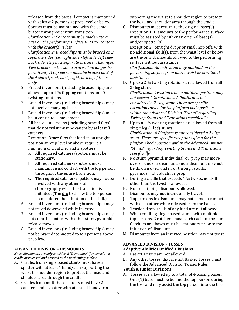released from the bases if contact is maintained with at least 2 persons at prep level or below. Contact must be maintained with the same bracer throughout entire transition.

*Clarification 1: Contact must be made with a*  base on the performing surface **BEFORE** contact *with the bracer(s)* is lost.

*Clarification 2: Braced flips must be braced on 2* separate sides (i.e., right side - left side, left side*back side, etc.) by 2 separate bracers. (Example:* Two bracers on the same arm will no longer be *permitted*). A top person must be braced on 2 of *the 4 sides (front, back, right, or left) of their body.* 

- 2. Braced inversions (including braced flips) are allowed up to 1  $\frac{1}{4}$  flipping rotations and 0 twisting rotations.
- 3. Braced inversions (including braced flips) may not involve changing bases.
- 4. Braced inversions (including braced flips) must be in continuous movement.
- 5. All braced inversions (including braced flips) that do not twist must be caught by at least 3 catchers.

Exception: Brace flips that land in an upright position at prep level or above require a minimum of 1 catcher and 2 spotters.

- a. All required catchers/spotters must be stationary.
- b. All required catchers/spotters must maintain visual contact with the top person throughout the entire transition.
- c. The required catchers/spotters may not be involved with any other skill or choreography when the transition is initiated. (The dip to throw the top person is considered the initiation of the skill.)
- 6. Braced inversions (including braced flips) may not travel downward while inverted.
- 7. Braced inversions (including braced flips) may not come in contact with other stunt/pyramid release moves.
- 8. Braced inversions (including braced flips) may not be braced/connected to top persons above prep level.

## **ADVANCED DIVISION – DISMOUNTS**

*Note: Movements are only considered "Dismounts" if released to a cradle or released and assisted to the performing surface.* 

- A. Cradles from single based stunts must have a spotter with at least 1 hand/arm supporting the waist to shoulder region to protect the head and shoulder area through the cradle.
- B. Cradles from multi-based stunts must have 2 catchers and a spotter with at least 1 hand/arm

supporting the waist to shoulder region to protect the head and shoulder area through the cradle.

C. Dismounts must return to the original base(s). Exception 1: Dismounts to the performance surface must be assisted by either an original base(s) and/or spotter(s).

Exception 2: Straight drops or small hop offs, with no additional skill(s), from the waist level or below are the only dismounts allowed to the performing surface without assistance.

*Clarification: An individual may not land on the* performing surface from above waist level without *assistance.*

D. Up to a 2  $\frac{1}{4}$  twisting rotations are allowed from all 2- leg stunts.

*Clarification: Twisting from a platform position may not exceed 1 1/4 rotations. A Platform is not considered a 2 - leg stunt. There are specific* exceptions given for the platform body position within the Advanced Division "Stunts" regarding **Twisting Stunts and Transitions specifically.** 

- E. Up to a  $1\frac{1}{4}$  twisting rotations are allowed from all single leg (1 leg) stunts. *Clarification: A Platform is not considered a 2 - leg* stunt. There are specific exceptions given for the *platform body position within the Advanced Division "Stunts" regarding Twisting Stunts and Transitions specifically.*
- F. No stunt, pyramid, individual, or, prop may move over or under a dismount, and a dismount may not be thrown over, under, or through stunts, pyramids, individuals, or prop.
- G. During a cradle that exceeds  $1\frac{1}{4}$  twists, no skill other than the twist is allowed.
- H. No free flipping dismounts allowed.
- I. Dismounts may not intentionally travel.
- J. Top persons in dismounts may not come in contact with each other while released from the bases.
- K. Tension drops/rolls of any kind are not allowed.
- L. When cradling single based stunts with multiple top persons, 2 catchers must catch each top person. Catchers and bases must be stationary prior to the initiation of dismount.
- M. Dismounts from an inverted position may not twist.

#### **ADVANCED DIVISION - TOSSES Adaptive Abilities Unified Divisions**

- A. Basket Tosses are not allowed
- B. Any other tosses, that are not Basket Tosses, must follow the Advanced Division Tosses Rules

## Youth & Junior Divisions

A. Tosses are allowed up to a total of 4 tossing bases. One  $(1)$  base must be behind the top person during the toss and may assist the top person into the toss.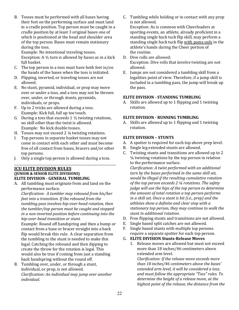B. Tosses must be performed with all bases having their feet on the performing surface and must land in a cradle position. Top person must be caught in a cradle position by at least 3 original bases one of which is positioned at the head and shoulder area of the top person. Bases must remain stationary during the toss.

Example: No intentional traveling tosses. Exception: A  $\frac{1}{2}$  turn is allowed by bases as in a kick full basket.

- C. The top person in a toss must have both feet in/on the hands of the bases when the toss is initiated.
- D. Flipping, inverted, or traveling tosses are not allowed.
- E. No stunt, pyramid, individual, or prop may move over or under a toss, and a toss may not be thrown over, under, or through stunts, pyramids, individuals, or props.
- F. Up to 2 tricks are allowed during a toss. Example: Kick full, full up toe touch.
- G. During a toss that exceeds  $1\frac{1}{2}$  twisting rotations, no skill other than the twist is allowed. Example: No kick double tosses.
- H. Tosses may not exceed  $2\frac{1}{4}$  twisting rotations.
- I. Top persons in separate basket tosses may not come in contact with each other and must become free of all contact from bases, bracers and/or other top persons.
- J. Only a single top person is allowed during a toss.

\_\_\_\_\_\_\_\_\_\_\_\_\_\_\_\_\_\_\_\_\_\_\_\_\_\_\_\_\_\_\_\_\_\_\_\_\_\_\_\_\_\_\_\_\_\_\_\_\_\_\_\_\_\_\_\_\_\_\_\_\_\_\_\_

## **ICU ELITE DIVISION RULES (JUNIOR & SENIOR ELITE DIVISIONS) ELITE DIVISION - GENERAL TUMBLING**

A. All tumbling must originate from and land on the performance surface. 

*Clarification: A tumbler may rebound from his/her feet into a transition. If the rebound from the* tumbling pass involves hip-over-head rotation, then the tumbler/top person must be caught and stopped *in a non-inverted position before continuing into the hip-over-head transition or stunt.* 

Example: Round off handspring and then a bump or contact from a base or bracer straight into a back flip would break this rule. A clear separation from the tumbling to the stunt is needed to make this legal. Catching the rebound and then dipping to create the throw for the rotation is legal. This would also be true if coming from just a standing back handspring without the round off.

B. Tumbling over, under, or through a stunt, individual, or prop, is not allowed. *Clarification: An individual may jump over another individual.*

C. Tumbling while holding or in contact with any prop is not allowed.

Exception: As is common with Cheerleaders at sporting events, an athlete, already proficient in a standing single back tuck flip skill, may perform a standing single back tuck flip with poms only in the athlete's hands during the Cheer portion of the routine.

- D. Dive rolls are allowed: Exception: Dive rolls that involve twisting are not allowed.
- E. Jumps are not considered a tumbling skill from a legalities point of view. Therefore, if a jump skill is included in a tumbling pass, the jump will break up the pass.

## **ELITE DIVISION - STANDING TUMBLING**

A. Skills are allowed up to 1 flipping and 1 twisting rotation.

## **ELITE DIVISION - RUNNING TUMBLING**

A. Skills are allowed up to 1 flipping and 1 twisting rotation.

## **ELITE DIVISION – STUNTS**

- A. A spotter is required for each top above prep level.
- B. Single leg extended stunts are allowed.
- C. Twisting stunts and transitions are allowed up to 2  $\frac{1}{4}$  twisting rotations by the top person in relation to the performance surface.

*Clarification: A twist performed with an additional* turn by the bases performed in the same skill set, *would be illegal if the resulting cumulative rotation* of the top person exceeds 2  $\frac{1}{4}$  rotations. The safety *judge* will use the hips of the top person to determine *the amount of total rotation a top person performs in a skill set. Once a stunt is hit (i.e., prep)* and the *athletes show a definite and clear stop with a*  stationary top person, they may continue to walk the *stunt in additional rotation.*

- D. Free flipping stunts and transitions are not allowed.
- E. Single based split catches are not allowed.
- F. Single based stunts with multiple top persons require a separate spotter for each top person.

## G. **ELITE DIVISION Stunts-Release Moves**

1. Release moves are allowed but must not exceed more than 18 inches/46 centimeters above extended arm level.

*Clarification: If the release move exceeds more than 18 inches/46 centimeters above the bases'*  extended arm level, it will be considered a toss, *and must follow the appropriate "Toss" rules. To determine the height of a release move, at the* highest point of the release, the distance from the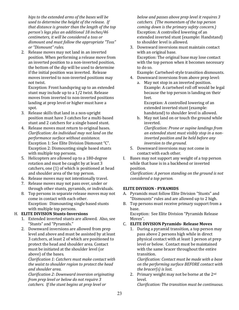hips to the extended arms of the bases will be *used to determine the height of the release.* If that distance is greater than the length of the top person's legs plus an additional 18 inches/46 *centimeters, it will be considered a toss or* dismount and must follow the appropriate "Toss" *or "Dismount" rules.*

2. Release moves may not land in an inverted position. When performing a release move from an inverted position to a non-inverted position, the bottom of the dip will be used to determine if the initial position was inverted. Release moves inverted to non-inverted positions may not twist.

Exception: Front handspring up to an extended stunt may include up to a 1/2 twist. Release moves from inverted to non-inverted positions landing at prep level or higher must have a spot.

- 3. Release skills that land in a non-upright position must have 3 catches for a multi-based stunt and 2 catchers for a single based stunt.
- 4. Release moves must return to original bases. *Clarification: An individual may not land on the performance surface without assistance.* Exception 1: See Elite Division Dismount "C". Exception 2: Dismounting single based stunts with multiple top persons.
- 5. Helicopters are allowed up to a 180-degree rotation and must be caught by at least 3 catchers, one  $(1)$  of which is positioned at head and shoulder area of the top person.
- 6. Release moves may not intentionally travel.
- 7. Release moves may not pass over, under or through other stunts, pyramids, or individuals.
- 8. Top persons in separate release moves may not come in contact with each other. Exception: Dismounting single based stunts with multiple top persons.

## H. **ELITE DIVISION Stunts-Inversions**

- 1. Extended inverted stunts are allowed. Also, see "Stunts" and "Pyramids."
- 2. Downward inversions are allowed from prep level and above and must be assisted by at least 3 catchers, at least 2 of which are positioned to protect the head and shoulder area. Contact must be initiated at the shoulder level (or above) of the bases.

*Clarification 1: Catchers must make contact with*  the waist to shoulder region to protect the head and shoulder area.

*Clarification 2: Downward inversion originating from prep level or below do not require 3 catchers.* If the stunt begins at prep level or

below and passes above prep level it requires 3 catchers. (The momentum of the top person *coming down is the primary safety concern.)* Exception: A controlled lowering of an extended inverted stunt (example: Handstand) to shoulder level is allowed.

3. Downward inversions must maintain contact with an original base. Exception: The original base may lose contact with the top person when it becomes necessary to do so.

Example: Cartwheel-style transition dismounts.

- 4. Downward inversions from above prep level:
	- a. May not stop in an inverted position. Example: A cartwheel roll off would be legal because the top person is landing on their feet.

Exception: A controlled lowering of an extended inverted stunt (example: handstand) to shoulder level is allowed.

b. May not land on or touch the ground while inverted. 

*Clarification: Prone or supine landings from* an extended stunt must visibly stop in a non*inverted position and be held before any inversion to the ground.* 

- 5. Downward inversions may not come in contact with each other.
- I. Bases may not support any weight of a top person while that base is in a backbend or inverted position.

*Clarification: A person standing on the ground is not considered a top person.* 

## **ELITE DIVISION - PYRAMIDS**

- A. Pyramids must follow Elite Division "Stunts" and "Dismounts" rules and are allowed up to 2 high.
- B. Top persons must receive primary support from a base. Exception: See Elite Division "Pyramids Release

Moves".

## C. **ELITE DIVISION Pyramids- Release Moves**

1. During a pyramid transition, a top person may pass above 2 persons high while in direct physical contact with at least 1 person at prep level or below. Contact must be maintained with the same bracer throughout the entire transition.

*Clarification: Contact must be made with a base on the performing surface BEFORE contact with the bracer(s)* is lost.

2. Primary weight may not be borne at the 2<sup>nd</sup> level.

*Clarification: The transition must be continuous.*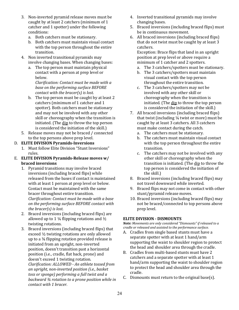- 3. Non-inverted pyramid release moves must be caught by at least 2 catchers (minimum of 1 catcher and 1 spotter) under the following conditions:
	- a. Both catchers must be stationary.
	- b. Both catchers must maintain visual contact with the top person throughout the entire transition.
- 4. Non inverted transitional pyramids may involve changing bases. When changing bases:
	- a. The top person must maintain physical contact with a person at prep level or below.

*Clarification: Contact must be made with a* **base** on the performing surface **BEFORE** *contact with the bracer(s)* is lost.

- b. The top person must be caught by at least 2 catchers (minimum of 1 catcher and 1 spotter). Both catchers must be stationary and may not be involved with any other skill or choreography when the transition is initiated. (The  $\frac{dip}{dp}$  to throw the top person is considered the initiation of the skill.)
- 5. Release moves may not be braced / connected to the top persons above prep level.

## D. **ELITE DIVISION Pyramids-Inversions**

- 1. Must follow Elite Division "Stunt Inversions" rules.
- E. **ELITE DIVISION Pyramids-Release moves w/ braced inversions**
	- 1. Pyramid transitions may involve braced inversions (including braced flips) while released from the bases if contact is maintained with at least 1 person at prep level or below. Contact must be maintained with the same bracer throughout entire transition. *Clarification: Contact must be made with a base on the performing surface BEFORE contact with the bracer(s)* is lost.
	- 2. Braced inversions (including braced flips) are allowed up to 1  $\frac{1}{4}$  flipping rotations and  $\frac{1}{2}$ twisting rotations.
	- 3. Braced inversions (including braced flips) that exceed  $\frac{1}{2}$  twisting rotations are only allowed up to a  $\frac{3}{4}$  flipping rotation provided release is initiated from an upright, non-inverted position, doesn't transition past a horizontal position (i.e., cradle, flat back, prone) and doesn't exceed 1 twisting rotation. *Clarification: ALLOWED - An athlete tossed from an upright, non-inverted position (i.e., basket toss or sponge)* performing a full twist and a *backward*  $\frac{3}{4}$  rotation to a prone position while in *contact with 1 bracer.*
- 4. Inverted transitional pyramids may involve changing bases.
- 5. Braced inversions (including braced flips) must be in continuous movement.
- 6. All braced inversions (including braced flips) that do not twist must be caught by at least 3 catchers.

Exception: Brace flips that land in an upright position at prep level or above require a minimum of 1 catcher and 2 spotters.

- a. The 3 catchers/spotters must be stationary.
- b. The 3 catchers/spotters must maintain visual contact with the top person throughout the entire transition.
- c. The 3 catchers/spotters may not be involved with any other skill or choreography when the transition is initiated. (The dip to throw the top person is considered the initiation of the skill.)
- 7. All braced inversions (including braced flips) that twist (including  $\frac{1}{4}$  twist or more) must be caught by at least 3 catchers. All 3 catchers must make contact during the catch.
	- a. The catchers must be stationary.
	- b. The catchers must maintain visual contact with the top person throughout the entire transition.
	- c. The catchers may not be involved with any other skill or choreography when the transition is initiated. (The dip to throw the top person is considered the initiation of the skill.)
- 8. Braced inversions (including braced flips) may not travel downward while inverted.
- 9. Braced flips may not come in contact with other stunt/pyramid release moves.
- 10. Braced inversions (including braced flips) may not be braced/connected to top persons above prep level.

## **ELITE DIVISION - DISMOUNTS**

*Note:* Movements are only considered "Dismounts" if released to a *cradle or released and assisted to the performance surface.* 

- A. Cradles from single based stunts must have a separate spotter with at least 1 hand/arm supporting the waist to shoulder region to protect the head and shoulder area through the cradle.
- B. Cradles from multi-based stunts must have 2 catchers and a separate spotter with at least 1 hand/arm supporting the waist to shoulder region to protect the head and shoulder area through the cradle.
- C. Dismounts must return to the original base(s).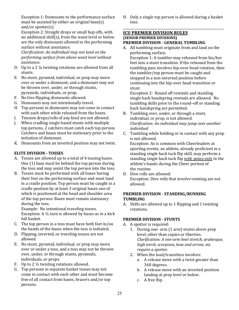Exception 1: Dismounts to the performance surface must be assisted by either an original base(s) and/or spotter(s).

Exception 2: Straight drops or small hop offs, with no additional skill(s), from the waist level or below are the only dismounts allowed to the performing surface without assistance.

*Clarification: An individual may not land on the performing surface from above waist level without assistance.*

- D. Up to a 2  $\frac{1}{4}$  twisting rotations are allowed from all stunts.
- E. No stunt, pyramid, individual, or prop may move over or under a dismount, and a dismount may not be thrown over, under, or through stunts, pyramids, individuals, or prop.
- F. No free flipping dismounts allowed.
- G. Dismounts may not intentionally travel.
- H. Top persons in dismounts may not come in contact with each other while released from the bases.
- I. Tension drops/rolls of any kind are not allowed.
- J. When cradling single based stunts with multiple top persons, 2 catchers must catch each top person. Catchers and bases must be stationary prior to the initiation of dismount.
- K. Dismounts from an inverted position may not twist.

## **ELITE DIVISION - TOSSES**

- A. Tosses are allowed up to a total of 4 tossing bases. One  $(1)$  base must be behind the top person during the toss and may assist the top person into the toss.
- B. Tosses must be performed with all bases having their feet on the performing surface and must land in a cradle position. Top person must be caught in a cradle position by at least 3 original bases one of which is positioned at the head and shoulder area of the top person. Bases must remain stationary during the toss.

Example: No intentional traveling tosses. Exception: A  $\frac{1}{2}$  turn is allowed by bases as in a kick full basket.

- C. The top person in a toss must have both feet in/on the hands of the bases when the toss is initiated.
- D. Flipping, inverted, or traveling tosses are not allowed.
- E. No stunt, pyramid, individual, or prop may move over or under a toss, and a toss may not be thrown over, under, or through stunts, pyramids, individuals, or props.
- F. Up to 2  $\frac{1}{2}$  twisting rotations allowed.
- G. Top persons in separate basket tosses may not come in contact with each other and must become free of all contact from bases, bracers and/or top persons.

H. Only a single top person is allowed during a basket toss.

\_\_\_\_\_\_\_\_\_\_\_\_\_\_\_\_\_\_\_\_\_\_\_\_\_\_\_\_\_\_\_\_\_\_\_\_\_\_\_\_\_\_\_\_\_\_\_\_\_\_\_\_\_\_\_\_\_\_

## **ICU PREMIER DIVISION RULES (SENIOR PREMIER DIVISIONS) PREMIER DIVISION - GENERAL TUMBLING**

A. All tumbling must originate from and land on the performing surface.

Exception 1: A tumbler may rebound from his/her feet into a stunt transition. If the rebound from the tumbling pass involves hip-over head rotation, then the tumbler/top person must be caught and stopped in a non-inverted position before continuing into the hip-over head transition or stunt. 

Exception 2: Round off rewinds and standing single back handspring rewinds are allowed. No tumbling skills prior to the round-off or standing back handspring are permitted.

- B. Tumbling over, under, or through a stunt, individual, or prop, is not allowed. *Clarification: An individual may jump over another individual.*
- C. Tumbling while holding or in contact with any prop is not allowed.

Exception: As is common with Cheerleaders at sporting events, an athlete, already proficient in a standing single back tuck flip skill, may perform a standing single back tuck flip with poms only in the athlete's hands during the Cheer portion of the routine.

D. Dive rolls are allowed: Exception: Dive rolls that involve twisting are not allowed.

## **PREMIER DIVISION - STANDING/RUNNING TUMBLING**

A. Skills are allowed up to 1 flipping and 1 twisting rotations.

## **PREMIER DIVISION - STUNTS**

- A. A spotter is required:
	- 1. During one- arm (1 arm) stunts above prep level, other than cupies or liberties. *Clarification: A one-arm heel stretch, arabesque,*  high torch, scorpions, bow and arrow, etc. *require a spotter.*
	- 2. When the load/transition involves:
		- a. A release move with a twist greater than 360 degrees.
		- b. A release move with an inverted position landing at prep level or below.
		- c. A free flip.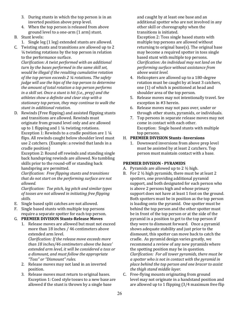- 3. During stunts in which the top person is in an inverted position above prep level.
- 4. When the top person is released from above ground level to a one-arm (1 arm) stunt.

## B. Stunt levels:

- 1. Single leg (1 leg) extended stunts are allowed.
- C. Twisting stunts and transitions are allowed up to 2  $\frac{1}{4}$  twisting rotations by the top person in relation to the performance surface.

*Clarification: A twist performed with an additional* turn by the bases performed in the same skill set, *would be illegal if the resulting cumulative rotation of the top person exceeds 2 1/4 rotations. The safety judge* will use the hips of the top person to determine *the amount of total rotation a top person performs in a skill set. Once a stunt is hit (i.e., prep)* and the *athletes show a definite and clear stop with a*  stationary top person, they may continue to walk the *stunt in additional rotation.*

D. Rewinds (Free flipping) and assisted flipping stunts and transitions are allowed. Rewinds must originate from ground level only and are allowed up to 1 flipping and  $1\frac{1}{4}$  twisting rotations. Exception 1: Rewinds to a cradle position are  $1\frac{1}{4}$ flips. All rewinds caught below shoulder level must use 2 catchers. (Example: a rewind that lands in a cradle position)

Exception 2: Round off rewinds and standing single back handspring rewinds are allowed. No tumbling skills prior to the round-off or standing back handspring are permitted.

*Clarification: Free flipping stunts and transitions* that do not start on the performing surface are not *allowed.* 

*Clarification: Toe pitch, leg pitch and similar types* of tosses are not allowed in initiating free flipping *skills.*

- E. Single based split catches are not allowed.
- F. Single based stunts with multiple top persons require a separate spotter for each top person.

## G. **PREMIER DIVISION Stunts-Release Moves**

1. Release moves are allowed but must not exceed more than 18 inches / 46 centimeters above extended arm level.

*Clarification: If the release move exceeds more than 18 inches/46 centimeters above the bases' extended arm level, it will be considered a toss or a dismount, and must follow the appropriate "Toss" or "Dismount" rules.*

- 2. Release moves may not land in an inverted position.
- 3. Release moves must return to original bases. Exception 1: Coed style tosses to a new base are allowed if the stunt is thrown by a single base

and caught by at least one base and an additional spotter who are not involved in any other skill or choreography when the transitions is initiated.

Exception 2: Toss single based stunts with multiple top persons are allowed without returning to original base(s). The original base may become a required spotter in toss single based stunt with multiple top persons. *Clarification: An individual may not land on the performing surface without assistance from above waist level.*

- 4. Helicopters are allowed up to a 180-degree rotation must be caught by at least 3 catchers, one (1) of which is positioned at head and shoulder area of the top person.
- 5. Release moves may not intentionally travel. See exception in #3 herein.
- 6. Release moves may not pass over, under or through other stunts, pyramids, or individuals.
- 7. Top persons in separate release moves may not come in contact with each other. Exception: Single based stunts with multiple top persons.

## H. **PREMIER DIVISION Stunts -Inversions**

1. Downward inversions from above prep level must be assisted by at least 2 catchers. Top person must maintain contact with a base.

## **PREMIER DIVISION - PYRAMIDS**

- A. Pyramids are allowed up to  $2\frac{1}{2}$  high.
- B. For 2  $\frac{1}{2}$  high pyramids, there must be at least 2 spotters, one providing additional pyramid support, and both designated for each person who is above 2 persons high and whose primary support does not have at least 1 foot on the ground. Both spotters must be in position as the top person is loading onto the pyramid. One spotter must be behind the top person and the other spotter must be in front of the top person or at the side of the pyramid in a position to get to the top person if they were to dismount forward. Once a pyramid shows adequate stability and just prior to the dismount, this spotter can move back to catch the cradle. As pyramid design varies greatly, we recommend a review of any new pyramids where the spotting position may be in question. *Clarification: For all tower pyramids, there must be a spotter who is not in contact with the pyramid in place behind the top person and one bracer to assist*  the thigh stand middle layer.
- C. Free-flying mounts originating from ground level may not originate in a handstand position and are allowed up to 1 flipping  $(3/4)$  maximum free flip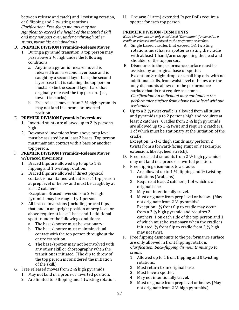between release and catch) and 1 twisting rotation, or 0 flipping and 2 twisting rotations.

*Clarification: Free-flying mounts may not*  significantly exceed the height of the intended skill and may not pass over, under or through other stunts, *pyramids*, *or individuals.* 

## D. **PREMIER DIVISION Pyramids-Release Moves**

- 1. During a pyramid transition, a top person may pass above  $2 \frac{1}{2}$  high under the following conditions:
	- a. Anytime a pyramid release moved is released from a second layer base and is caught by a second layer base, the second layer base that is catching the top person must also be the second layer base that originally released the top person. (i.e., tower tick-tocks)
	- b. Free release moves from 2  $\frac{1}{2}$  high pyramids may not land in a prone or inverted position.

## E. **PREMIER DIVISION Pyramids-Inversions**

- 1. Inverted stunts are allowed up to  $2\frac{1}{2}$  persons high.
- 2. Downward inversions from above prep level must be assisted by at least 2 bases. Top person must maintain contact with a base or another top person.
- F. **PREMIER DIVISION Pyramids-Release Moves w/Braced Inversions**
	- 1. Braced flips are allowed up to up to 1  $\frac{1}{4}$ flipping and 1 twisting rotation.
	- 2. Braced flips are allowed if direct physical contact is maintained with at least 1 top person at prep level or below and must be caught by at least 2 catchers. Exception: Braced inversions to  $2 \frac{1}{2}$  high

pyramids may be caught by 1 person.

- 3. All braced inversions (including braced flips) that land in an upright position at prep level or above require at least 1 base and 1 additional spotter under the following conditions:
	- a. The base/spotter must be stationary.
	- b. The base/spotter must maintain visual contact with the top person throughout the entire transition.
	- c. The base/spotter may not be involved with any other skill or choreography when the transition is initiated. (The dip to throw of the top person is considered the initiation of the skill.)
- G. Free released moves from  $2 \frac{1}{2}$  high pyramids:
	- 1. May not land in a prone or inverted position.
	- 2. Are limited to 0 flipping and 1 twisting rotation.

H. One arm (1 arm) extended Paper Dolls require a spotter for each top person.

## **PREMIER DIVISION - DISMOUNTS**

*Note: Movements are only considered "Dismounts" if released to a cradle or released and assisted to the performance surface.* 

- A. Single based cradles that exceed  $1\frac{1}{4}$  twisting rotations must have a spotter assisting the cradle with at least 1 hand/arm supporting the head and shoulder of the top person.
- B. Dismounts to the performance surface must be assisted by an original base or spotter. Exception: Straight drops or small hop offs, with no additional skills, from waist level or below are the only dismounts allowed to the performance surface that do not require assistance. *Clarification: An individual may not land on the performance surface from above waist level without assistance.*
- C. Up to a 2  $\frac{1}{4}$  twist cradle is allowed from all stunts and pyramids up to 2 persons high and requires at least 2 catchers. Cradles from  $2 \frac{1}{2}$  high pyramids are allowed up to 1  $\frac{1}{2}$  twist and require 2 catchers, 1 of which must be stationary at the initiation of the cradle.

Exception:  $2-1-1$  thigh stands may perform  $2$ twists from a forward-facing stunt only (example: extension, liberty, heel stretch).

- D. Free released dismounts from  $2 \frac{1}{2}$  high pyramids may not land in a prone or inverted position.
- E. Free flipping dismounts to a cradle:
	- 1. Are allowed up to 1  $\frac{1}{4}$  flipping and  $\frac{1}{2}$  twisting rotations (Arabians).
	- 2. Require at least 2 catchers, 1 of which is an original base.
	- 3. May not intentionally travel.
	- 4. Must originate from prep level or below. (May not originate from  $2 \frac{1}{2}$  pyramids.) Exception:  $\frac{3}{4}$  front flip to cradle may occur from a 2  $\frac{1}{2}$  high pyramid and requires 2 catchers, 1 on each side of the top person and 1 of which must be stationary when the cradle is initiated,  $\frac{3}{4}$  front flip to cradle from 2  $\frac{1}{2}$  high may not twist.
- F. Free flipping dismounts to the performance surface are only allowed in front flipping rotation: *Clarification: Back-flipping dismounts must go to cradle.*
	- 1. Allowed up to 1 front flipping and 0 twisting rotations.
	- 2. Must return to an original base.
	- 3. Must have a spotter.
	- 4. May not intentionally travel.
	- 5. Must originate from prep level or below. (May not originate from  $2 \frac{1}{2}$  high pyramids.)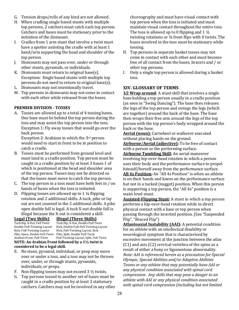- G. Tension drops/rolls of any kind are not allowed.
- H. When cradling single based stunts with multiple top persons, 2 catchers must catch each top person. Catchers and bases must be stationary prior to the initiation of the dismount.
- I. Cradles from 1 arm stunt that involve a twist must have a spotter assisting the cradle with at least 1 hand/arm supporting the head and shoulder of the top person.
- J. Dismounts may not pass over, under or through other stunts, pyramids, or individuals.
- K. Dismounts must return to original base(s). Exception: Single based stunts with multiple top persons do not need to return to original base(s).
- L. Dismounts may not intentionally travel.
- M. Top persons in dismounts may not come in contact with each other while released from the bases.

## **PREMIER DIVISION - TOSSES**

A. Tosses are allowed up to a total of 4 tossing bases. One base must be behind the top person during the toss and may assist the top person into the toss. Exception 1: Fly away tosses that would go over the back person.

Exception 2: Arabians in which the  $3<sup>rd</sup>$  person would need to start in front to be in position to catch a cradle.

- B. Tosses must be performed from ground level and must land in a cradle position. Top person must be caught in a cradle position by at least 3 bases 1 of which is positioned at the head and shoulder area of the top person. Tosses may not be directed so that the bases must move to catch the top person.
- C. The top person in a toss must have both feet in  $/$  on hands of bases when the toss is initiated.
- D. Flipping tosses are allowed up to  $1\frac{1}{4}$  flipping rotation and 2 additional skills. A tuck, pike or lay out are not counted in the 2 additional skills. A pike open double full is legal. A tuck X-out double full is illegal because the X-out is considered a skill.

## **Legal (Two Skills) Illegal (Three Skills)** Kick, Full-Twisting Layout Kick, Full-Twisting Layout, Kick Pike, Open, Double Full-Twist Pike, Split, Double Full-Twist

Tuck flip, X-Out, Full Twist Tuck flip, X-Out, Double Full Twist<br>Double Full-Twisting Layout Kick, Double Full-Full Twisting Lay Kick, Double Full-Full Twisting Layout Arabian Front, Full-Twist Full-Twisting Layout, Split, Full-Twist

**NOTE: An Arabian Front followed by a 1½ twist is** considered to be a legal skill.

- E. No stunt, pyramid, individual, or prop may move over or under a toss, and a toss may not be thrown over, under, or through stunts, pyramids, individuals, or props.
- F. Non-flipping tosses may not exceed  $3\frac{1}{2}$  twists.
- G. Top persons tossed to another set of bases must be. caught in a cradle position by at least 3 stationary catchers. Catchers may not be involved in any other

choreography and must have visual contact with top person when the toss is initiated and must maintain visual contact throughout the entire toss. The toss is allowed up to 0 flipping and 1  $\frac{1}{2}$ twisting rotations or  $\frac{3}{4}$  front flips with 0 twists. The bases involved in the toss must be stationary while tossing. 

- H. Top persons in separate basket tosses may not come in contact with each other and must become free of all contact from the bases, bracers and / or other top persons.
- I. Only a single top person is allowed during a basket toss.

## **XIV. GLOSSARY OF TERMS**

**1/2 Wrap around:** A stunt skill that involves a single base holding a top person usually in a cradle position (as seen in "Swing Dancing"). The base then releases the legs of the top person and swings the legs (which are together) around the back of the base. The base then wraps their free arm around the legs of the top person with the top person's body wrapped around the back or the base.

Aerial (noun): Cartwheel or walkover executed without placing hands on the ground.

**Airborne/Aerial (adjective):** To be free of contact with a person or the performing surface.

**Airborne Tumbling Skill:** An aerial maneuver involving hip-over-head rotation in which a person uses their body and the performance surface to propel himself/herself away from the performance surface.

**All 4s Position:** An "All 4s Position" is when an athlete is on their hands and knees on the performance surface but not in a tucked (nugget) position. When this person is supporting a top person, the "All 4s" position is a waist level stunt.

**Assisted-Flipping Stunt:** A stunt in which a top person performs a hip-over-head rotation while in direct physical contact with a base or top person when passing through the inverted position. (See "Suspended Flip", "Braced Flip")

**Atlantoaxial Instability (AAI):** A potential condition for an athlete with an intellectual disability or neurological symptom that is characterized by excessive movement at the junction between the atlas  $(C1)$  and axis  $(C2)$  cervical vertebra of the spine as a result of either a bony or ligamentous abnormality. *Note: AAI is referenced herein as a precaution for Special Olympic, Special Abilities and/or Adaptive Abilities* Teams or any athlete that may potentially have AAI or *any physical condition associated with spinal cord compression.* Any *skills* that may pose a danger to an athlete with AAI or any physical condition associated with spinal cord compression (including but not limited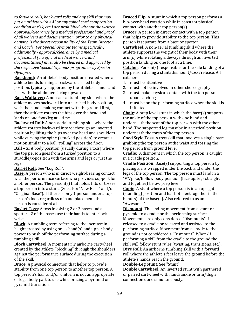to forward rolls, backward rolls and any skill that may put an athlete with AAI or any spinal cord compression *condition at risk, etc.)* are prohibited without the written approval/clearance by a medical professional and proof of all waivers and documentation, prior to any physical activity, is the direct responsibility of the Team Director *and Coach. For Special Olympic teams specifically, additionally - approval/clearance by a medical professional (via official medical waivers and*  documentation) must also be cleared and approved by the respective Special Olympics program or by Special *Olympics.*

Backbend: An athlete's body position created when an athlete bends forming a backward arched body position, typically supported by the athlete's hands and feet with the abdomen facing upward.

**Back Walkover:** A non-aerial tumbling skill where the athlete moves backward into an arched body position, with the hands making contact with the ground first, then the athlete rotates the hips over the head and lands on one foot/leg at a time.

**Backward Roll:** A non-aerial tumbling skill where the athlete rotates backward into/or through an inverted position by lifting the hips over the head and shoulders while curving the spine (a tucked position) to create a motion similar to a ball "rolling" across the floor.

**Ball – X:** A body position (usually during a toss) where the top person goes from a tucked position to a straddle/x-position with the arms and legs or just the legs. 

#### **Barrel Roll:** See "Log Roll".

**Base:** A person who is in direct weight-bearing contact with the performance surface who provides support for another person. The person(s) that holds, lifts or tosses a top person into a stunt. (See also: "New Base" and/or "Original Base"). If there is only 1 person under a top person's foot, regardless of hand placement, that person is considered a base.

**Basket Toss:** A toss involving 2 or 3 bases and a spotter - 2 of the bases use their hands to interlock wrists. 

**Block:** A tumbling term referring to the increase in height created by using one's hand(s) and upper body power to push off the performing surface during a tumbling skill.

**Block Cartwheel:** A momentarily airborne cartwheel created by the athlete "blocking" through the shoulders against the performance surface during the execution of the skill.

**Brace**: A physical connection that helps to provide stability from one top person to another top person. A top person's hair and/or uniform is not an appropriate or legal body part to use while bracing a pyramid or pyramid transition.

**Braced Flip**: A stunt in which a top person performs a hip-over-head rotation while in constant physical contact with another top person(s).

**Bracer**: A person in direct contact with a top person that helps to provide stability to the top person. This person is separate from a base or spotter.

**Cartwheel:** A non-aerial tumbling skill where the athlete supports the weight of their body with their  $arm(s)$  while rotating sideways through an inverted position landing on one foot at a time.

**Catcher:** Person(s) responsible for the safe landing of a top person during a stunt/dismount/toss/release. All catchers: 

- 1. must be attentive
- 2. must not be involved in other choreography
- 3. must make physical contact with the top person upon catching
- 4. must be on the performing surface when the skill is initiated

**Chair:** A prep level stunt in which the base(s) supports the ankle of the top person with one hand and underneath the seat of the top person with the other hand. The supported leg must be in a vertical position underneath the torso of the top person.

**Coed Style Toss:** A toss skill that involves a single base grabbing the top person at the waist and tossing the top person from ground level.

**Cradle:** A dismount in which the top person is caught in a cradle position.

**Cradle Position**: Base(s) supporting a top person by placing arms wrapped under the back and under the legs of the top person. The top person must land in a "V"/pike/hollow body position (face up, legs straight) and together) below prep level.

**Cupie**: A stunt where a top person is in an upright (standing) position and has both feet together in the hand(s) of the base(s). Also referred to as an "Awesome." 

**Dismount**: The ending movement from a stunt or pyramid to a cradle or the performing surface. Movements are only considered "Dismounts" if released to a cradle or released and assisted to the performing surface. Movement from a cradle to the ground is not considered a "Dismount". When/if performing a skill from the cradle to the ground the skill will follow stunt rules (twisting, transitions, etc.). **Dive Roll**: An airborne tumbling skill with a forward roll where the athlete's feet leave the ground before the athlete's hands reach the ground.

**Double-Leg Stunt**: See "Stunt". 

**Double Cartwheel:** An inverted stunt with partnered or paired cartwheel with hand/ankle or arm/thigh connection done simultaneously.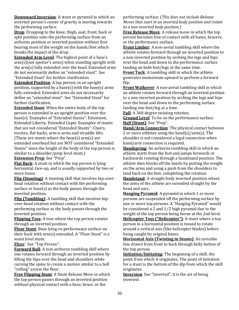**Downward Inversion**: A stunt or pyramid in which an inverted person's center of gravity is moving towards the performing surface.

**Drop**: Dropping to the knee, thigh, seat, front, back or split position onto the performing surface from an airborne position or inverted position without first bearing most of the weight on the hands/feet which breaks the impact of the drop.

**Extended Arm Level**: The highest point of a base's  $arm(s)$ (not spotter's arms) when standing upright with the  $arm(s)$  fully extended over the head. Extended arms do not necessarily define an "extended stunt". See "Extended Stunt" for further clarification.

**Extended Position:** A top person, in an upright position, supported by a base(s) with the base(s) arms fully extended. Extended arms do not necessarily define an "extended stunt". See "Extended Stunt" for further clarification.

**Extended Stunt:** When the entire body of the top person is extended in an upright position over the base(s). Examples of "Extended Stunts": Extension, Extended Liberty, Extended Cupie. Examples of stunts that are not considered "Extended Stunts": Chairs, torches, flat backs, arm-n-arms and straddle lifts. (These are stunts where the base(s)  $arm(s)$  are extended overhead but are NOT considered "Extended Stunts" since the height of the body of the top person is similar to a shoulder/prep level stunt.)

**Extension Prep**: See "Prep".

**Flat Back:** A stunt in which the top person is lying horizontal, face-up, and is usually supported by two or more bases.

**Flip (Stunting)**: A stunting skill that involves hip-overhead rotation without contact with the performing surface or base(s) as the body passes through the inverted position.

**Flip (Tumbling)**: A tumbling skill that involves hipover-head rotation without contact with the performing surface as the body passes through the inverted position.

**Flipping Toss:** A toss where the top person rotates through an inverted position.

**Floor Stunt**: Base lying on performance surface on their back with  $arm(s)$  extended. A "Floor Stunt" is a waist level stunt.

Flver: See "Top Person".

**Forward Roll**: A non-airborne tumbling skill where one rotates forward through an inverted position by lifting the hips over the head and shoulders while curving the spine to create a motion similar to a ball "rolling" across the floor.

**Free Flipping Stunt:** A Stunt Release Move in which the top person passes through an inverted position without physical contact with a base, brace, or the

performing surface. (This does not include Release *Moves that start in an inverted body position and rotate to a non-inverted body position*.)

**Free Release Move**: A release move in which the top person becomes free of contact with all bases, bracers, or the performance surface.

**Front Limber:** A non-aerial tumbling skill where the athlete rotates forward through an inverted position to a non-inverted position by arching the legs and hips over the head and down to the performance surface landing on both feet/legs at the same time.

**Front Tuck:** A tumbling skill in which the athlete generates momentum upward to perform a forward flip. 

**Front Walkover:** A non-aerial tumbling skill in which an athlete rotates forward through an inverted position to a non-inverted position by arching the legs and hips over the head and down to the performing surface landing one foot/leg at a time.

**Full**: A 360 degree twisting rotation.

**Ground Level**: To be on the performance surface. Half (Stunt): See "Prep".

**Hand/Arm Connection**: The physical contact between 2 or more athletes using the hand(s)/arm(s). The shoulder is not considered a legal connection when hand/arm connection is required.

**Handspring:** An airborne tumbling skill in which an athlete starts from the feet and jumps forwards or backwards rotating through a handstand position. The athlete then blocks off the hands by putting the weight on the arms and using a push from the shoulders to land back on the feet, completing the rotation.

Handstand: A straight body inverted position where the arms of the athlete are extended straight by the head and ears.

**Hanging Pyramid:** A pyramid in which 1 or more persons are suspended off the performing surface by one or more top persons. A "Hanging Pyramid" would be considered a 2 and  $1/2$  high pyramid due to the weight of the top person being borne at the 2nd level. **Helicopter Toss ("Helicopter")**: A stunt where a top person in a horizontal position is tossed to rotate around a vertical axis (like helicopter blades) before being caught by original bases.

**Horizontal Axis (Twisting in Stunts)**: An invisible line drawn from front to back through belly button of the top person.

**Initiation/Initiating**: The beginning of a skill; the point from which it originates. The point of initiation for a stunt is the bottom of the dip from which the skill originates. 

**Inversion**: See "Inverted"; it is the act of being inverted.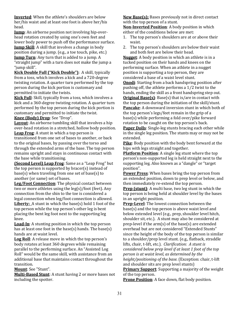**Inverted:** When the athlete's shoulders are below her/his waist and at least one foot is above her/his head. 

**Jump**: An airborne position not involving hip-overhead rotation created by using one's own feet and lower body power to push off the performance surface.

**Jump Skill**: A skill that involves a change in body position during a jump. (e.g., a toe touch, pike, etc.) **Jump Turn:** Any turn that is added to a jump. A "straight jump" with a turn does not make the jump a "jump skill".

**Kick Double Full ("Kick Double")**: A skill, typically from a toss, which involves a kick and a 720-degree twisting rotation. A quarter turn performed by the top person during the kick portion is customary and permitted to initiate the twists.

**Kick Full**: Skill, typically from a toss, which involves a kick and a 360-degree twisting rotation. A quarter turn performed by the top person during the kick portion is customary and permitted to initiate the twist.

Knee (Body) Drop: See "Drop".

**Lavout**: An airborne tumbling skill that involves a hip over-head rotation in a stretched, hollow body position. **Leap Frog:** A stunt in which a top person is transitioned from one set of bases to another, or back to the original bases, by passing over the torso and through the extended arms of the base. The top person remains upright and stays in continuous contact with the base while transitioning.

**(Second Level) Leap Frog:** Same as a "Leap Frog" but the top person is supported by bracer(s) instead of  $base(s)$  when traveling from one set of base(s) to another (or same) set of bases.

**Leg/Foot Connection**: The physical contact between two or more athletes using the  $leg(s)/foot$  (feet). Any connection from the shin to the toe is considered a legal connection when leg/foot connection is allowed. **Liberty:** A stunt in which the base(s) hold 1 foot of the top person while the top person's other leg is bent placing the bent leg foot next to the supporting leg knee. 

**Load-In:** A stunting position in which the top person has at least one foot in the base(s) hands. The base(s) hands are at waist level.

Log Roll: A release move in which the top person's body rotates at least 360 degrees while remaining parallel to the performing surface. An "Assisted Log Roll" would be the same skill, with assistance from an additional base that maintains contact throughout the transition. 

**Mount**: See "Stunt". 

**Multi-Based Stunt**: A stunt having 2 or more bases not including the spotter.

New Base(s): Bases previously not in direct contact with the top person of a stunt.

**Non-Inverted Position:** A body position in which either of the conditions below are met:

- 1. The top person's shoulders are at or above their waist.
- 2. The top person's shoulders are below their waist and both feet are below their head.

**Nugget:** A body position in which an athlete is in a tucked position on their hands and knees on the performing surface. When an athlete in a nugget position is supporting a top person, they are considered a base of a waist level stunt.

**Onodi**: Starting from a back handspring position after pushing off, the athlete performs a  $1/2$  twist to the hands, ending the skill as a front handspring step out. **Original Base(s)**: Base(s) that is/are in contact with the top person during the initiation of the skill/stunt. **Pancake**: A downward inversion stunt in which both of the top person's legs/feet remain in the grip of a  $base(s)$  while performing a fold over/pike forward rotation to be caught on the top person's back.

**Paper Dolls**: Single-leg stunts bracing each other while in the single leg position. The stunts may or may not be extended. 

**Pike**: Body position with the body bent forward at the hips with legs straight and together.

**Platform Position:** A single leg stunt where the top person's non-supported leg is held straight next to the supporting leg. Also known as a "dangle" or "target position". 

**Power Press:** When bases bring the top person from an extended position, down to prep level or below, and then immediately re-extend the top person.

**Prep (stunt)**: A multi base, two leg stunt in which the top person is being held at shoulder level by the bases in an upright position.

**Prep-Level**: The lowest connection between the  $base(s)$  and the top person is above waist level and below extended level (e.g., prep, shoulder level hitch, shoulder sit, etc.). A stunt may also be considered at prep-level if the  $arm(s)$  of the base(s) are extended overhead but are not considered "Extended Stunts" since the height of the body of the top person is similar to a shoulder/prep level stunt. (e.g., flatback, straddle lifts, chair, t-lift, etc.). *Clarification: A stunt is considered below prep level if at least 1 foot of the top person is at waist level, as determined by the height/positioning of the base.* (Exception: chair, t-lift and shoulder sits are prep level stunts)

**Primary Support:** Supporting a majority of the weight of the top person.

**Prone Position**: A face down, flat body position.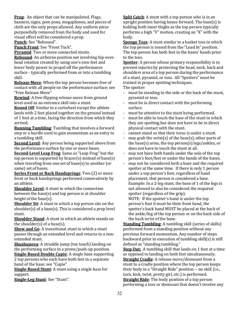**Prop**: An object that can be manipulated. Flags, banners, signs, pom pons, megaphones, and pieces of cloth are the only props allowed. Any uniform piece purposefully removed from the body and used for visual effect will be considered a prop. Punch: See "Rebound".

Punch Front: See "Front Tuck".

**Pyramid:** Two or more connected stunts.

**Rebound:** An airborne position not involving hip-overhead rotation created by using one's own feet and lower body power to propel off the performance surface - typically performed from or into a tumbling skill. 

**Release Move**: When the top person becomes free of contact with all people on the performance surface; see "Free Release Move"

**Rewind:** A free-flipping release move from ground level used as an entrance skill into a stunt.

**Round Off:** Similar to a cartwheel except the athlete lands with 2 feet placed together on the ground instead of 1 foot at a time, facing the direction from which they arrived. 

**Running Tumbling:** Tumbling that involves a forward step or a hurdle used to gain momentum as an entry to a tumbling skill.

**Second Level:** Any person being supported above from the performance surface by one or more bases.

**Second Level Leap Frog:** Same as "Leap Frog" but the top person is supported by bracer(s) instead of base(s) when traveling from one set of base(s) to another (or same) set of bases.

**Series Front or Back Handsprings**: Two (2) or more front or back handsprings performed consecutively by an athlete. 

**Shoulder Level:** A stunt in which the connection between the base(s) and top person is at shoulder height of the base(s).

**Shoulder Sit:** A stunt in which a top person sits on the shoulder(s) of a base(s). This is considered a prep level stunt. 

**Shoulder Stand:** A stunt in which an athlete stands on the shoulder(s) of a base(s).

**Show and Go:** A transitional stunt in which a stunt passes through an extended level and returns to a nonextended stunt.

**Shushunova**: A straddle jump (toe touch) landing on the performing surface in a prone/push-up position.

**Single-Based Double Cupie:** A single base supporting 2 top persons who each have both feet in a separate hand of the base; see "Cupie"

**Single-Based Stunt:** A stunt using a single base for support. 

Single-Leg Stunt: See "Stunt".

**Split Catch:** A stunt with a top person who is in an upright position having knees forward. The base(s) is holding both inner thighs as the top person typically performs a high "V" motion, creating an "X" with the body. 

**Sponge Toss:** A stunt similar to a basket toss in which the top person is tossed from the "Load In" position. The top person has both feet in the bases' hands prior to the toss.

**Spotter**: A person whose primary responsibility is to prevent injuries by protecting the head, neck, back and shoulders area of a top person during the performance of a stunt, pyramid, or toss. All "Spotters" must be trained in proper spotting techniques. The spotter:

- must be standing to the side or the back of the stunt, pyramid or toss.

- must be in direct contact with the performing surface.
- must be attentive to the stunt being performed.
- must be able to touch the base of the stunt in which they are spotting but does not have to be in direct physical contact with the stunt.
- cannot stand so that their torso is under a stunt.
- may grab the wrist(s) of the base(s), other parts of the base(s) arms, the top person(s)  $\log s$ /ankles, or does not have to touch the stunt at all.
- may not have both hands under the sole of the top person's foot/feet or under the hands of the bases.
- may not be considered both a base and the required spotter at the same time. If there is only 1 person under a top person's foot, regardless of hand placement, that person is considered a base. Example: In a 2-leg stunt, the base of 1 of the legs is not allowed to also be considered the required spotter (regardless of the grip).

NOTE: If the spotter's hand is under the top person's foot it must be their front hand, the spotter's back hand MUST be placed at the back of the ankle/leg of the top person or on the back side of the back wrist of the base.

**Standing Tumbling:** A tumbling skill (series of skills) performed from a standing position without any previous forward momentum. Any number of steps backward prior to execution of tumbling skill(s) is still defined as "standing tumbling."

**Step Out:** A tumbling skill that lands on 1 foot at a time as opposed to landing on both feet simultaneously. **Straight Cradle:** A release move/dismount from a stunt to a cradle position where the top person keeps their body in a "Straight Ride" position -- no skill (i.e., turn, kick, twist, pretty girl, etc.) is performed.

**Straight Ride:** The body position of a top person performing a toss or dismount that doesn't involve any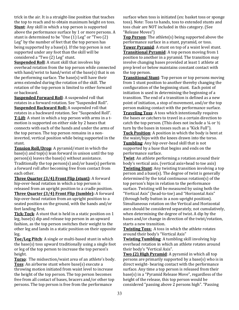trick in the air. It is a straight-line position that teaches the top to reach and to obtain maximum height on toss. **Stunt:** Any skill in which a top person is supported above the performance surface by 1 or more persons. A stunt is determined to be "One (1) Leg" or "Two (2) Leg" by the number of feet that the top person has being supported by a base(s). If the top person is not supported under any foot than the skill will be considered a "Two (2) Leg" stunt.

**Suspended Roll:** A stunt skill that involves hip overhead rotation from the top person while connected with hand/wrist to hand/wrist of the base(s) that is on the performing surface. The base(s) will have their arms extended during the rotation of the skill. The rotation of the top person is limited to either forward or backward.

**Suspended Forward Roll:** A suspended roll that rotates in a forward rotation. See "Suspended Roll". **Suspended Backward Roll:** A suspended roll that rotates in a backward rotation. See "Suspended Roll". **T-Lift**: A stunt in which a top person with arms in a tmotion is supported on either side by 2 bases that connects with each of the hands and under the arms of the top person. The top person remains in a noninverted, vertical position while being supported in the stunt. 

**Tension Roll/Drop:** A pyramid/stunt in which the  $base(s)$  and  $top(s)$  lean forward in unison until the top  $person(s)$  leaves the base(s) without assistance. Traditionally the top person(s) and/or base(s) perform a forward roll after becoming free from contact from each other.

**Three Quarter (3/4) Front Flip (stunt)**: A forward hip-over-head rotation in which a top person is released from an upright position to a cradle position. **Three Quarter (3/4) Front Flip (tumble):** A forward hip-over-head rotation from an upright position to a seated position on the ground, with the hands and/or feet landing first.

**Tick-Tock:** A stunt that is held in a static position on 1  $leg, base(s)$  dip and release top person in an upward fashion, as the top person switches their weight to the other leg and lands in a static position on their opposite leg. 

Toe/Leg Pitch: A single or multi-based stunt in which the base(s) toss upward traditionally using a single foot or leg of the top person to increase the top person's height. 

**Torso**: The midsection/waist area of an athlete's body. **Toss**: An airborne stunt where base(s) execute a throwing motion initiated from waist level to increase the height of the top person. The top person becomes free from all contact of bases, bracers and/or other top persons. The top person is free from the performance

surface when toss is initiated (ex: basket toss or sponge toss). Note: Toss to hands, toss to extended stunts and toss chair are NOT included in this category. (See "Release Moves")

**Top Person**: The athlete(s) being supported above the performance surface in a stunt, pyramid, or toss.

**Tower Pyramid:** A stunt on top of a waist level stunt. **Transitional Pyramid:** A top person moving from 1 position to another in a pyramid. The transition may involve changing bases provided at least 1 athlete at prep level or below maintains constant contact with the top person.

**Transitional Stunt:** Top person or top persons moving from 1 stunt position to another thereby changing the configuration of the beginning stunt. Each point of initiation is used in determining the beginning of a transition. The end of a transition is defined as a new point of initiation, a stop of movement, and/or the top person making contact with the performance surface. **Traveling Toss:** A toss which intentionally requires the bases or catchers to travel in a certain direction to catch the top person. (This does not include a  $\frac{1}{4}$  or  $\frac{1}{2}$ turn by the bases in tosses such as a "Kick Full"). **Tuck Position:** A position in which the body is bent at the waist/hips with the knees drawn into the torso. **Tumbling:** Any hip over-head skill that is not supported by a base that begins and ends on the performance surface. 

**Twist**: An athlete performing a rotation around their body's vertical axis. (vertical axis=head to toe axis) **Twisting Stunt:** Any twisting transition involving a top person and a base(s). The degree of twist is generally determined by the total continuous rotation(s) of the top person's hips in relation to the performance surface. Twisting will be measured by using both the "Vertical Axis" (head-to-toe) and "Horizontal Axis" (through belly button in a non-upright position). Simultaneous rotation on the Vertical and Horizontal axes should be considered separately, not cumulatively. when determining the degree of twist. A dip by the bases and/or change in direction of the twist/rotation, starts a new transition.

**Twisting Toss:** A toss in which the athlete rotates around their body's "Vertical Axis"

**Twisting Tumbling:** A tumbling skill involving hip overhead rotation in which an athlete rotates around their body's "Vertical Axis".

**Two (2) High Pyramid:** A pyramid in which all top persons are primarily supported by a base(s) who is in direct weight- bearing contact with the performance surface. Any time a top person is released from their  $base(s)$  in a "Pyramid Release Move", regardless of the height of the release, this top person would be considered "passing above 2 persons high". "Passing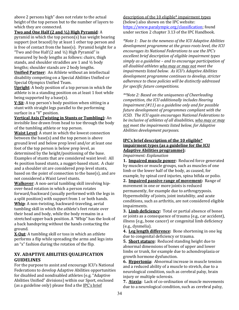above 2 persons high" does not relate to the actual height of the top person but to the number of layers to which they are connected.

## **Two and One Half (2 and**  $\frac{1}{2}$ **) High Pyramid:** A

pyramid in which the top person(s) has weight bearing support (not braced) by at least 1 other top person and is free of contact from the base(s). Pyramid height for a

"Two and One Half  $(2 \text{ and } \frac{1}{2})$  High Pyramid" is measured by body lengths as follows: chairs, thigh stands, and shoulder straddles are 1 and  $\frac{1}{2}$  body lengths; shoulder stands are 2 body lengths. **Unified Partner:** An Athlete without an intellectual

disability competing on a Special Abilities Unified or Special Olympics Unified Team.

**Upright**: A body position of a top person in which the athlete is in a standing position on at least 1 foot while being supported by a base(s).

**<u>V-Sit</u>**: A top person's body position when sitting in a stunt with straight legs parallel to the performing surface in a "V" position.

**Vertical Axis (Twisting in Stunts or Tumbling)**: An invisible line drawn from head to toe through the body of the tumbling athlete or top person.

**Waist Level:** A stunt in which the lowest connection between the base(s) and the top person is above ground level and below prep level and/or at least one foot of the top person is below prep level, as determined by the height/positioning of the base. Examples of stunts that are considered waist level: All 4s position based stunts, a nugget-based stunt. A chair and a shoulder sit are considered prep level stunts, based on the point of connection to the base(s), and are not considered a Waist Level stunts.

**Walkover**: A non-aerial tumbling skill involving hipover-head rotation in which a person rotates forward/backward (usually performed with the legs in a split position) with support from 1 or both hands. **Whip**: A non-twisting, backward-traveling, aerial tumbling skill in which the athlete's feet rotate over their head and body, while the body remains in a stretched upper back position. A "Whip" has the look of a back handspring without the hands contacting the ground. 

**X-Out:** A tumbling skill or toss in which an athlete performs a flip while spreading the arms and legs into an "x" fashion during the rotation of the flip.

## **XV. ADAPTIVE ABILITIES QUALIFICATION GUIDELINES**

For the purpose to assist and encourage ICU's National Federations to develop Adaptive Abilities opportunities for disabled and nondisabled athletes (e.g. "Adaptive Abilities Unified" divisions) within our Sport, enclosed (as a guideline only) please find a the  $\text{IPC's brief}$ 

description of the 10 eligible\* impairment types (below) also shown on the IPC website: https://www.paralympic.org/classification; found under section 2 chapter 3.13 of the IPC Handbook.

*\*Note 1: Due to the newness of the ICU Adaptive Abilities* development programme at the grass-roots level, the ICU *encourages its National Federations to use the IPC's* excellent brief description of eligible impairment types simply as a guideline – and to encourage participation of *all disabled athletes who may or may not meet the* impairments listed below. As ICU's Adaptive Abilities development programme continues to develop, stricter *adherence to these policies will be distinctly addressed for specific future competitions.* 

\*\*Note 2: Based on the uniqueness of Cheerleading competition, the ICU additionally includes Hearing *Impairment* (#11) *as a guideline only and for possible future development of programmes compliant with the ICSD.* The ICU again encourages National Federations to *be inclusive of athletes of all disabilities, who may or may* not meet the *impairments listed below,* for Adaptive *Abilities development purposes.* 

## **IPC's brief description of the 10 eligible\* impairment types (as a guideline for the ICU Adaptive Abilities programme):**

*Impairment: Explanation* 

**1. Impaired muscle power:** Reduced force generated by muscles or muscle groups, such as muscles of one limb or the lower half of the body, as caused, for example, by spinal cord injuries, spina bifida or polio.

2. **Impaired passive range of movement:** Range of movement in one or more joints is reduced permanently, for example due to arthrogryposis. Hypermobility of joints, joint instability, and acute conditions, such as arthritis, are not considered eligible impairments.

**3.** Limb deficiency: Total or partial absence of bones or joints as a consequence of trauma (e.g., car accident), illness (e.g., bone cancer) or congenital limb deficiency (e.g., dysmelia).

**4.** Leg length difference: Bone shortening in one leg due to congenital deficiency or trauma.

**5. Short stature:** Reduced standing height due to abnormal dimensions of bones of upper and lower limbs or trunk, for example due to achondroplasia or growth hormone dysfunction.

**6. Hypertonia:** Abnormal increase in muscle tension and a reduced ability of a muscle to stretch, due to a neurological condition, such as cerebral palsy, brain injury or multiple sclerosis.

7. **Ataxia:** Lack of co-ordination of muscle movements due to a neurological condition, such as cerebral palsy,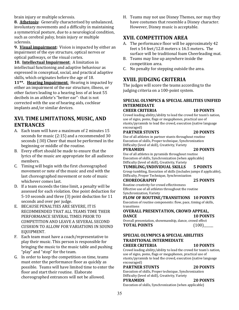brain injury or multiple sclerosis.

**8. Athetosis:** Generally characterised by unbalanced, involuntary movements and a difficulty in maintaining a symmetrical posture, due to a neurological condition, such as cerebral palsy, brain injury or multiple sclerosis.

**9. Visual impairment:** Vision is impacted by either an impairment of the eye structure, optical nerves or optical pathways, or the visual cortex.

**10. Intellectual Impairment:** A limitation in intellectual functioning and adaptive behaviour as expressed in conceptual, social, and practical adaptive skills, which originates before the age of 18.

**11\*\*.** Hearing Impairment: Hearing is impacted by either an impairment of the ear structure, illness, or other factors leading to a hearing loss of at least 55 decibels in an athlete's "better ear"- that is not corrected with the use of hearing aids, cochlear implants and/or similar devices.

## **XVI. TIME LIMITATIONS, MUSIC, AND ENTRANCES**

- A. Each team will have a maximum of 2 minutes 15 seconds for music  $(2:15)$  and a recommended 30 seconds (:30) Cheer that must be performed in the beginning or middle of the routine.
- B. Every effort should be made to ensure that the lyrics of the music are appropriate for all audience members.
- C. Timing will begin with the first choreographed movement or note of the music and end with the last choreographed movement or note of music whichever comes last.
- D. If a team exceeds the time limit, a penalty will be assessed for each violation. One point deduction for 5-10 seconds and three (3) point deduction for 11 seconds and over per judge.
- E. BECAUSE PENALTIES ARE SEVERE, IT IS RECOMMENDED THAT ALL TEAMS TIME THEIR PERFORMANCE SEVERAL TIMES PRIOR TO COMPETITION AND LEAVE A SEVERAL SECOND CUSHION TO ALLOW FOR VARIATIONS IN SOUND EQUIPMENT.
- F. Each team must have a coach/representative to play their music. This person is responsible for bringing the music to the music table and pushing "play" and "stop" for the team.
- G. In order to keep the competition on time, teams must enter the performance floor as quickly as possible. Teams will have limited time to enter the floor and start their routine. Elaborate choreographed entrances will not be allowed.

H. Teams may not use Disney Themes, nor may they have costumes that resemble a Disney character. However, Disney music is acceptable.

## **XVII. COMPETITION AREA**

- A. The performance floor will be approximately 42 feet x 54 feet/12.8 meters x 16.5 meters. The surface will be traditional foam Cheerleading mat.
- B. Teams may line up anywhere inside the competition area.
- C. No penalty for stepping outside the area.

## **XVIII. JUDGING CRITERIA**

The judges will score the teams according to the judging criteria on a 100-point system.

#### **SPECIAL OLYMPICS & SPECIAL ABILITIES UNIFIED INTERMEDIATE CHEER CRITERIA 10 POINTS**

Crowd leading ability/ability to lead the crowd for team's nation, use of signs, poms, flags or megaphones, practical use of stunts/pyramids to lead the crowd, execution (native language encouraged)

## **PARTNER STUNTS** 20 POINTS

Use of all athletes in partner stunts throughout routine Execution of skills, Proper technique, Synchronization Difficulty (level of skill), Creativity, Variety

**PYRAMIDS 20 POINTS** 

Use of all athletes in pyramids throughout routine Execution of skills, Synchronization (when applicable) Difficulty (level of skill), Creativity, Variety

#### **TUMBLING/INDIVIDUAL SKILLS 5 POINTS** Group tumbling, Execution of skills (includes jumps if applicable),

Difficulty, Proper Technique, Synchronization **CHOREOGRAPHY 25 POINTS**

Routine creativity for crowd effectiveness Effective use of all athletes throughout the routine Synchronization, Variety

## **FLOW OF ROUTINE/TRANSITIONS 10 POINTS**

Execution of routine components: flow, pace, timing of skills, transitions

## **OVERALL PRESENTATION, CROWD APPEAL, DANCE 10 POINTS**

Overall presentation, showmanship, dance, crowd effect **TOTAL POINTS** (100)

#### **SPECIAL OLYMPICS & SPECIAL ABILITIES TRADITIONAL INTERMEDIATE CHEER CRITERIA 10 POINTS**

Crowd leading ability/ability to lead the crowd for team's nation, use of signs, poms, flags or megaphones, practical use of stunts/pyramids to lead the crowd, execution (native language encouraged)

## **PARTNER STUNTS 20 POINTS**

Execution of skills, Proper technique, Synchronization Difficulty (level of skill), Creativity, Variety

**PYRAMIDS 20 POINTS** 

Execution of skills, Synchronization (when applicable)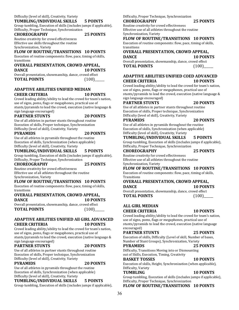#### Difficulty (level of skill), Creativity, Variety

#### **TUMBLING/INDIVIDUAL SKILLS 5 POINTS**

Group tumbling, Execution of skills (includes jumps if applicable), Difficulty, Proper Technique, Synchronization

**CHOREOGRAPHY 25 POINTS**

Routine creativity for crowd effectiveness Effective use skills throughout the routine Synchronization, Variety

### **FLOW OF ROUTINE/TRANSITIONS 10 POINTS**

Execution of routine components: flow, pace, timing of skills, transitions

#### **OVERALL PRESENTATION, CROWD APPEAL, DANCE 10 POINTS**

Overall presentation, showmanship, dance, crowd effect **TOTAL POINTS** (100)

#### **ADAPTIVE ABILITIES UNIFIED MEDIAN CHEER CRITERIA 10 POINTS**

Crowd leading ability/ability to lead the crowd for team's nation, use of signs, poms, flags or megaphones, practical use of stunts/pyramids to lead the crowd, execution (native language & sign language encouraged)

#### **PARTNER STUNTS 20 POINTS**

Use of all athletes in partner stunts throughout routine Execution of skills, Proper technique, Synchronization Difficulty (level of skill), Creativity, Variety

## **PYRAMIDS 20 POINTS**

Use of all athletes in pyramids throughout the routine Execution of skills, Synchronization  $($ when applicable $)$ Difficulty (level of skill), Creativity, Variety

## **TUMBLING/INDIVIDUAL SKILLS 5 POINTS**

Group tumbling, Execution of skills (includes jumps if applicable), Difficulty, Proper Technique, Synchronization

#### **CHOREOGRAPHY 25 POINTS**

Routine creativity for crowd effectiveness Effective use of all athletes throughout the routine Synchronization, Variety

#### **FLOW OF ROUTINE/TRANSITIONS 10 POINTS**

Execution of routine components: flow, pace, timing of skills, transitions

#### **OVERALL PRESENTATION, CROWD APPEAL, DANCE 10 POINTS**

Overall presentation, showmanship, dance, crowd effect

## **TOTAL POINTS** (100)

## **ADAPTIVE ABILITIES UNIFIED All GIRL ADVANCED CHEER CRITERIA 10 POINTS**

Crowd leading ability/ability to lead the crowd for team's nation, use of signs, poms, flags or megaphones, practical use of stunts/pyramids to lead the crowd, execution (native language & sign language encouraged)

## **PARTNER STUNTS 20 POINTS**

Use of all athletes in partner stunts throughout routine Execution of skills, Proper technique, Synchronization

#### Difficulty (level of skill), Creativity, Variety **PYRAMIDS 20 POINTS**

Use of all athletes in pyramids throughout the routine Execution of skills, Synchronization (when applicable)

#### Difficulty (level of skill), Creativity, Variety **TUMBLING/INDIVIDUAL SKILLS 5 POINTS**

Group tumbling, Execution of skills (includes jumps if applicable),

Difficulty, Proper Technique, Synchronization

## **CHOREOGRAPHY 25 POINTS**

Routine creativity for crowd effectiveness Effective use of all athletes throughout the routine Synchronization, Variety

## **FLOW OF ROUTINE/TRANSITIONS 10 POINTS**

Execution of routine components: flow, pace, timing of skills, transitions

## **OVERALL PRESENTATION, CROWD APPEAL,**

#### **DANCE** 10 POINTS Overall presentation, showmanship, dance, crowd effect **TOTAL POINTS** (100)

## **ADAPTIVE ABILITIES UNIFIED COED ADVANCED CHEER CRITERIA 10 POINTS**

Crowd leading ability/ability to lead the crowd for team's nation, use of signs, poms, flags or megaphones, practical use of stunts/pyramids to lead the crowd, execution (native language & sign language encouraged)

#### **PARTNER STUNTS 20 POINTS**

Use of all athletes in partner stunts throughout routine Execution of skills, Proper technique, Synchronization Difficulty (level of skill), Creativity, Variety

#### **PYRAMIDS 20 POINTS**

Use of all athletes in pyramids throughout the routine Execution of skills, Synchronization (when applicable) Difficulty (level of skill), Creativity, Variety

#### **TUMBLING/INDIVIDUAL SKILLS 5 POINTS**

Group tumbling, Execution of skills (includes jumps if applicable), Difficulty, Proper Technique, Synchronization

#### **CHOREOGRAPHY 25 POINTS** Routine creativity for crowd effectiveness

Effective use of all athletes throughout the routine Synchronization, Variety

### **FLOW OF ROUTINE/TRANSITIONS 10 POINTS**

Execution of routine components: flow, pace, timing of skills, Transitions

#### **OVERALL PRESENTATION, CROWD APPEAL, DANCE 10 POINTS**

Overall presentation, showmanship, dance, crowd effect **TOTAL POINTS** (100)

## **ALL GIRL MEDIAN CHEER CRITERIA 10 POINTS**

Crowd leading ability/ability to lead the crowd for team's nation, use of signs, poms, flags or megaphones, practical use of stunts/pyramids to lead the crowd, execution (native language encouraged)

## **PARTNER STUNTS** 25 POINTS

Execution of skills, Difficulty (Level of skill, Number of bases, Number of Stunt Groups), Synchronization, Variety

#### **PYRAMIDS 25 POINTS**

Difficulty, Transitions Moving into or Dismounting out of Skills, Execution, Timing, Creativity

#### **BASKET TOSSES 10 POINTS**

Execution of skills, Height, Synchronization (when applicable), Difficulty, Variety

#### **TUMBLING 10 POINTS**

Group tumbling, Execution of skills (includes jumps if applicable), Difficulty, Proper Technique, Synchronization

### **FLOW OF ROUTINE/TRANSITIONS 10 POINTS**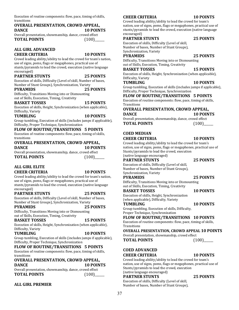Execution of routine components: flow, pace, timing of skills, transitions

#### **OVERALL PRESENTATION, CROWD APPEAL, DANCE 10 POINTS**

Overall presentation, showmanship, dance, crowd effect **TOTAL POINTS** (100)

## **ALL GIRL ADVANCED CHEER CRITERIA 10 POINTS**

Crowd leading ability/ability to lead the crowd for team's nation, use of signs, poms, flags or megaphones, practical use of stunts/pyramids to lead the crowd, execution (native language encouraged)

**PARTNER STUNTS 25 POINTS** Execution of skills, Difficulty (Level of skill, Number of bases,

Number of Stunt Groups), Synchronization, Variety **PYRAMIDS 25 POINTS** 

Difficulty, Transitions Moving into or Dismounting out of Skills, Execution, Timing, Creativity

#### **BASKET TOSSES 15 POINTS**

Execution of skills, Height, Synchronization (when applicable), Difficulty, Variety

#### **TUMBLING 10 POINTS**

Group tumbling, Execution of skills (includes jumps if applicable), Difficulty, Proper Technique, Synchronization

#### **FLOW OF ROUTINE/TRANSITIONS 5 POINTS**

Execution of routine components: flow, pace, timing of skills, transitions

#### **OVERALL PRESENTATION, CROWD APPEAL, DANCE** 10 POINTS

Overall presentation, showmanship, dance, crowd effect **TOTAL POINTS** (100)\_\_\_\_\_\_

**ALL GIRL ELITE CHEER CRITERIA 10 POINTS**

Crowd leading ability/ability to lead the crowd for team's nation, use of signs, poms, flags or megaphones, practical use of stunts/pyramids to lead the crowd, execution (native language encouraged)

#### **PARTNER STUNTS 25 POINTS**

Execution of skills, Difficulty (Level of skill, Number of bases, Number of Stunt Groups), Synchronization, Variety

**PYRAMIDS 25 POINTS** 

Difficulty, Transitions Moving into or Dismounting out of Skills, Execution, Timing, Creativity

## **BASKET TOSSES** 15 POINTS

Execution of skills, Height, Synchronization (when applicable), Difficulty, Variety

#### **TUMBLING 10 POINTS**

Group tumbling, Execution of skills (includes jumps if applicable), Difficulty, Proper Technique, Synchronization

#### **FLOW OF ROUTINE/TRANSITIONS 5 POINTS**

Execution of routine components: flow, pace, timing of skills, transitions

## **OVERALL PRESENTATION, CROWD APPEAL,**

| <b>DANCE</b>                                           | <b>10 POINTS</b> |
|--------------------------------------------------------|------------------|
| Overall presentation, showmanship, dance, crowd effect |                  |
| <b>TOTAL POINTS</b>                                    | (100)            |

## **ALL GIRL PREMIER**

## **CHEER CRITERIA 10 POINTS**

#### Crowd leading ability/ability to lead the crowd for team's nation, use of signs, poms, flags or megaphones, practical use of stunts/pyramids to lead the crowd, execution (native language encouraged)

## **PARTNER STUNTS 25 POINTS**

Execution of skills, Difficulty (Level of skill,

Number of bases, Number of Stunt Groups),

## Synchronization, Variety

**PYRAMIDS 25 POINTS** Difficulty, Transitions Moving into or Dismounting out of Skills, Execution, Timing, Creativity

**BASKET TOSSES** 15 POINTS

Execution of skills, Height, Synchronization (when applicable), Difficulty, Variety

#### **TUMBLING 10 POINTS**

Group tumbling, Execution of skills (includes jumps if applicable), Difficulty, Proper Technique, Synchronization

#### **FLOW OF ROUTINE/TRANSITIONS 5 POINTS**

Execution of routine components: flow, pace, timing of skills, **Transitions** 

#### **OVERALL PRESENTATION, CROWD APPEAL, DANCE** 10 POINTS

Overall presentation, showmanship, dance, crowd effect **TOTAL POINTS** (100)

## **COED MEDIAN**

### **CHEER CRITERIA 10 POINTS**

Crowd leading ability/ability to lead the crowd for team's nation, use of signs, poms, flags or megaphones, practical use of Stunts/pyramids to lead the crowd, execution (native language encouraged)

## **PARTNER STUNTS** 25 POINTS

Execution of skills, Difficulty (Level of skill, Number of bases, Number of Stunt Groups), Synchronization, Variety

#### **PYRAMIDS 25 POINTS**

Difficulty, Transitions Moving into or Dismounting out of Skills, Execution, Timing, Creativity

#### **BASKET TOSSES 10 POINTS**

Execution of skills, Height, Synchronization (when applicable), Difficulty, Variety

**TUMBLING 10 POINTS** 

Group tumbling, Execution of skills, Difficulty,

Proper Technique, Synchronization

## **FLOW OF ROUTINE/TRANSITIONS 10 POINTS**

Execution of routine components: flow, pace, timing of skills, **Transitions** 

## **OVERALL PRESENTATION, CROWD APPEAL 10 POINTS**

Overall presentation, showmanship, crowd effect **TOTAL POINTS** (100)

## **COED ADVANCED CHEER CRITERIA 10 POINTS**

Crowd leading ability/ability to lead the crowd for team's nation, use of signs, poms, flags or megaphones, practical use of Stunts/pyramids to lead the crowd, execution

#### (native language encouraged) **PARTNER STUNTS** 25 POINTS

Execution of skills, Difficulty (Level of skill, Number of bases, Number of Stunt Groups),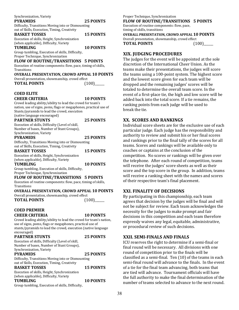|                 |  | Synchronization, Variety |  |  |                  |
|-----------------|--|--------------------------|--|--|------------------|
| <b>PYRAMIDS</b> |  |                          |  |  | <b>25 POINTS</b> |
| $     -$        |  |                          |  |  |                  |

Difficulty, Transitions Moving into or Dismounting out of Skills, Execution, Timing, Creativity

| <b>BASKET TOSSES</b>                       | <b>15 POINTS</b> |
|--------------------------------------------|------------------|
| Execution of skills Height Synchronization |                  |

Execution of skills, Height, Synchronization (when applicable), Difficulty, Variety

**TUMBLING 10 POINTS** 

Group tumbling, Execution of skills, Difficulty, Proper Technique, Synchronization

### **FLOW OF ROUTINE/TRANSITIONS 5 POINTS**

Execution of routine components: flow, pace, timing of skills, Transitions

#### **OVERALL PRESENTATION, CROWD APPEAL 10 POINTS**

Overall presentation, showmanship, crowd effect **TOTAL POINTS** (100)

#### **COED ELITE CHEER CRITERIA 10 POINTS**

Crowd leading ability/ability to lead the crowd for team's nation, use of signs, poms, flags or megaphones, practical use of Stunts/pyramids to lead the crowd, execution (native language encouraged)

**PARTNER STUNTS 25 POINTS** Execution of skills, Difficulty (Level of skill, Number of bases, Number of Stunt Groups), Synchronization, Variety

## **PYRAMIDS 25 POINTS**

Difficulty, Transitions Moving into or Dismounting out of Skills, Execution, Timing, Creativity

| <b>BASKET TOSSES</b>                       | <b>15 POINTS</b> |
|--------------------------------------------|------------------|
| Execution of skills Height Synchronization |                  |

Execution of skills, Height, Synchronization (when applicable), Difficulty, Variety

#### **TUMBLING 10 POINTS** Group tumbling, Execution of skills, Difficulty,

Proper Technique, Synchronization

#### **FLOW OF ROUTINE/TRANSITIONS 5 POINTS**

Execution of routine components: flow, pace, timing of skills, Transitions

#### **OVERALL PRESENTATION, CROWD APPEAL 10 POINTS**

Overall presentation, showmanship, crowd effect **TOTAL POINTS** (100)\_\_\_\_\_

## **COED PREMIER CHEER CRITERIA 10 POINTS**

Crowd leading ability/ability to lead the crowd for team's nation, use of signs, poms, flags or megaphones, practical use of stunts/pyramids to lead the crowd, execution (native language encouraged)

| <b>PARTNER STUNTS</b> | <b>25 POINTS</b> |
|-----------------------|------------------|
|-----------------------|------------------|

Execution of skills, Difficulty (Level of skill, Number of bases, Number of Stunt Groups), Synchronization, Variety

| <b>PYRAMIDS</b>                                    | 25 POINTS        |
|----------------------------------------------------|------------------|
| Difficulty, Transitions Moving into or Dismounting |                  |
| out of Skills, Execution, Timing, Creativity       |                  |
| <b>BASKET TOSSES</b>                               | <b>15 POINTS</b> |
| Execution of skills Height Synchronization         |                  |

Execution of skills, Height, Synchronization (when applicable), Difficulty, Variety

## **TUMBLING 10 POINTS**

Group tumbling, Execution of skills, Difficulty,

#### Proper Technique, Synchronization

## **FLOW OF ROUTINE/TRANSITIONS 5 POINTS**

Execution of routine components: flow, pace, timing of skills, transitions

**OVERALL PRESENTATION, CROWD APPEAL 10 POINTS** Overall presentation, showmanship, crowd effect **TOTAL POINTS** (100)

## **XIX. JUDGING PROCEDURES**

The judges for the event will be appointed at the sole discretion of the International Cheer Union. As the teams make their presentations, the judges will score the teams using a 100-point system. The highest score and the lowest score given for each team will be dropped and the remaining judges' scores will be totaled to determine the overall team score. In the event of a first-place tie, the high and low score will be added back into the total score. If a tie remains, the ranking points from each judge will be used to break the tie.

## **XX. SCORES AND RANKINGS**

Individual score sheets are for the exclusive use of each particular judge. Each judge has the responsibility and authority to review and submit his or her final scores and rankings prior to the final tally of the scores for all teams. Scores and rankings will be available only to coaches or captains at the conclusion of the competition. No scores or rankings will be given over the telephone. After each round of competition, teams will receive the judges' score sheets as well as their score and the top score in the group. In addition, teams will receive a ranking sheet with the names and scores of their respective team's final placement.

## **XXI. FINALITY OF DECISIONS**

By participating in this championship, each team agrees that decision by the judges will be final and will not be subject for review. Each team acknowledges the necessity for the judges to make prompt and fair decisions in this competition and each team therefore expressly waives any legal, equitable, administrative, or procedural review of such decisions.

## **XXII. SEMI-FINALS AND FINALS**

ICU reserves the right to determine if a semi-final or final round will be necessary. All divisions with one round of competition prior to the finals will be classified as a semi-final. Ten  $(10)$  of the teams in each semi-final round will advance to the finals. In the event of a tie for the final team advancing, both teams that are tied will advance. Tournament officials will have the full authority to make the final determination of the number of teams selected to advance to the next round.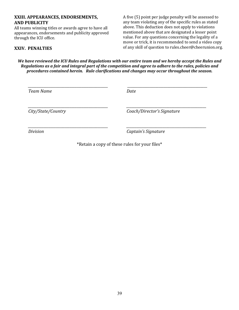## **XXIII. APPEARANCES, ENDORSEMENTS, AND PUBLICITY**

All teams winning titles or awards agree to have all appearances, endorsements and publicity approved through the ICU office.

A five (5) point per judge penalty will be assessed to any team violating any of the specific rules as stated above. This deduction does not apply to violations mentioned above that are designated a lesser point value. For any questions concerning the legality of a move or trick, it is recommended to send a video copy of any skill of question to rules.cheer@cheerunion.org.

## **XXIV. PENALTIES**

*We have reviewed the ICU Rules and Regulations with our entire team and we hereby accept the Rules and Regulations as a fair and integral part of the competition and agree to adhere to the rules, policies and* procedures contained herein. Rule clarifications and changes may occur throughout the season.

| <b>Team Name</b>   | Date                       |
|--------------------|----------------------------|
| City/State/Country | Coach/Director's Signature |
| <b>Division</b>    | Captain's Signature        |

\*Retain a copy of these rules for your files\*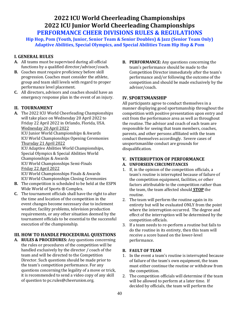## **2022 ICU World Cheerleading Championships 2022 ICU Junior World Cheerleading Championships PERFORMANCE CHEER DIVISIONS RULES & REGULATIONS**

**Hip Hop, Pom (Youth, Junior, Senior Team & Senior Doubles) & Jazz (Senior Team Only) Adaptive Abilities, Special Olympics, and Special Abilities Team Hip Hop & Pom**

## **I. GENERAL RULES**

- **A.** All teams must be supervised during all official functions by a qualified director/advisor/coach.
- **B.** Coaches must require proficiency before skill progression. Coaches must consider the athlete, group and team skill levels with regard to proper performance level placement.
- **C.** All directors, advisors and coaches should have an emergency response plan in the event of an injury.

## **II. TOURNAMENT**

A. The 2022 ICU World Cheerleading Championships will take place on Wednesday 20 April 2022 to Friday 22 April 2022 in Orlando, Florida, USA. Wednesday 20 April 2022

ICU Junior World Championships & Awards ICU World Championships Opening Ceremonies Thursday 21 April 2022

ICU Adaptive Abilities World Championships, Special Olympics & Special Abilities World Championships & Awards ICU World Championships Semi-Finals 

Friday 22 April 2022

ICU World Championships Finals & Awards ICU World Championships Closing Ceremonies

- **B.** The competition is scheduled to be held at the ESPN Wide World of Sports ® Complex.
- **C.** The tournament officials shall have the right to alter the time and location of the competition in the event changes become necessary due to inclement weather, facility problems, television production requirements, or any other situation deemed by the tournament officials to be essential to the successful execution of the championship.

## **III. HOW TO HANDLE PROCEDURAL QUESTIONS**

A. **RULES & PROCEDURES:** Any questions concerning the rules or procedures of the competition will be handled exclusively by the director / coach of the team and will be directed to the Competition Director. Such questions should be made prior to the team's competition performance. For any questions concerning the legality of a move or trick, it is recommended to send a video copy of any skill of question to pc.rules@cheerunion.org.

**B.** PERFORMANCE: Any questions concerning the team's performance should be made to the Competition Director immediately after the team's performance and/or following the outcome of the competition and should be made exclusively by the advisor/coach.

## **IV. SPORTSMANSHIP**

All participants agree to conduct themselves in a manner displaying good sportsmanship throughout the competition with positive presentation upon entry and exit from the performance area as well as throughout the routine. The advisor and coach of each team are responsible for seeing that team members, coaches, parents, and other persons affiliated with the team conduct themselves accordingly. Severe cases of unsportsmanlike conduct are grounds for disqualification.

## **V. INTERRUPTION OF PERFORMANCE**

## **A. UNFORSEEN CIRCUMSTANCES**

- 1. If, in the opinion of the competition officials, a team's routine is interrupted because of failure of the competition equipment, facilities, or other factors attributable to the competition rather than the team, the team affected should **STOP** the routine.
- 2. The team will perform the routine again in its entirety but will be evaluated ONLY from the point where the interruption occurred. The degree and effect of the interruption will be determined by the competition officials.
- 3. If a team needs to re-perform a routine but fails to do the routine in its entirety, then this team will receive a score based on the lower-level performance.

## **B. FAULT OF TEAM**

- 1. In the event a team's routine is interrupted because of failure of the team's own equipment, the team must either continue the routine or withdraw from the competition.
- 2. The competition officials will determine if the team will be allowed to perform at a later time. If decided by officials, the team will perform the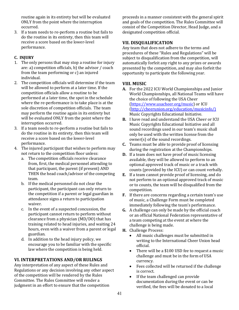routine again in its entirety but will be evaluated ONLY from the point where the interruption occurred. 

3. If a team needs to re-perform a routine but fails to do the routine in its entirety, then this team will receive a score based on the lower-level performance.

## **C. INJURY**

- 1. The only persons that may stop a routine for injury are: a) competition officials, b) the advisor  $/$  coach from the team performing or  $c$ ) an injured individual.
- 2. The competition officials will determine if the team will be allowed to perform at a later time. If the competition officials allow a routine to be performed at a later time, the spot in the schedule where the re-performance is to take place is at the sole discretion of competition officials. The team may perform the routine again in its entirety but will be evaluated ONLY from the point where the interruption occurred.
- 3. If a team needs to re-perform a routine but fails to do the routine in its entirety, then this team will receive a score based on the lower-level performance.
- 4. The injured participant that wishes to perform may not return to the competition floor unless:
	- a. The competition officials receive clearance from, first, the medical personnel attending to that participant, the parent (if present) AND THEN the head coach/advisor of the competing team.
	- b. If the medical personnel do not clear the participant, the participant can only return to the competition if a parent or legal guardian in attendance signs a return to participation waiver.
	- c. In the event of a suspected concussion, the participant cannot return to perform without clearance from a physician  $(MD/DO)$  that has training related to head injuries, and waiting 24 hours, even with a waiver from a parent or legal guardian.
	- d. In addition to the head injury policy, we encourage you to be familiar with the specific law where the competition is being held.

## **VI. INTERPRETATIONS AND/OR RULINGS**

Any interpretation of any aspect of these Rules and Regulations or any decision involving any other aspect of the competition will be rendered by the Rules Committee. The Rules Committee will render a judgment in an effort to ensure that the competition

proceeds in a manner consistent with the general spirit and goals of the competition. The Rules Committee will consist of the Competition Director, Head Judge, and a designated competition official.

## **VII. DISQUALIFICATION**

Any team that does not adhere to the terms and procedures of these "Rules and Regulations" will be subject to disqualification from the competition, will automatically forfeit any right to any prizes or awards presented by the competition, and may also forfeit the opportunity to participate the following year.

## **VIII. MUSIC**

- A. For the 2022 ICU World Championships and Junior World Championships, all National Teams will have the choice of following the USA Cheer (https://www.usacheer.org/music) or ICU (http://cheerunion.org/education/musicinfo/) Music Copyrights Educational Initiative.
- **B.** I have read and understand the USA Cheer or ICU Music Copyrights Educational Initiative and all sound recordings used in our team's music shall only be used with the written license from the owner(s) of the sound recordings.
- **C.** Teams must be able to provide proof of licensing during the registration at the Championships.
- **D.** If a team does not have proof of music licensing available, they will be allowed to perform to an optional approved track of music or a track with counts (provided by the ICU) or can count verbally.
- **E.** If a team cannot provide proof of licensing, and do not perform to an optional approved track of music or to counts, the team will be disqualified from the competition.
- **F.** If there are concerns regarding a certain team's use of music, a Challenge Form must be completed immediately following the team's performance.
- **G.** A challenge can only be made by the official coach or an official National Federation representative of a team competing at the event at where the challenge is being made.
- **H.** Challenge Process:
	- All music challenges must be submitted in writing to the International Cheer Union head official.
	- There will be a \$100 USD fee to request a music challenge and must be in the form of USA currency.
	- Fees collected will be returned if the challenge is correct.
	- $\bullet$  If the team challenged can provide documentation during the event or can be verified, the fees will be donated to a local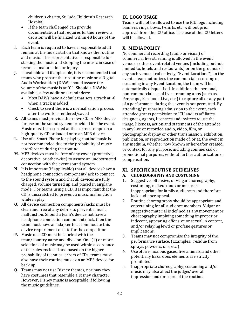children's charity, St. Jude Children's Research Hospital. 

- $\bullet$  If the team challenged can provide documentation that requires further review, a decision will be finalized within 48 hours of the event.
- **I.** Each team is required to have a responsible adult remain at the music station that knows the routine and music. This representative is responsible for starting the music and stopping the music in case of technical malfunction or injury.
- **J.** If available and if applicable, it is recommended that teams who prepare their routine music on a Digital Audio Workstation (DAW) should assure the volume of the music is at "0". Should a DAW be available, a few additional reminders:
	- Most DAWs have a default that sets a track at -6 when a track is added
	- Check to see if there is a normalization process after the work is rendered/saved
- **K.** All teams must provide their own CD or MP3 device for use on the sound system provided for the event. Music must be recorded at the correct tempo on a high-quality CD or loaded onto an MP3 device.
- **L.** Use of a Smart Phone for playing routine music is not recommended due to the probability of music interference during the routine.
- **M.** MP3 devices must be free of any cover (protective, decorative, or otherwise) to assure an unobstructed connection with the event sound system.
- **N.** It is important (if applicable) that all devices have a headphone connection component/jack to connect to the sound system and that all devices are fully charged, volume turned up and placed in airplane mode. For teams using a CD, it is important that the CD is unscratched to prevent a music malfunction while in play.
- **O.** All device connection components/jacks must be clean and free of any debris to prevent a music malfunction. Should a team's device not have a headphone connection component/jack, then the team must have an adapter to accommodate this device requirement on site for the competition.
- **P.** Music on a CD must be labeled with the team/country name and division. One (1) or more selections of music may be used within accordance of the rules enclosed and based on the higher probability of technical errors of CDs, teams must also have their routine music on an MP3 device for back up.
- **Q.** Teams may not use Disney themes, nor may they have costumes that resemble a Disney character. However, Disney music is acceptable if following the music guidelines.

## **IX. LOGO USAGE**

Teams will not be allowed to use the ICU logo including banners, rings, bows, t-shirts, etc. without prior approval from the ICU office. The use of the ICU letters will be allowed.

## **X. MEDIA POLICY**

No commercial recording (audio or visual) or commercial live streaming is allowed in the event venue or other event-related venues (including but not limited to, hotels and restaurants) or on the grounds of any such venues (collectively, "Event Locations"). In the event a team authorizes the commercial recording or streaming in any Event Location, the team will be automatically disqualified. In addition, the personal, non-commercial use of live streaming apps (such as Periscope, Facebook Live, etc.) to capture all or any part of a performance during the event is not permitted. By attending/ purchasing admission to the event, each attendee grants permission to ICU and its affiliates, designees, agents, licensees and invitees to use the image, likeness, action and statements of the attendee in any live or recorded audio, video, film, or photographic display or other transmission, exhibition, publication, or reproduction made of, or at, the event in any medium, whether now known or hereafter created, or context for any purpose, including commercial or promotional purposes, without further authorization or compensation. 

## **XI. SPECIFIC ROUTINE GUIDELINES**

## **A. CHOREOGRAPHY AND COSTUMING**

- 1. Suggestive, offensive, or vulgar choreography, costuming, makeup and/or music are inappropriate for family audiences and therefore lack audience appeal.
- 2. Routine choreography should be appropriate and entertaining for all audience members. Vulgar or suggestive material is defined as any movement or choreography implying something improper or indecent, appearing offensive or sexual in content, and/or relaying lewd or profane gestures or implications.
- 3. Teams may not compromise the integrity of the performance surface. (Examples: residue from sprays, powders, oils, etc.)
- 4. Use of fire, noxious gases, live animals, and other potentially hazardous elements are strictly prohibited.
- 5. Inappropriate choreography, costuming and/or music may also affect the judges' overall impression and/or score of the routine.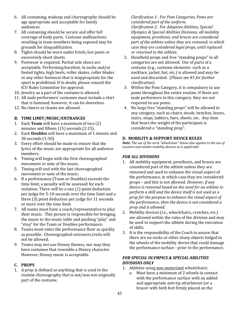- 6. All costuming, makeup and choreography should be age appropriate and acceptable for family audiences.
- 7. All costuming should be secure and offer full coverage of body parts. Costume malfunctions resulting in team members being exposed may be grounds for disqualification.
- 8. Tights should be worn under briefs, hot pants or excessively short shorts.
- 9. Footwear is required. Partial sole shoes are acceptable. Performing barefoot, in socks and/or footed tights, high heels, roller skates, roller blades or any other footwear that is inappropriate for the sport is prohibited. If in doubt, please consult the ICU Rules Committee for approval.
- 10. Jewelry as a part of the costume is allowed.
- 11. All male performers' costumes must include a shirt that is fastened; however, it can be sleeveless.
- 12. No cheers or chants are allowed.

## **B. TIME LIMIT/MUSIC/ENTRANCES**

- 1. Each **Team** will have a maximum of two (2) minutes and fifteen  $(15)$  seconds  $(2:15)$ .
- 2. Each **Doubles** will have a maximum of 1 minute and 30 seconds (1:30).
- 3. Every effort should be made to ensure that the lyrics of the music are appropriate for all audience members.
- 4. Timing will begin with the first choreographed movement or note of the music.
- 5. Timing will end with the last choreographed movement or note of the music.
- 6. If a performance (Team or Doubles) exceeds the time limit, a penalty will be assessed for each violation. There will be a one  $(1)$  point deduction per judge for 5-10 seconds over the time limit and a three  $(3)$  point deduction per judge for 11 seconds or more over the time limit.
- 7. All teams must have a coach/representative to play their music. This person is responsible for bringing the music to the music table and pushing "play" and "stop" for the Team or Doubles performance.
- 8. Teams must enter the performance floor as quickly as possible. Choreographed entrances/exits will not be allowed.
- 9. Teams may not use Disney themes, nor may they have costumes that resemble a Disney character. However, Disney music is acceptable.

## **C. PROPS**

1. A prop is defined as anything that is used in the routine choreography that is not/was not originally part of the costume.

*Clarification 1: For Pom Categories, Poms are considered part of the uniform. Clarification 2: For Adaptive Abilities, Special Olympics & Special Abilities Divisions, all mobility*  equipment, prosthesis, and braces are considered part of the athlete unless they are removed, in which *case they are considered legal props, until replaced or returned to the athlete.*

- 2. Handheld props and free "standing props" in all categories are not allowed. Use of parts of a costume (e.g., costume elements- such as a necklace, jacket, hat, etc.) is allowed and may be used and discarded. (Please see #1 for further *clarification*)
- 3. Within the Pom Category, it is compulsory to use poms throughout the entire routine. If there are male performers in this category, they are not required to use poms.
- 4. No large free "standing props" will be allowed in any category, such as chairs, stools, benches, boxes, stairs, steps, ladders, bars, sheets, etc. Any item that bears the weight of the participant is considered a "standing prop".

## **D. MOBILITY & SUPPORT DEVICE RULES**

*Note: The use of the term "wheelchair" below also applies to the use of* scooters and similar mobility devices as is applicable

## *FOR ALL DIVISIONS*

- 1. All mobility equipment, prosthesis, and braces are considered part of the athlete unless they are removed and used to enhance the visual aspect of the performance, in which case they are considered props – and this is not allowed. *However, if any* device is removed based on the need for an athlete to *perform a skill and the device itself is not used as a prop for the purpose to enhance the visual aspect of* the performance, then the device is not considered a *prop* and *is allowed.*
- 2. Mobility devices (i.e., wheelchairs, crutches, etc.) are allowed within the rules of the division and may be used to support the athlete during the execution of skills.
- 3. It is the responsibility of the Coach to assure that there are no rocks or other sharp objects lodged in the wheels of the mobility device that could damage the performance surface - prior to the performance.

## **FOR SPECIAL OLYMPICS & SPECIAL ABILITIES** *DIVISIONS ONLY*

- 1. Athletes using non-motorized wheelchairs:
	- a. Must have a minimum of 2 wheels in contact with the performance surface with an added and appropriate anti-tip attachment (or a bracer with both feet firmly placed on the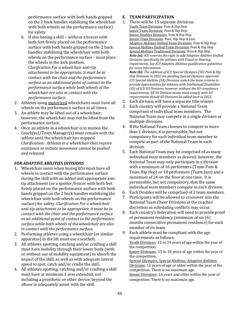performance surface with both hands gripped on the 2 back handles stabilizing the wheelchair with both wheels on the performance surface) for safety.

- b. If also basing a skill without a bracer with both feet firmly placed on the performance surface with both hands gripped on the 2 back handles stabilizing the wheelchair with both wheels on the performance surface - must place the wheels in the lock position. *Clarification For a wheelchair anti-tip attachment to be appropriate, it must be in contact with the chair and the performance* surface as an additional point of contact to the *performance surface while both wheels of the* wheelchair are also in contact with the *performance surface.*
- 2. Athletes using motorized wheelchairs must have all wheels on the performance surface at all times.
- 3. An athlete may be lifted out of a wheelchair; however, the wheelchair may not be lifted from the performance surface.
- 4. Once an athlete in a wheelchair is in motion the  $Coach(es)/Team Manager(s) must remain with the$ athlete until the wheelchair has stopped. *Clarification: Athletes in a wheelchair that require*  assistance to initiate movement cannot be pushed *and released.*

## *FOR ADAPTIVE ABILITIES DIVISIONS*

- 1. Wheelchair users when basing lifts must have all wheels in contact with the performance surface during the skill with an added and appropriate antitip attachment (or a spotter/bracer with both feet firmly placed on the performance surface with both hands gripped on the 2 back handles stabilizing the wheelchair with both wheels on the performance surface) for safety. *Clarification For a wheelchair* anti-tip attachment to be appropriate, it must be in *contact with the chair and the performance surface* as an additional point of contact to the performance surface while both wheels of the wheelchair are also *in contact with the performance surface.*
- 2. Performing athletes using a wheelchair (or similar apparatus) in the lift must use a seatbelt.
- 3. All athletes spotting, catching and/or cradling a skill must have mobility through their lower body (with or without use of mobility equipment) to absorb the impact of the skill, as well as with adequate lateral speed to spot, catch and/or cradle the skill.
- 4. All athletes spotting, catching and/or cradling a skill must have at minimum 1 arm extended, not including a prosthetic or other device, beyond the elbow to adequately assist with the skill.

## **E. TEAM PARTICIPATION**

1. There will be 15 separate divisions: Youth Team Divisions: Pom & Hip Hop **Junior Team Divisions: Pom & Hip Hop** Senior Doubles Divisions: Pom & Hip Hop Senior Team Divisions: Pom, Hip Hop & Jazz Adaptive Abilities Unified Team Divisions: Pom & Hip Hop Special Abilities Unified Team Divisions: Pom & Hip Hop Special Abilities Traditional Divisions: Pom & Hip Hop *Note* (a): ICU reserves the right to add Adaptive Abilities Unified *Divisions specifically for athletes with Visual or Hearing Impairments. See ICU Adaptive Abilities qualification guidelines for more information. Note (b)*: *The addition of ICU Special Olympics (SO) Pom & Hip* 

*Hop Divisions in 2022 are pending Special Olympics approval. ICU* Special Abilities (SA) Divisions match the team criteria to *provide opportunities for athletes with Intellectual Disabilities (ID)* of ICU SO Divisions; however, without the SO compliance *requirements. All SO Division teams must comply with SO* requirements should SO Divisions be added back in 2022.

- 2. Each division will have a separate title winner.
- 3. Each country will provide a National Team comprised of individual team members. The National Team may compete in a single division or multiple divisions.
- 4. If the National Team chooses to compete in more than 1 division, it is permissible, but not compulsory for each individual team member to compete as part of the National Team in each division.
- 5. Each National Team may be comprised of as many individual team members as desired; however, the National Team may only participate in a division with a minimum of 16 performers (Team Pom  $&$ Team Hip Hop) or 18 performers (Team Jazz) and a maximum of 24 on the floor at one time. It is permissible, but not compulsory, that the same individual team members compete in each division.
- 6. Each Doubles will be comprised of 2 team members.
- 7. Participants will be allowed to crossover into the National Team Cheer Divisions at the coaches' discretion as scheduling conflicts may occur.
- 8. Each country's federation will need to provide proof of permanent residency (minimum of six  $(6)$ ) months consecutive permanent residence) for each member of its team.
- 9. Each athlete must be compliant with the age requirements as follows: Youth Divisions: 12 to 14 years of age within the year of the competition. Junior Divisions: 15 to 18 years of age within the year of the competition. Special Olympics, Special Abilities, Adaptive Abilities Divisions: 12 years of age or older within the year of the competition. There is no maximum age. Senior Divisions: 16 years and older within the year of

competition. There is no maximum age.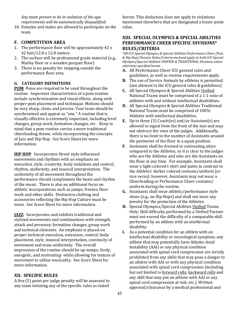Any team proven to be in violation of the age *requirements will be automatically disqualified.*

10. Females and males are allowed to participate on the team. 

## **F. COMPETITION AREA**

- 1. The performance floor will be approximately  $42x$ 42 feet/12.8 x 12.8 meters.
- 2. The surface will be professional grade material (e.g., Marley floor or a wooden parquet floor)
- 3. There is no penalty for stepping outside the performance floor area.

## **G. CATEGORY DEFINITIONS**

**POM**: Poms are required to be used throughout the routine. Important characteristics of a pom routine include synchronization and visual effects, along with proper pom placement and technique. Motions should be very sharp, clean, and precise. Your team should be synchronized and appear as "one." A routine that is visually effective is extremely important, including level changes, group work, formation changes, etc. Keep in mind that a pom routine carries a more traditional cheerleading theme, while incorporating the concepts of Jazz and Hip Hop. See Score Sheet for more information. 

**HIP HOP:** Incorporates Street style influenced movements and rhythms with an emphasis on execution, style, creativity, body isolations and control, rhythm, uniformity, and musical interpretation. The uniformity of all movement throughout the performance should complement the beats and rhythm of the music. There is also an additional focus on athletic incorporations such as jumps, freezes, floor work and other skills. Distinctive clothing and accessories reflecting the Hip Hop Culture must be worn. See Score Sheet for more information.

**JAZZ:** Incorporates and exhibits traditional and stylized movements and combinations with strength, attack and presence, formation changes, group work and technical elements. An emphasis is placed on proper technical execution, extension, control, body placement, style, musical interpretation, continuity of movement and team uniformity. The overall impression of the routine should be up-tempo, lively, energetic, and motivating- while allowing for texture of movement to utilize musicality. See Score Sheet for more information.

## **XII. SPECIFIC RULES**

A five (5) point per judge penalty will be assessed to any team violating any of the specific rules as stated

herein. This deduction does not apply to violations mentioned elsewhere that are designated a lesser point value.

## **XIII. SPECIAL OLYMPICS & SPECIAL ABILITIES PERFORMANCE CHEER SPECIFIC DIVISIONS\* RULES/CRITERIA**

\*All ICU Special Olympics & Special Abilities Performance Cheer (Pom *& Hip Hop) Division Rules/Criteria enclosed apply to both ICU Special Olympics/Special Abilities UNIFIED & TRADITIONAL Divisions unless otherwise specified herein*

- A. All Performance Cheer ICU general rules and guidelines, as well as routine requirements apply.
- **B.** The use of Service Animals by athletes is permitted. (not allowed in the ICU general rules & guidelines)
- **C.** All Special Olympics & Special Abilities Unified National Teams must be comprised of a 1:1 ratio of athletes with and without intellectual disabilities.
- **D.** All Special Olympics & Special Abilities Traditional National Teams must be comprised of 100% Athletes with intellectual disabilities.
- **E.** Up to three (3) Coach(es) and/or Assistant(s) are allowed to signal from the front of the mat and may not obstruct the view of the judges. Additionally, there is no limit to the number of Assistants around the perimeter of the floor in a squat position.
- **F.** Assistants shall be dressed in contrasting attire compared to the Athletes, so it is clear to the judges who are the Athletes and who are the Assistants on the floor at any time. For example, Assistants shall wear a light-colored t-shirt and pants in contrast to the Athletes' darker colored costume/uniform (or vice versa); however, Assistants may not wear a Cheerleading or Performance Cheer costume/ uniform during the routine.
- **G.** Assistants shall wear athletic/performance style shoes (e.g., no flip-flops) and shall not wear any jewelry for the protection of the Athletes.
- **H.** Special Olympics/Special Abilities Unified Teams Only: Skill difficulty performed by a Unified Partner must not exceed the difficulty of a comparable skill performed by an athlete with an intellectual disability.
- **I.** As a potential condition for an athlete with an intellectual disability or neurological symptom, any athlete that may potentially have Atlanto-Axial Instability (AAI) or any physical condition associated with spinal cord compression are strictly prohibited from any skills that may pose a danger to an athlete with AAI or with any physical condition associated with spinal cord compression (including but not limited to forward rolls, backward rolls and any skill that may put an athlete with AAI or any spinal cord compression at risk, etc.). Written approval/clearance by a medical professional and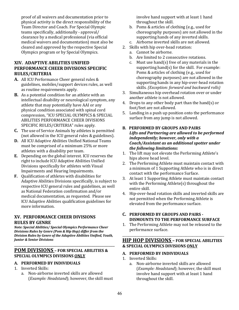proof of all waivers and documentation prior to physical activity is the direct responsibility of the Team Director and Coach. For Special Olympic teams specifically, additionally - approval/ clearance by a medical professional (via official medical waivers and documentation) must also be cleared and approved by the respective Special Olympics program or by Special Olympics.

## **XIV. ADAPTIVE ABILITIES UNIFIED PERFORMANCE CHEER DIVISIONS SPECIFIC RULES/CRITERIA**

- A. All ICU Performance Cheer general rules & guidelines, mobiles/support devices rules, as well as routine requirements apply.
- **B.** As a potential condition for an athlete with an intellectual disability or neurological symptom, any athlete that may potentially have AAI or any physical condition associated with spinal cord compression, "ICU SPECIAL OLYMPICS & SPECIAL ABILITIES PERFORMANCE CHEER DIVISIONS SPECIFIC RULES/CRITERIA" rules apply.
- **C.** The use of Service Animals by athletes is permitted (not allowed in the ICU general rules & guidelines).
- **D.** All ICU Adaptive Abilities Unified National Teams must be comprised of a minimum 25% or more athletes with a disability per team.
- **E.** Depending on the global interest. ICU reserves the right to include ICU Adaptive Abilities Unified Divisions specifically for athletes with Visual Impairments and Hearing Impairments.
- **F.** Qualification of athletes with disabilities for Adaptive Abilities Divisions specifically, is subject to respective ICU general rules and guidelines, as well as National Federation confirmation and/or medical documentation, as requested. Please see ICU Adaptive Abilities qualification guidelines for more information.

## **XV. PERFORMANCE CHEER DIVISIONS RULES BY GENRE**

*Note: Special Abilities/ Special Olympics Performance Cheer Divisions Rules by Genre (Pom & Hip Hop) differ from the* **Division Rules by Genre of the Adaptive Abilities Unified, Youth,** *Junior & Senior Divisions*

\_\_\_\_\_\_\_\_\_\_\_\_\_\_\_\_\_\_\_\_\_\_\_\_\_\_\_\_\_\_\_\_\_\_\_\_\_\_\_\_\_\_\_\_\_\_\_

## **POM DIVISIONS - FOR SPECIAL ABILITIES & SPECIAL OLYMPICS DIVISIONS ONLY**

## **A. PERFORMED BY INDIVIDUALS**

- 1. Inverted Skills:
	- a. Non-airborne inverted skills are allowed (*Example: Headstand*); however, the skill must

involve hand support with at least 1 hand throughout the skill.

- b. Poms & articles of clothing (e.g., used for choreography purposes) are not allowed in the supporting hands of any inverted skills.
- c. Airborne inverted skills are not allowed.
- 2. Skills with hip over-head rotation:
	- a. Cannot be airborne.
	- b. Are limited to 2 consecutive rotations.
	- c. Must use hand(s) free of any materials in the supporting hand(s) for the skill. For example: Poms & articles of clothing (e.g., used for choreography purposes) are not allowed in the supporting hands in any hip-over-head rotation skills. (Exception: forward and backward rolls)
- 3. Simultaneous hip overhead rotation over or under another athlete is not allowed.
- 4. Drops to any other body part than the hand(s) or foot/feet are not allowed.
- 5. Landing in a push up position onto the performance surface from any jump is not allowed.

## **B. PERFORMED BY GROUPS AND PAIRS** Lifts and Partnering are allowed to be performed *independently; however, only with a* Coach/Assistant as an additional spotter under *the following limitations:*

- 1. The lift may not elevate the Performing Athlete's hips above head level.
- 2. The Performing Athlete must maintain contact with a minimum of 1 Supporting Athlete who is in direct contact with the performance Surface.
- 3. At least 1 Supporting Athlete must maintain contact with the Performing Athlete $(s)$  throughout the entire skill.
- 4. Hip-over-head rotation skills and inverted skills are not permitted when the Performing Athlete is elevated from the performance surface.

## **C. PERFORMED BY GROUPS AND PAIRS - DISMOUNTS TO THE PERFORMANCE SURFACE**

1. The Performing Athlete may not be released to the performance surface.

## **HIP HOP DIVISIONS - FOR SPECIAL ABILITIES & SPECIAL OLYMPICS DIVISIONS ONLY**

\_\_\_\_\_\_\_\_\_\_\_\_\_\_\_\_\_\_\_\_\_\_\_\_\_\_\_\_\_\_\_\_\_\_\_\_\_\_\_\_\_\_\_\_\_\_\_\_\_\_\_\_\_\_\_\_\_\_\_\_\_\_\_\_

- **A. PERFORMED BY INDIVIDUALS**
- 1. Inverted Skills:
	- a. Non-airborne inverted skills are allowed (*Example: Headstand*); however, the skill must involve hand support with at least 1 hand throughout the skill.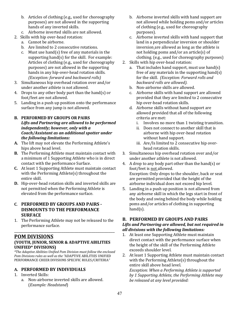- b. Articles of clothing (e.g., used for choreography purposes) are not allowed in the supporting hands of any inverted skills.
- c. Airborne inverted skills are not allowed.
- 2. Skills with hip over-head rotation:
	- a. Cannot be airborne.
	- b. Are limited to 2 consecutive rotations.
	- c. Must use hand(s) free of any materials in the supporting hand(s) for the skill. For example: Articles of clothing (e.g., used for choreography purposes) are not allowed in the supporting hands in any hip-over-head rotation skills. *(Exception: forward and backward rolls)*
- 3. Simultaneous hip overhead rotation over and/or under another athlete is not allowed.
- 4. Drops to any other body part than the hand(s) or foot/feet are not allowed.
- 5. Landing in a push up position onto the performance surface from any jump is not allowed.

## **B.** PERFORMED BY GROUPS OR PAIRS

Lifts and Partnering are allowed to be performed *independently; however, only with a* Coach/Assistant as an additional spotter under *the following limitations:*

- A. The lift may not elevate the Performing Athlete's hips above head level.
- **B.** The Performing Athlete must maintain contact with a minimum of 1 Supporting Athlete who is in direct contact with the performance Surface.
- **C.** At least 1 Supporting Athlete must maintain contact with the Performing Athlete $(s)$  throughout the entire skill.
- **D.** Hip-over-head rotation skills and inverted skills are not permitted when the Performing Athlete is elevated from the performance surface.

## **C**. **PERFORMED BY GROUPS AND PAIRS - DISMOUNTS TO THE PERFORMANCE SURFACE**

1. The Performing Athlete may not be released to the performance surface.

## \_\_\_\_\_\_\_\_\_\_\_\_\_\_\_\_\_\_\_\_\_\_\_\_\_\_\_\_\_\_\_\_\_\_\_\_\_\_\_\_\_\_\_\_\_\_\_ **POM DIVISIONS (YOUTH, JUNIOR, SENIOR & ADAPTIVE ABILITIES UNIFIED\* DIVISIONS)**

*\*The Adaptive Abilities Unified Pom Division must follow the enclosed*  Pom Divisions rules as well as the "ADAPTIVE ABILITIES UNIFIED PERFORMANCE CHEER DIVISIONS SPECIFIC RULES/CRITERIA*"*

## **A. PERFORMED BY INDIVIDUALS**

- 1. Inverted Skills:
	- a. Non-airborne inverted skills are allowed. (*Example: Headstand*)
- b. Airborne inverted skills with hand support are not allowed while holding poms and/or articles of clothing (e.g., used for choreography purposes).
- c. Airborne inverted skills with hand support that land in a perpendicular inversion or shoulder inversion are allowed as long as the athlete is not holding poms and/or an article(s) of clothing. (e.g., used for choreography purposes)
- 2. Skills with hip over-head rotation:
	- a. That includes hand support, must use hand(s) free of any materials in the supporting hand(s) for the skill. (Exception: Forward rolls and *backward rolls are allowed).*
	- b. Non-airborne skills are allowed.
	- c. Airborne skills with hand support are allowed provided that they are limited to 2 consecutive hip over-head rotation skills.
	- d. Airborne skills without hand support are allowed provided that all of the following criteria are met:
		- i. Involves no more than 1 twisting transition.
		- ii. Does not connect to another skill that is airborne with hip over-head rotation without hand support.
		- iii. Are/Is limited to 2 consecutive hip overhead rotation skills.
- 3. Simultaneous hip overhead rotation over and/or under another athlete is not allowed.
- 4. A drop to any body part other than the hand(s) or foot/feet is not allowed. Exception: Only drops to the shoulder, back or seat are permitted provided that the height of the airborne individual does not exceed hip level.
- 5. Landing in a push up position is not allowed from any airborne skill in which the legs start in front of the body and swing behind the body while holding poms and/or articles of clothing in supporting hand(s).

## **B. PERFORMED BY GROUPS AND PAIRS**

## Lifts and Partnering are allowed, but not required in *all divisions with the following limitations:*

- 1. At least one Supporting Athlete must maintain direct contact with the performance surface when the height of the skill of the Performing Athlete exceeds shoulder level.
- 2. At least 1 Supporting Athlete must maintain contact with the Performing Athlete $(s)$  throughout the entire skill above head level.

*Exception: When a Performing Athlete is supported* by 1 Supporting Athlete, the Performing Athlete may be released at any level provided: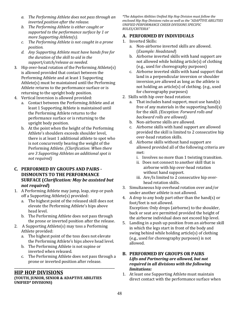- a. The Performing Athlete does not pass through an *inverted position after the release.*
- *b.* The Performing Athlete is either caught or supported to the performance surface by 1 or *more Supporting Athlete(s).*
- *c.* The Performing Athlete is not caught in a prone *position.*
- *d. Any Supporting Athlete must have hands free for the duration of the skill to aid in the* support/catch/release as needed.
- 3. Hip over-head rotation of the Performing Athlete(s) is allowed provided that contact between the Performing Athlete and at least 1 Supporting Athlete $(s)$  must be maintained until the Performing Athlete returns to the performance surface or is returning to the upright body position.
- 4. Vertical Inversion is allowed provided:
	- a. Contact between the Performing Athlete and at least 1 Supporting Athlete is maintained until the Performing Athlete returns to the performance surface or is returning to the upright body position.
	- b. At the point when the height of the Performing Athlete's shoulders exceeds shoulder level, there is at least 1 additional athlete to spot who is not concurrently bearing the weight of the Performing Athlete. *(Clarification: When there are 3 Supporting Athletes an additional spot is not required)*

## **C. PERFORMED BY GROUPS AND PAIRS - DISMOUNTS TO THE PERFORMANCE SURFACE** (*Clarification: May be assisted but not required***)**

- 1. A Performing Athlete may jump, leap, step or push off a Supporting Athlete(s) provided:
	- a. The highest point of the released skill does not elevate the Performing Athlete's hips above head level.
	- b. The Performing Athlete does not pass through the prone or inverted position after the release.
- 2. A Supporting Athlete(s) may toss a Performing Athlete provided:
	- a. The highest point of the toss does not elevate the Performing Athlete's hips above head level.
	- b. The Performing Athlete is not supine or inverted when released.
	- c. The Performing Athlete does not pass through a prone or inverted position after release.

\_\_\_\_\_\_\_\_\_\_\_\_\_\_\_\_\_\_\_\_\_\_\_\_\_\_\_\_\_\_\_\_\_\_\_\_\_\_\_\_\_\_\_\_\_\_\_

## **HIP HOP DIVISIONS**

## **(YOUTH, JUNIOR, SENIOR & ADAPTIVE ABILITIES UNIFIED\* DIVISIONS)**

*\*The Adaptive Abilities Unified Hip Hop Division must follow the*  enclosed Hip Hop Divisions rules as well as the "ADAPTIVE ABILITIES *UNIFIED PERFORMANCE CHEER DIVISIONS SPECIFIC RULES/CRITERIA"*

## **A. PERFORMED BY INDIVIDUALS**

- 1. Inverted Skills:
	- a. Non-airborne inverted skills are allowed. (*Example: Headstand*)
	- b. Airborne inverted skills with hand support are not allowed while holding article $(s)$  of clothing (e.g., used for choreography purposes)
	- c. Airborne inverted skills with hand support that land in a perpendicular inversion or shoulder inversion are allowed as long as the athlete is not holding an article $(s)$  of clothing. (e.g., used for choreography purposes)
- 2. Skills with hip over-head rotation:
	- a. That includes hand support, must use hand(s) free of any materials in the supporting hand(s) for the skill. *(Exception: Forward rolls and* backward rolls are allowed).
	- b. Non-airborne skills are allowed.
	- c. Airborne skills with hand support are allowed provided the skill is limited to 2 consecutive hip over-head rotation skills.
	- d. Airborne skills without hand support are allowed provided all of the following criteria are met:
		- i. Involves no more than 1 twisting transition.
		- ii. Does not connect to another skill that is airborne with hip over-head rotation without hand support.
		- iii. Are/Is limited to 2 consecutive hip overhead rotation skills.
- 3. Simultaneous hip overhead rotation over and/or under another athlete is not allowed.
- 4. A drop to any body part other than the hand(s) or foot/feet is not allowed. Exception: Only drops (airborne) to the shoulder, back or seat are permitted provided the height of the airborne individual does not exceed hip level.
- 5. Landing in a push up position from an airborne skill in which the legs start in front of the body and swing behind while holding article $(s)$  of clothing (e.g., used for choreography purposes) is not allowed.

## **B. PERFORMED BY GROUPS OR PAIRS** Lifts and Partnering are allowed, but not *required in all divisions with the following limitations:*

1. At least one Supporting Athlete must maintain direct contact with the performance surface when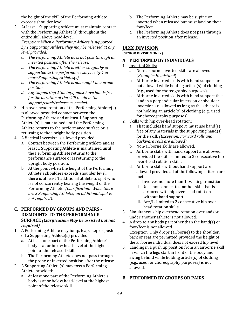the height of the skill of the Performing Athlete exceeds shoulder level.

- 2. At least 1 Supporting Athlete must maintain contact with the Performing Athlete(s) throughout the entire skill above head-level. *Exception:* When a Performing Athlete is supported *by 1 Supporting Athlete, they may be released at any level provided:*
	- *a.* The Performing Athlete does not pass through an *inverted position after the release.*
	- *b. The Performing Athlete is either caught by or* supported to the performance surface by 1 or *more Supporting Athletes(s).*
	- *c.* The Performing Athlete is not caught in a prone *position.*
	- d. Any Supporting Athlete(s) must have hands free *for the duration of the skill to aid in the* support/catch/release as needed.
- 3. Hip over-head rotation of the Performing Athlete(s) is allowed provided contact between the Performing Athlete and at least 1 Supporting Athlete $(s)$  is maintained until the Performing Athlete returns to the performance surface or is returning to the upright body position.
- 4. A Vertical Inversion is allowed provided:
	- a. Contact between the Performing Athlete and at least 1 Supporting Athlete is maintained until the Performing Athlete returns to the performance surface or is returning to the upright body position.
	- b. At the point when the height of the Performing Athlete's shoulders exceeds shoulder level, there is at least 1 additional athlete to spot who is not concurrently bearing the weight of the Performing Athlete. *(Clarification: When there* are 3 Supporting Athletes, an additional spot is *not required*).

## **C. PERFORMED BY GROUPS AND PAIRS - DISMOUNTS TO THE PERFORMANCE SURFACE** *(Clarification: May be assisted but not required)*

- 1. A Performing Athlete may jump, leap, step or push off a Supporting Athlete(s) provided:
	- a. At least one part of the Performing Athlete's body is at or below head-level at the highest point of the released skill.
	- b. The Performing Athlete does not pass through the prone or inverted position after the release.
- 2. A Supporting Athlete(s) may toss a Performing Athlete provided:
	- a. At least one part of the Performing Athlete's body is at or below head-level at the highest point of the release skill.
- b. The Performing Athlete may be supine or inverted when released but must land on their foot/feet.
- c. The Performing Athlete does not pass through an inverted position after release.

\_\_\_\_\_\_\_\_\_\_\_\_\_\_\_\_\_\_\_\_\_\_\_\_\_\_\_\_\_\_\_\_\_\_\_\_\_\_\_\_\_\_\_\_\_\_\_\_\_\_\_\_\_\_\_\_\_\_\_\_\_\_\_\_

## **JAZZ DIVISION (SENIOR DIVISION ONLY)**

## A. **PERFORMED BY INDIVIDUALS**

- 1. Inverted Skills:
	- a. Non-airborne inverted skills are allowed. (*Example: Headstand*)
	- b. Airborne inverted skills with hand support are not allowed while holding article(s) of clothing (e.g., used for choreography purposes).
	- c. Airborne inverted skills with hand support that land in a perpendicular inversion or shoulder inversion are allowed as long as the athlete is not holding an article(s) of clothing (e.g., used for choreography purposes).
- 2. Skills with hip over-head rotation:
	- a. That includes hand support, must use hand(s) free of any materials in the supporting hand(s) for the skill. *(Exception: Forward rolls and backward rolls are allowed).*
	- b. Non-airborne skills are allowed.
	- c. Airborne skills with hand support are allowed provided the skill is limited to 2 consecutive hip over-head rotation skills.
	- d. Airborne skills without hand support are allowed provided all of the following criteria are met:
		- i. Involves no more than 1 twisting transition.
		- ii. Does not connect to another skill that is airborne with hip over-head rotation without hand support.
		- iii. Are/Is limited to 2 consecutive hip overhead rotation skills.
- 3. Simultaneous hip overhead rotation over and/or under another athlete is not allowed.
- 4. A drop to any body part other than the hand(s) or foot/feet is not allowed. Exception: Only drops (airborne) to the shoulder, back or seat are permitted provided the height of the airborne individual does not exceed hip level.
- 5. Landing in a push up position from an airborne skill in which the legs start in front of the body and swing behind while holding article(s) of clothing (e.g., used for choreography purposes) is not allowed.

## **B. PERFORMED BY GROUPS OR PAIRS**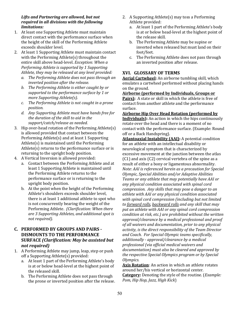### Lifts and Partnering are allowed, but not *required in all divisions with the following limitations:*

- 1. At least one Supporting Athlete must maintain direct contact with the performance surface when the height of the skill of the Performing Athlete exceeds shoulder level.
- 2. At least 1 Supporting Athlete must maintain contact with the Performing Athlete $(s)$  throughout the entire skill above head-level. *Exception: When a Performing Athlete is supported by 1 Supporting* Athlete, they may be released at any level provided:
	- a. The Performing Athlete does not pass through an *inverted position after the release.*
	- *b.* The Performing Athlete is either caught by or supported to the performance surface by 1 or *more Supporting Athlete(s).*
	- *c.* The Performing Athlete is not caught in a prone *position.*
	- *d. Any Supporting Athlete must have hands free for*  the duration of the skill to aid in the support/catch/release as needed.
- 3. Hip over-head rotation of the Performing Athlete(s) is allowed provided that contact between the Performing  $A$ thlete $(s)$  and at least 1 Supporting Athlete $(s)$  is maintained until the Performing Athlete $(s)$  returns to the performance surface or is returning to the upright body position.
- 4. A Vertical Inversion is allowed provided:
	- a. Contact between the Performing Athlete and at least 1 Supporting Athlete is maintained until the Performing Athlete returns to the performance surface or is returning to the upright body position.
	- b. At the point when the height of the Performing Athlete's shoulders exceeds shoulder level, there is at least 1 additional athlete to spot who is not concurrently bearing the weight of the Performing Athlete. (Clarification: When there are 3 Supporting Athletes, and additional spot is *not required*).

## **C. PERFORMED BY GROUPS AND PAIRS - DISMOUNTS TO THE PERFORMANCE SURFACE** (Clarification: May be assisted but *not required)*

- 1. A Performing Athlete may jump, leap, step or push off a Supporting Athlete(s) provided:
	- a. At least 1 part of the Performing Athlete's body is at or below head-level at the highest point of the released skill.
	- b. The Performing Athlete does not pass through the prone or inverted position after the release.
- 2. A Supporting Athlete(s) may toss a Performing Athlete provided:
	- a. At least 1 part of the Performing Athlete's body is at or below head-level at the highest point of the release skill.
	- b. The Performing Athlete may be supine or inverted when released but must land on their foot/feet.
	- c. The Performing Athlete does not pass through an inverted position after release.

## **XVI. GLOSSARY OF TERMS**

**Aerial Cartwheel:** An airborne tumbling skill, which emulates a cartwheel performed without placing hands on the ground.

**Airborne (performed by Individuals, Groups or Pairs**): A state or skill in which the athlete is free of contact from another athlete and the performance surface.

**Airborne Hip Over Head Rotation (performed by Individuals**): An action in which the hips continuously rotate over the head and there is a moment of no contact with the performance surface. (Example: Round off or a Back Handspring).

**Atlantoaxial Instability (AAI):** A potential condition for an athlete with an intellectual disability or neurological symptom that is characterized by excessive movement at the junction between the atlas  $(C1)$  and axis  $(C2)$  cervical vertebra of the spine as a result of either a bony or ligamentous abnormality. *Note: AAI is referenced herein as a precaution for Special Olympic, Special Abilities and/or Adaptive Abilities*  Teams or any athlete that may potentially have AAI or *any physical condition associated with spinal cord compression. Any skills that may pose a danger to an* athlete with AAI or any physical condition associated with spinal cord compression (including but not limited to <u>forward rolls</u>, backward rolls and any skill that may put an athlete with AAI or any spinal cord compression *condition at risk, etc.)* are prohibited without the written approval/clearance by a medical professional and proof of all waivers and documentation, prior to any physical activity, is the direct responsibility of the Team Director and Coach. For Special Olympic teams specifically, *additionally - approval/clearance by a medical*  professional (via official medical waivers and documentation) must also be cleared and approved by the respective Special Olympics program or by Special *Olympics.*

Axis Rotation: An action in which an athlete rotates around her/his vertical or horizontal center. **Category:** Denoting the style of the routine. (*Example:* 

*Pom, Hip Hop, Jazz, High Kick*)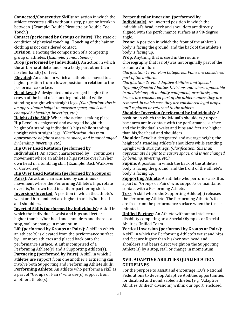**Connected/Consecutive Skills:** An action in which the athlete executes skills without a step, pause or break in between. (Example: Double Pirouette or Double Toe Touch.)

**Contact (performed by Groups or Pairs)**: The state or condition of physical touching. Touching of the hair or clothing is not considered contact.

**Division**: Denoting the composition of a competing group of athletes. (*Example: Junior*, *Senior*)

**Drop** (**performed** by Individuals): An action in which the airborne athlete lands on a body part other than his/her hand(s) or feet.

**Elevated**: An action in which an athlete is moved to a higher position from a lower position in relation to the performance surface.

**Head Level:** A designated and averaged height; the crown of the head of a standing individual while standing upright with straight legs. *(Clarification: this is* an approximate height to measure space, and is not *changed by bending, inverting, etc.)* 

**Height of the Skill**: Where the action is taking place. **Hip Level:** A designated and averaged height; the height of a standing individual's hips while standing upright with straight legs. *(Clarification: this is an* approximate height to measure space, and is not changed *by bending, inverting, etc.)*

## **Hip Over Head Rotation (performed by**

**Individuals**): An action characterized by continuous movement where an athlete's hips rotate over his/her own head in a tumbling skill (Example: Back Walkover or Cartwheel).

#### **Hip Over Head Rotation (performed by Groups or**

**Pairs)**: An action characterized by continuous movement where the Performing Athlete's hips rotate over his/her own head in a lift or partnering skill. **Inversion/Inverted:** A position in which the athlete's waist and hips and feet are higher than his/her head and shoulders.

**Inverted Skills (performed by Individuals)**: A skill in which the individual's waist and hips and feet are higher than his/her head and shoulders and there is a stop, stall or change in momentum.

**Lift (performed by Groups or Pairs)**: A skill in which an athlete $(s)$  is elevated from the performance surface by 1 or more athletes and placed back onto the performance surface. A Lift is comprised of a Performing  $A$ thlete(s) and a Supporting  $A$ thlete(s). **Partnering (performed by Pairs)**: A skill in which 2

athletes use support from one another. Partnering can involve both Supporting and Performing Athlete skills. **Performing Athlete:** An athlete who performs a skill as a part of "Groups or Pairs" who use(s) support from another athlete $(s)$ .

## **Perpendicular Inversion (performed by**

**Individuals**): An inverted position in which the individual's head, neck and shoulders are directly aligned with the performance surface at a 90-degree angle.

**Prone**: A position in which the front of the athlete's body is facing the ground, and the back of the athlete's body is facing up.

**Prop:** Anything that is used in the routine choreography that is not/was not originally part of the costume / uniform.

*Clarification 1: For Pom Categories, Poms are considered part of the uniform.* 

*Clarification 2: For Adaptive Abilities and Special Olympics/Special Abilities Divisions and where applicable in all divisions, all mobility equipment, prosthesis, and braces are considered part of the athlete unless they are removed, in which case they are considered legal props, until replaced or returned to the athlete.*

**Shoulder Inversion (performed by individuals)**: A position in which the individual's shoulders / upper back area are in contact with the performance surface and the individual's waist and hips and feet are higher than his/her head and shoulders.

**Shoulder Level:** A designated and average height; the height of a standing athlete's shoulders while standing upright with straight legs. *(Clarification: this is an* approximate height to measure space, and is not changed *by bending, inverting, etc.)*

**Supine**: A position in which the back of the athlete's body is facing the ground, and the front of the athlete's body is facing up.

**Supporting Athlete:** An athlete who performs a skill as a part of "Groups or Pairs" who supports or maintains contact with a Performing Athlete.

**Toss:** A skill where the Supporting Athlete(s) releases the Performing Athlete. The Performing Athlete 's feet are free from the performance surface when the toss is initiated.

**Unified Partner**: An Athlete without an intellectual disability competing on a Special Olympics or Special Abilities Unified Team.

**Vertical Inversion (performed by Groups or Pairs):** A skill in which the Performing Athlete's waist and hips and feet are higher than his/her own head and shoulders and bears direct weight on the Supporting Athlete(s) by a stop, stall or change in momentum.

## **XVII. ADAPTIVE ABILITIES QUALIFICATION GUIDELINES**

For the purpose to assist and encourage ICU's National Federations to develop Adaptive Abilities opportunities for disabled and nondisabled athletes (e.g. "Adaptive Abilities Unified" divisions) within our Sport, enclosed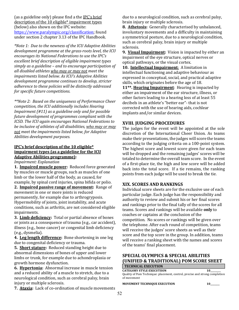(as a guideline only) please find a the IPC's brief description of the  $10$  eligible\* impairment types (below) also shown on the IPC website: https://www.paralympic.org/classification; found under section 2 chapter 3.13 of the IPC Handbook.

*\*Note 1: Due to the newness of the ICU Adaptive Abilities* development programme at the grass-roots level, the ICU encourages its National Federations to use the IPC's excellent brief description of eligible *impairment* types *simply as a guideline – and to encourage participation of all disabled athletes who may or may not meet the impairments listed below. As ICU's Adaptive Abilities* development programme continues to develop, stricter adherence to these policies will be distinctly addressed *for specific future competitions.* 

*\*\*Note 2: Based on the uniqueness of Performance Cheer competition, the ICU additionally includes Hearing Impairment* (#11) as a guideline only and for possible future development of programmes compliant with the *ICSD.* The *ICU* again encourages National Federations to *be inclusive of athletes of all disabilities, who may or may* not meet the *impairments listed below, for Adaptive Abilities development purposes.* 

## **IPC's brief description of the 10 eligible\* impairment types (as a guideline for the ICU Adaptive Abilities programme):**

*Impairment: Explanation* 

**1. Impaired muscle power:** Reduced force generated by muscles or muscle groups, such as muscles of one limb or the lower half of the body, as caused, for example, by spinal cord injuries, spina bifida or polio.

2. **Impaired passive range of movement:** Range of movement in one or more joints is reduced permanently, for example due to arthrogryposis. Hypermobility of joints, joint instability, and acute conditions, such as arthritis, are not considered eligible impairments.

**3.** Limb deficiency: Total or partial absence of bones or joints as a consequence of trauma (e.g., car accident), illness (e.g., bone cancer) or congenital limb deficiency (e.g., dysmelia).

**4. Leg length difference:** Bone shortening in one leg due to congenital deficiency or trauma.

**5. Short stature:** Reduced standing height due to abnormal dimensions of bones of upper and lower limbs or trunk, for example due to achondroplasia or growth hormone dysfunction.

**6. Hypertonia:** Abnormal increase in muscle tension and a reduced ability of a muscle to stretch, due to a neurological condition, such as cerebral palsy, brain injury or multiple sclerosis.

7. **Ataxia:** Lack of co-ordination of muscle movements

due to a neurological condition, such as cerebral palsy, brain injury or multiple sclerosis.

**8. Athetosis:** Generally characterised by unbalanced, involuntary movements and a difficulty in maintaining a symmetrical posture, due to a neurological condition, such as cerebral palsy, brain injury or multiple sclerosis.

**9. Visual Impairment:** Vision is impacted by either an impairment of the eye structure, optical nerves or optical pathways, or the visual cortex.

**10.** Intellectual Impairment: A limitation in intellectual functioning and adaptive behaviour as expressed in conceptual, social, and practical adaptive skills, which originates before the age of 18.

**11\*\*. Hearing Impairment**: Hearing is impacted by either an impairment of the ear structure, illness, or other factors leading to a hearing loss of at least 55 decibels in an athlete's "better ear"- that is not corrected with the use of hearing aids, cochlear implants and/or similar devices.

## **XVIII. JUDGING PROCEDURES**

The judges for the event will be appointed at the sole discretion of the International Cheer Union. As teams make their presentations, the judges will score the teams according to the judging criteria on a 100-point system. The highest score and lowest score given for each team will be dropped and the remaining judges' scores will be totaled to determine the overall team score. In the event of a first-place tie, the high and low score will be added back into the total score. If a tie remains, the ranking points from each judge will be used to break the tie.

## **XIX. SCORES AND RANKINGS**

Individual score sheets are for the exclusive use of each particular judge. Each judge has the responsibility and authority to review and submit his or her final scores and rankings prior to the final tally of the scores for all teams. Scores and rankings will be available **only** to coaches or captains at the conclusion of the competition. No scores or rankings will be given over the telephone. After each round of competition, teams will receive the judges' score sheets as well as their score and the top score in the group. In addition, teams will receive a ranking sheet with the names and scores of the teams' final placement.

## **SPECIAL OLYMPICS & SPECIAL ABILITIES (UNIFIED & TRADITIONAL) POM SCORE SHEET**

| <b>TECHNICAL EXECUTION</b>                                                  |    |
|-----------------------------------------------------------------------------|----|
| <b>CATEGORY STYLE EXECUTIION</b>                                            | 10 |
| Quality of Pom Technique: placement, control, precise and strong completion |    |
| of movement                                                                 |    |
|                                                                             |    |

**MOVEMENT TECHNIQUE EXECUTION 10\_\_\_\_\_\_\_\_**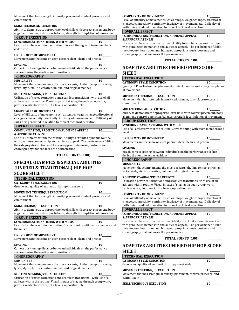Movement that has strength, intensity, placement, control, presence and commitment

#### **SKILL TECHNICAL EXECUTION 10**

Ability to demonstrate appropriate level skills with correct placement, body alignment, control, extension, balance, strength & completion of movement

#### **GROUP EXECUTION SYNCHONRIZATION/TIMING WITH MUSIC**  $10$

Use of all athletes within the routine. Correct timing with team members and music

#### **UNIFORMITY OF MOVEMENT 10**

Movements are the same on each person: clear, clean, and precise

#### **SPACING 10\_\_\_\_\_\_\_\_**

Correct positioning/distance between individuals on the performance surface during the routine and transitions

## **CHOREOGRAPHY**

**MUSICALITY** 10

Movement that complements the music accents, rhythm, tempo, phrasing, lyrics, style, etc. in a creative, unique, and original manner

#### **ROUTINE STAGING/VISUAL EFFECTS 10\_\_\_\_\_\_\_\_**

Utilization of varied formations and seamless transitions- with use of all athletes within routine. Visual impact of staging through group work, partner work, floor work, lifts, levels, opposition, etc.

#### **COMPLEXITY OF MOVEMENT 10**

Level of difficulty of movement such as tempo, weight changes, directional changes, connectivity, continuity, intricacy of movement, etc. Difficulty of skills being credited in relation to correct technical execution

#### **OVERALL EFFECT**

#### **COMMUNICATION/PROJECTION/AUDIENCE APPEAL 10\_\_\_\_\_\_\_\_\_ & APPROPRIATENESS**

Use of all athletes within the routine. Ability to exhibit a dynamic routine with genuine showmanship and audience appeal. The performance fulfills the category description and has age-appropriate music, costume and choreography that enhances the performance

#### **TOTAL POINTS (100) \_\_\_\_\_\_\_\_\_\_\_\_**

## **SPECIAL OLYMPICS & SPECIAL ABILITIES (UNIFIED & TRADITIONAL) HIP HOP SCORE SHEET**

#### **TECHNICAL EXECUTION**

| <b>CATEGORY STYLE EXECUTION</b>                      | 10 |
|------------------------------------------------------|----|
| Groove and quality of authentic hip hop/street style |    |

## **MOVEMENT TECHNIQUE EXECUTION 10**

Movement that has strength, intensity, placement, control, presence and commitment 

#### **SKILL TECHNIQUE EXECUTION 10**

Ability to demonstrate appropriate level skills with correct placement, body alignment, control, extension, balance, strength & completion of movement **GROUP EXECUTION** 

| SYNCHONRIZATION/TIMING WITH MUSIC                                         |  |
|---------------------------------------------------------------------------|--|
| Use of all athletes within the routine Correct timing with team members a |  |

Use of all athletes within the routine. Correct timing with team members and the music

#### UNIFORMITY OF MOVEMENT **10** Movements are the same on each person: clear, clean, and precise

**SPACING 10\_\_\_\_\_\_\_\_** Correct positioning/distance between individuals on the performance

surface during the routine and transitions

#### **CHOREOGRAPHY MUSICALITY** 10

Movement that complements the music accents, rhythm, tempo, phrasing, lyrics, style, etc. in a creative, unique, and original manner

#### **ROUTINE STAGING/VISUAL EFFECTS 10\_\_\_\_\_\_\_\_**

Utilization of varied formations and seamless transitions - with use of all athletes within the routine. Visual impact of staging through group work, partner work, floor work, lifts, levels, opposition, etc.

#### **COMPLEXITY OF MOVEMENT 10**

Level of difficulty of movement such as tempo, weight changes, directional changes, connectivity, continuity, intricacy of movement, etc. Difficulty of skills being credited in relation to correct technical execution

#### **OVERALL EFFECT**

**COMMUNICATION/PROJECTION/AUDIENCE APPEAL 10 & APPROPRIATENESS** 

Use of all athletes within the routine. Ability to exhibit a dynamic routine with genuine showmanship and audience appeal. The performance fulfills the category description and has age-appropriate music, costume and choreography that enhances the performance

#### **TOTAL POINTS (100)**

## **ADAPTIVE ABILITIES UNIFIED POM SCORE SHEET**

| <b>TECHNICAL EXECUTION</b>                                                                 |           |
|--------------------------------------------------------------------------------------------|-----------|
| <b>CATEGORY STYLE EXECUTIION</b>                                                           | 10        |
| Quality of Pom Technique: placement, control, precise and strong completion<br>of movement |           |
| <b>MOVEMENT TECHNIQUE EXECUTION</b>                                                        | <b>10</b> |
| Movement that has strength, intensity, placement, control, presence and<br>commitment      |           |
| <b>SKILL TECHNICAL EXECUTION</b>                                                           | 10        |
| Ability to demonstrate appropriate level skills with correct placement, body               |           |
| alignment, control, extension, balance, strength & completion of movement                  |           |
| <b>GROUP EXECUTION</b>                                                                     |           |
| SYNCHONRIZATION/TIMING WITH MUSIC                                                          | 10        |
| Use of all athletes within the routine. Correct timing with team members and<br>music      |           |
| <b>UNIFORMITY OF MOVEMENT</b>                                                              | 10        |
| Movements are the same on each person: clear, clean, and precise                           |           |
| <b>SPACING</b>                                                                             |           |
| Equal/correct spacing between individuals on the performance surface                       |           |

during the routine and transitions

#### **CHOREOGRAPHY MUSICALITY** 10

Movement that complements the music accents, rhythm, tempo, phrasing, lyrics, style, etc. in a creative, unique, and original manner

#### **ROUTINE STAGING/VISUAL EFFECTS 10\_\_\_\_\_\_\_\_**

Utilization of varied formations and seamless transitions- with use of all athletes within routine. Visual impact of staging through group work, partner work, floor work, lifts, levels, opposition, etc.

#### **COMPLEXITY OF MOVEMENT 10\_**

Level of difficulty of movement such as tempo, weight changes, directional changes, connectivity, continuity, intricacy of movement, etc. Difficulty of skills being credited in relation to correct technical execution

#### **OVERALL EFFECT COMMUNICATION/PROJECTION/AUDIENCE APPEAL 10\_ & APPROPRIATENESS**

Use of all athletes within the routine. Ability to exhibit a dynamic routine with genuine showmanship and audience appeal. The performance fulfills the category description and has age-appropriate music, costume and choreography that enhances the performance

#### **TOTAL POINTS (100)**

## **ADAPTIVE ABILITIES UNIFIED HIP HOP SCORE SHEET**

| <b>TECHNICAL EXECUTION</b>                                                             |    |
|----------------------------------------------------------------------------------------|----|
| <b>CATEGORY STYLE EXECUTION</b>                                                        | 10 |
| Groove and quality of authentic hip hop/street style                                   |    |
| <b>MOVEMENT TECHNIQUE EXECUTION</b>                                                    | 10 |
| Movement that has strength, intensity, placement, control, presence, and<br>commitment |    |

| SKILL TECHNIQUE EXECUTION | 10 |
|---------------------------|----|
|---------------------------|----|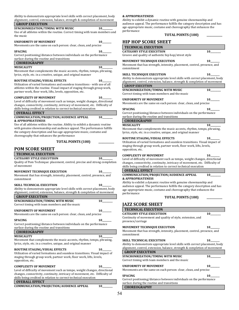Ability to demonstrate appropriate level skills with correct placement, body alignment, control, extension, balance, strength & completion of movement

## **GROUP EXECUTION**

**SYNCHONRIZATION/TIMING WITH MUSIC**  $10$ 

Use of all athletes within the routine. Correct timing with team members and the music

#### **UNIFORMITY OF MOVEMENT 10\_\_\_\_\_\_\_\_**

Movements are the same on each person: clear, clean, and precise

#### **SPACING 10\_**

Correct positioning/distance between individuals on the performance surface during the routine and transitions

## **CHOREOGRAPHY**

**MUSICALITY** 10 Movement that complements the music accents, rhythm, tempo, phrasing, lyrics, style, etc. in a creative, unique, and original manner

#### **ROUTINE STAGING/VISUAL EFFECTS 10\_\_\_\_\_\_\_\_**

Utilization of varied formations and seamless transitions - with use of all athletes within the routine. Visual impact of staging through group work, partner work, floor work, lifts, levels, opposition, etc.

#### **COMPLEXITY OF MOVEMENT 10**

Level of difficulty of movement such as tempo, weight changes, directional changes, connectivity, continuity, intricacy of movement, etc. Difficulty of skills being credited in relation to correct technical execution

#### **OVERALL EFFECT**

#### **COMMUNICATION/PROJECTION/AUDIENCE APPEAL 10\_ & APPROPRIATENESS**

Use of all athletes within the routine. Ability to exhibit a dynamic routine with genuine showmanship and audience appeal. The performance fulfills the category description and has age-appropriate music, costume and choreography that enhances the performance

#### **TOTAL POINTS (100)**

#### **POM SCORE SHEET**

#### **TECHNICAL EXECUTION**

#### **CATEGORY STYLE EXECUTIION 10**

Quality of Pom Technique: placement, control, precise and strong completion of movement

#### **MOVEMENT TECHNIQUE EXECUTION 10\_\_\_\_\_\_\_\_**

Movement that has strength, intensity, placement, control, presence, and commitment 

#### **SKILL TECHNICAL EXECUTION 10**

Ability to demonstrate appropriate level skills with correct placement, body alignment, control, extension, balance, strength & completion of movement

## **GROUP EXECUTION**

**SYNCHONRIZATION/TIMING WITH MUSIC**  $10$ Correct timing with team members and the music

#### **UNIFORMITY OF MOVEMENT 10\_\_\_\_\_\_\_\_**

Movements are the same on each person: clear, clean, and precise

#### **SPACING 10\_**

Correct positioning/distance between individuals on the performance surface during the routine and transitions

#### **CHOREOGRAPHY MUSICALITY** 10

Movement that complements the music accents, rhythm, tempo, phrasing, lyrics, style, etc. in a creative, unique, and original manner

#### **ROUTINE STAGING/VISUAL EFFECTS 10**

Utilization of varied formations and seamless transitions. Visual impact of staging through group work, partner work, floor work, lifts, levels, opposition, etc. 

#### **COMPLEXITY OF MOVEMENT 10**

Level of difficulty of movement such as tempo, weight changes, directional changes, connectivity, continuity, intricacy of movement, etc. Difficulty of skills being credited in relation to correct technical execution

#### **OVERALL EFFECT**

**COMMUNICATION/PROJECTION/AUDIENCE APPEAL**  $10$ 

#### **& APPROPRIATENESS**

Ability to exhibit a dynamic routine with genuine showmanship and audience appeal. The performance fulfills the category description and has age-appropriate music, costume and choreography that enhances the performance

#### **TOTAL POINTS (100)**

#### **HIP HOP SCORE SHEET**

#### **TECHNICAL EXECUTION**

**CATEGORY STYLE EXECUTION 10** Groove and quality of authentic hip hop/street style

#### **MOVEMENT TECHNIQUE EXECUTION 10\_\_\_\_\_\_\_\_**

Movement that has strength, intensity, placement, control, presence, and commitment 

#### **SKILL TECHNIQUE EXECUTION 10**

Ability to demonstrate appropriate level skills with correct placement, body alignment, control, extension, balance, strength & completion of movement **GROUP EXECUTION** 

| SYNCHONRIZATION/TIMING WITH MUSIC              | 10     |  |
|------------------------------------------------|--------|--|
| Correct timing with team members and the music |        |  |
| ,,,,,,,,,,,,,,,,,,,,,,,,,,,,,,,,,              | $\sim$ |  |

#### **UNIFORMITY OF MOVEMENT 10\_\_\_\_\_\_\_\_** Movements are the same on each person: clear, clean, and precise

**SPACING 10\_** Correct positioning/distance between individuals on the performance

#### surface during the routine and transitions

#### **CHOREOGRAPHY MUSICALITY** 10 Movement that complements the music accents, rhythm, tempo, phrasing,

lyrics, style, etc. in a creative, unique, and original manner

#### **ROUTINE STAGING/VISUAL EFFECTS 10**

Utilization of varied formations and seamless transitions. Visual impact of staging through group work, partner work, floor work, lifts, levels, opposition, etc.

#### **COMPLEXITY OF MOVEMENT 10\_**

Level of difficulty of movement such as tempo, weight changes, directional changes, connectivity, continuity, intricacy of movement, etc. Difficulty of skills being credited in relation to correct technical execution

#### **OVERALL EFFECT COMMUNICATION/PROJECTION/AUDIENCE APPEAL 10\_**

**& APPROPRIATENESS** 

Ability to exhibit a dynamic routine with genuine showmanship and audience appeal. The performance fulfills the category description and has age-appropriate music, costume and choreography that enhances the performance

| <b>TOTAL POINTS (100)</b> |  |  |
|---------------------------|--|--|
|---------------------------|--|--|

## **JAZZ SCORE SHEET**

## **TECHNICAL EXECUTION**

#### **CATEGORY STYLE EXECUTIION 10** Continuity of movement and quality of style, extension, and

presence/carriage 

#### **MOVEMENT TECHNIQUE EXECUTION 10\_\_\_\_\_\_\_\_**

Movement that has strength, intensity, placement, control, presence, and commitment 

#### **SKILL TECHNICAL EXECUTION 10\_** Ability to demonstrate appropriate level skills with correct placement, body alignment, control, extension, balance, strength & completion of movement **GROUP EXECUTION**

**SYNCHONRIZATION/TIMING WITH MUSIC**  $10$ Correct timing with team members and the music

#### UNIFORMITY OF MOVEMENT 10

Movements are the same on each person: clear, clean, and precise

**SPACING 10\_\_\_\_\_\_\_\_** Correct positioning/distance between individuals on the performance surface during the routine and transitions **CHOREOGRAPHY**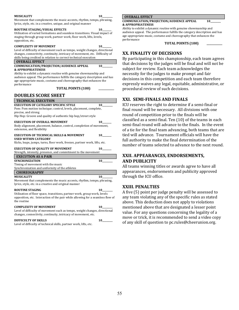#### **MUSICALITY** 10

Movement that complements the music accents, rhythm, tempo, phrasing, lyrics, style, etc. in a creative, unique, and original manner

#### **ROUTINE STAGING/VISUAL EFFECTS 10\_\_\_\_\_\_\_\_**

Utilization of varied formations and seamless transitions. Visual impact of staging through group work, partner work, floor work, lifts, levels, opposition, etc.

#### **COMPLEXITY OF MOVEMENT 10**

Level of difficulty of movement such as tempo, weight changes, directional changes, connectivity, continuity, intricacy of movement, etc. Difficulty of skills being credited in relation to correct technical execution

**OVERALL EFFECT**

#### **COMMUNICATION/PROJECTION/AUDIENCE APPEAL 10 & APPROPRIATENESS**

Ability to exhibit a dynamic routine with genuine showmanship and audience appeal. The performance fulfills the category description and has age-appropriate music, costume and choreography that enhances the performance

#### **TOTAL POINTS (100)**

| <b>DOUBLES SCORE SHEET</b>                                                                                                                                                                              |       |
|---------------------------------------------------------------------------------------------------------------------------------------------------------------------------------------------------------|-------|
| <b>TECHNICAL EXECUTION</b>                                                                                                                                                                              |       |
| <b>EXECUTION OF CATEGORY SPECIFIC STYLE</b><br>Pom: Pom motion technique; control, levels, placement, complete,<br>precise, and strong<br>Hip Hop: Groove and quality of authentic hip hop/street style | 10    |
| <b>EXECUTION OF OVERALL MOVEMENT</b><br>Body alignment, placement, balance, control, completion of movement,<br>extension, and flexibility                                                              |       |
| <b>EXECUTION OF TECHNICAL SKILLS &amp; MOVEMENT</b><br><b>USED WITHIN CATEGORY</b>                                                                                                                      |       |
| Kicks, leaps, jumps, turns, floor work, freezes, partner work, lifts, etc.<br><b>EXECUTION OF QUALITY OF MOVEMENT</b><br>Strength, intensity, presence, and commitment to the movement                  | 10    |
| <b>EXECUTION AS A PAIR</b>                                                                                                                                                                              |       |
| <b>SYNCHONIZATION</b><br>Timing of movement with the music<br>Synchronization and uniformity of the athletes                                                                                            |       |
| <b>CHOREOGRAPHY</b>                                                                                                                                                                                     |       |
| <b>MUSICALITY</b><br>Movement that complements the music accents, rhythm, tempo, phrasing,<br>lyrics, style, etc. in a creative and original manner                                                     | 10    |
| <b>ROUTINE STAGING</b><br>Utilization of floor space, transitions, partner work, group work, levels<br>opposition, etc. Interaction of the pair while allowing for a seamless flow of<br>the routine    | 10 10 |
| <b>COMPLEXITY OF MOVEMENT</b>                                                                                                                                                                           |       |

Level of difficulty of movement such as tempo, weight changes, directional changes, connectivity, continuity, intricacy of movement, etc.

#### **DIFFICULTY OF SKILLS 10\_**

Level of difficulty of technical skills, partner work, lifts, etc.

#### **OVERALL EFFECT**

#### **COMMUNICATION/PROJECTION/AUDIENCE APPEAL 10\_\_\_\_\_\_\_\_\_ & APPROPRIATENESS**

Ability to exhibit a dynamic routine with genuine showmanship and audience appeal. The performance fulfills the category description and has age-appropriate music, costume and choreography that enhances the performance

**TOTAL POINTS (100)** 

## **XX. FINALITY OF DECISIONS**

By participating in this championship, each team agrees that decisions by the judges will be final and will not be subject for review. Each team acknowledges the necessity for the judges to make prompt and fair decisions in this competition and each team therefore expressly waives any legal, equitable, administrative, or procedural review of such decisions.

## **XXI. SEMI-FINALS AND FINALS**

ICU reserves the right to determine if a semi-final or final round will be necessary. All divisions with one round of competition prior to the finals will be classified as a semi-final. Ten  $(10)$  of the teams in each semi-final round will advance to the finals. In the event of a tie for the final team advancing, both teams that are tied will advance. Tournament officials will have the full authority to make the final determination of the number of teams selected to advance to the next round.

## **XXII. APPEARANCES, ENDORSEMENTS, AND PUBLICITY**

All teams winning titles or awards agree to have all appearances, endorsements and publicity approved through the ICU office.

#### **XXIII. PENALTIES**

A five (5) point per judge penalty will be assessed to any team violating any of the specific rules as stated above. This deduction does not apply to violations mentioned above that are designated a lesser point value. For any questions concerning the legality of a move or trick, it is recommended to send a video copy of any skill of question to pc.rules@cheerunion.org.